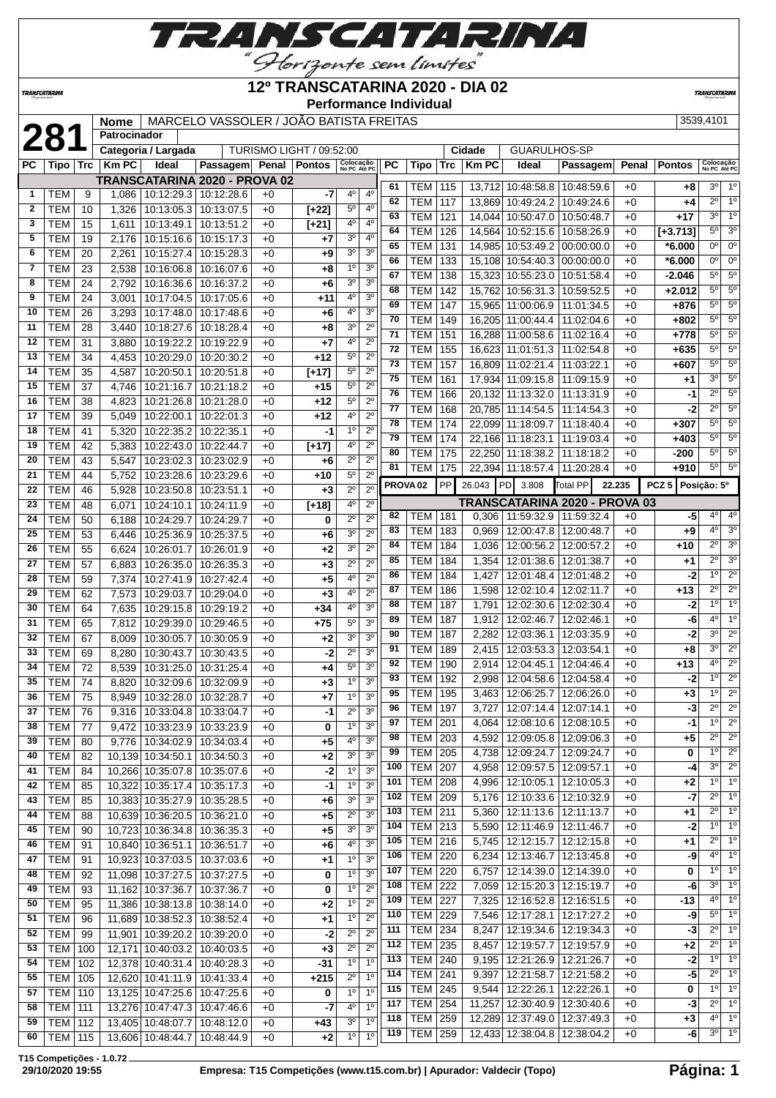

# **12º TRANSCATARINA 2020 - DIA 02**

**TRANSCATARI** 

|              |                          |            |              |                                                   |                                                                     |              |                          | <b>Performance Individual</b> |                                  |     |                     |     |        |                                   |            |        |                  |                           |                            |
|--------------|--------------------------|------------|--------------|---------------------------------------------------|---------------------------------------------------------------------|--------------|--------------------------|-------------------------------|----------------------------------|-----|---------------------|-----|--------|-----------------------------------|------------|--------|------------------|---------------------------|----------------------------|
|              |                          |            | <b>Nome</b>  |                                                   | MARCELO VASSOLER / JOÃO BATISTA FREITAS                             |              |                          |                               |                                  |     |                     |     |        |                                   |            |        |                  | 3539,4101                 |                            |
|              | <b>281</b>               |            | Patrocinador |                                                   |                                                                     |              |                          |                               |                                  |     |                     |     |        |                                   |            |        |                  |                           |                            |
|              |                          |            |              | Categoria / Largada                               |                                                                     |              | TURISMO LIGHT / 09:52:00 |                               |                                  |     |                     |     | Cidade | GUARULHOS-SP                      |            |        |                  |                           |                            |
| РC           | Tipo                     | <b>Trc</b> | <b>KmPC</b>  | Ideal                                             | Passagem Penal Pontos                                               |              |                          | Colocação<br>No PC Até PC     |                                  | РC  | Tipo                | Trc | KmPC   | Ideal                             | Passagem   | Penal  | <b>Pontos</b>    | Colocação<br>No PC Até PC |                            |
|              |                          |            |              |                                                   | TRANSCATARINA 2020 - PROVA 02                                       |              |                          |                               |                                  | 61  | TEM                 | 115 |        | 13,712 10:48:58.8 10:48:59.6      |            | $+0$   | +8               | $3^{\circ}$               | $1^{\circ}$                |
| 1            | TEM                      | 9          | 1,086        | 10:12:29.3                                        | 10:12:28.6                                                          | $+0$         | -7                       | 4°                            | 4 <sup>0</sup>                   | 62  | <b>TEM</b>          | 117 | 13,869 | 10:49:24.2                        | 10:49:24.6 | $+0$   | $+4$             | $\overline{2^{\circ}}$    | 1 <sup>0</sup>             |
| $\mathbf{2}$ | <b>TEM</b>               | 10         | 1,326        | 10:13:05.3                                        | 10:13:07.5                                                          | $+0$         | $[+22]$                  | $5^{\rm o}$<br>4 <sup>0</sup> | 4 <sup>0</sup><br>4 <sup>0</sup> | 63  | <b>TEM</b>          | 121 |        | 14,044 10:50:47.0 10:50:48.7      |            | $+0$   | $+17$            | $3^{\circ}$               | $\overline{1^0}$           |
| 3<br>5       | <b>TEM</b>               | 15         | 1,611        | 10:13:49.1                                        | 10:13:51.2                                                          | $+0$         | $[+21]$                  | 30                            | 4 <sup>0</sup>                   | 64  | <b>TEM</b>          | 126 | 14,564 | 10:52:15.6                        | 10:58:26.9 | $+0$   | $[-3.713]$       | $5^{\circ}$               | 3 <sup>0</sup>             |
| 6            | <b>TEM</b><br><b>TEM</b> | 19         | 2,176        | 10:15:16.6<br>10:15:27.4                          | 10:15:17.3                                                          | $+0$<br>$+0$ | +7                       | 3 <sup>o</sup>                | 3 <sup>o</sup>                   | 65  | <b>TEM</b>          | 131 |        | 14,985 10:53:49.2                 | 00:00:00.0 | $+0$   | $*6.000$         | 0°                        | $\overline{0^{\circ}}$     |
|              |                          | 20         | 2,261        |                                                   | 10:15:28.3                                                          |              | +9                       | 1 <sup>0</sup>                | 3 <sup>o</sup>                   | 66  | <b>TEM</b>          | 133 |        | 15,108 10:54:40.3                 | 00:00:00.0 | $+0$   | $*6.000$         | $0^{\circ}$               | $0^{\circ}$                |
| 7<br>8       | <b>TEM</b>               | 23         | 2,538        | 10:16:06.8                                        | 10:16:07.6                                                          | $+0$         | $+8$                     | 3 <sup>o</sup>                | 3 <sup>o</sup>                   | 67  | <b>TEM</b>          | 138 | 15,323 | 10:55:23.0                        | 10:51:58.4 | $+0$   | $-2.046$         | $5^{\circ}$               | $5^{\circ}$                |
| 9            | <b>TEM</b>               | 24         | 2,792        | 10:16:36.6                                        | 10:16:37.2                                                          | $+0$         | +6                       | $4^{\circ}$                   | 3 <sup>o</sup>                   | 68  | <b>TEM</b>          | 142 | 15,762 | 10:56:31.3                        | 10:59:52.5 | $+0$   | $+2.012$         | $5^{\circ}$               | $5^{\circ}$                |
| 10           | <b>TEM</b>               | 24         | 3,001        | 10:17:04.5                                        | 10:17:05.6                                                          | $+0$         | +11                      | 4 <sup>0</sup>                | 3 <sup>o</sup>                   | 69  | <b>TEM</b>          | 147 |        | 15,965 11:00:06.9                 | 11:01:34.5 | $+0$   | $+876$           | $5^{\circ}$               | $5^{\circ}$                |
|              | <b>TEM</b>               | 26         | 3,293        | 10:17:48.0                                        | 10:17:48.6                                                          | $+0$         | $+6$                     | 3 <sup>o</sup>                | $2^{\circ}$                      | 70  | <b>TEM</b>          | 149 | 16,205 | 11:00:44.4                        | 11:02:04.6 | $+0$   | +802             | $5^{\circ}$               | $5^{\circ}$                |
| 11           | <b>TEM</b>               | 28         | 3,440        | 10:18:27.6                                        | 10:18:28.4                                                          | $+0$         | +8                       | 4 <sup>0</sup>                | $\overline{2^0}$                 | 71  | <b>TEM</b>          | 151 | 16,288 | 11:00:58.6                        | 11:02:16.4 | $+0$   | +778             | $5^{\circ}$               | 5 <sup>0</sup>             |
| 12           | <b>TEM</b>               | 31         | 3,880        | 10:19:22.2                                        | 10:19:22.9                                                          | $+0$         | $+7$                     | $5^{\circ}$                   | $2^{\circ}$                      | 72  | <b>TEM</b>          | 155 |        | 16,623 11:01:51.3                 | 11:02:54.8 | $+0$   | $+635$           | $5^{\circ}$               | $\overline{5^0}$           |
| 13           | <b>TEM</b>               | 34         | 4,453        | 10:20:29.0                                        | 10:20:30.2                                                          | $+0$         | $+12$                    | $5^{\circ}$                   | $2^{\circ}$                      | 73  | <b>TEM</b>          | 157 |        | 16,809 11:02:21.4                 | 11:03:22.1 | $+0$   | +607             | $5^{\circ}$               | $5^{\circ}$                |
| 14           | <b>TEM</b>               | 35         | 4,587        | 10:20:50.1                                        | 10:20:51.8                                                          | $+0$         | $[+17]$                  | $5^{\circ}$                   | $2^{\circ}$                      | 75  | <b>TEM</b>          | 161 |        | 17,934 11:09:15.8                 | 11:09:15.9 | $+0$   | $+1$             | 3 <sup>0</sup>            | $5^{\circ}$                |
| 15           | <b>TEM</b>               | 37         | 4,746        | 10:21:16.7                                        | 10:21:18.2                                                          | $+0$         | +15                      |                               |                                  | 76  | <b>TEM</b>          | 166 |        | 20.132 11:13:32.0                 | 11:13:31.9 | $+0$   | -1               | $2^{\circ}$               | $5^{\circ}$                |
| 16           | <b>TEM</b>               | 38         | 4,823        | 10:21:26.8                                        | 10:21:28.0                                                          | $+0$         | $+12$                    | $5^{\rm o}$<br>4 <sup>0</sup> | $2^{\circ}$<br>$2^{\circ}$       | 77  | <b>TEM</b>          | 168 |        | 20,785 11:14:54.5                 | 11:14:54.3 | $+0$   | $-2$             | $\overline{2^0}$          | 5 <sup>o</sup>             |
| 17           | <b>TEM</b>               | 39         | 5,049        | 10:22:00.1                                        | 10:22:01.3                                                          | $+0$         | $+12$                    | 1 <sup>0</sup>                | $2^{\circ}$                      | 78  | <b>TEM</b>          | 174 |        | 22,099 11:18:09.7                 | 11:18:40.4 | $+0$   | $+307$           | $5^{\circ}$               | $5^{\circ}$                |
| 18           | <b>TEM</b>               | 41         | 5,320        | 10:22:35.2                                        | 10:22:35.1                                                          | $+0$         | $-1$                     |                               |                                  | 79  | <b>TEM</b>          | 174 |        | 22,166 11:18:23.1                 | 11:19:03.4 | $+0$   | $+403$           | $5^{\circ}$               | 5 <sup>0</sup>             |
| 19           | <b>TEM</b>               | 42         | 5,383        | 10:22:43.0                                        | 10:22:44.7                                                          | $+0$         | $[+17]$                  | 4 <sup>0</sup>                | $2^{\circ}$                      | 80  | <b>TEM</b>          | 175 |        | 22.250 11:18:38.2                 | 11:18:18.2 | $+0$   | $-200$           | $5^{\circ}$               | $5^{\circ}$                |
| 20           | <b>TEM</b>               | 43         | 5,547        | 10:23:02.3                                        | 10:23:02.9                                                          | $+0$         | +6                       | $2^{\circ}$<br>5 <sup>0</sup> | $2^{\circ}$                      | 81  | <b>TEM</b>          | 175 |        | 22,394 11:18:57.4                 | 11:20:28.4 | $+0$   | $+910$           | $5^{\circ}$               | $5^{\circ}$                |
| 21           | <b>TEM</b>               | 44         | 5,752        | 10:23:28.6                                        | 10:23:29.6                                                          | $+0$         | +10                      | $2^{\circ}$                   | $2^{\circ}$<br>$2^{\circ}$       |     | PROVA <sub>02</sub> | PP  | 26.043 | PD<br>3.808                       | Total PP   | 22.235 | PCZ <sub>5</sub> | Posição: 5º               |                            |
| 22           | <b>TEM</b>               | 46         | 5,928        | 10:23:50.8                                        | 10:23:51.1                                                          | $+0$         | $+3$                     |                               |                                  |     |                     |     |        | TRANSCATARINA 2020 - PROVA 03     |            |        |                  |                           |                            |
| 23           | <b>TEM</b>               | 48         | 6,071        | 10:24:10.1                                        | 10:24:11.9                                                          | $+0$         | $[+18]$                  | 4 <sup>o</sup><br>$2^{\circ}$ | $2^{\circ}$<br>$2^{\circ}$       | 82  | <b>TEM</b>          | 181 |        | $0,306$   11:59:32.9              | 11:59:32.4 | $+0$   | -5               | 4º                        | 4 <sup>0</sup>             |
| 24<br>25     | <b>TEM</b>               | 50         | 6,188        | 10:24:29.7                                        | 10:24:29.7                                                          | $+0$         | 0                        | 30                            | $2^{\circ}$                      | 83  | <b>TEM</b>          | 183 | 0,969  | 12:00:47.8                        | 12:00:48.7 | $+0$   | $+9$             | $4^{\circ}$               | 3 <sup>o</sup>             |
| 26           | <b>TEM</b><br><b>TEM</b> | 53<br>55   | 6,446        | 10:25:36.9<br>10:26:01.7                          | 10:25:37.5<br>10:26:01.9                                            | $+0$<br>$+0$ | +6                       | 3 <sup>0</sup>                | $2^{\circ}$                      | 84  | <b>TEM</b>          | 184 | 1,036  | 12:00:56.2                        | 12:00:57.2 | $+0$   | $+10$            | $2^{\circ}$               | $\overline{3^0}$           |
| 27           |                          |            | 6,624        |                                                   |                                                                     |              | +2                       | $2^{\circ}$                   | $2^{\circ}$                      | 85  | <b>TEM</b>          | 184 | 1,354  | 12:01:38.6                        | 12:01:38.7 | $+0$   | $+1$             | $2^{\circ}$               | 3 <sup>0</sup>             |
| 28           | <b>TEM</b><br><b>TEM</b> | 57<br>59   | 6,883        | 10:26:35.0<br>10:27:41.9                          | 10:26:35.3<br>10:27:42.4                                            | $+0$<br>$+0$ | $+3$<br>$+5$             | $4^{\circ}$                   | $2^{\circ}$                      | 86  | <b>TEM</b>          | 184 | 1,427  | 12:01:48.4   12:01:48.2           |            | $+0$   | -2               | 1 <sup>0</sup>            | $2^{\circ}$                |
| 29           | <b>TEM</b>               |            | 7,374        |                                                   |                                                                     | $+0$         |                          | 4°                            | $2^{\circ}$                      | 87  | <b>TEM</b>          | 186 | 1,598  | 12:02:10.4                        | 12:02:11.7 | $+0$   | $+13$            | $2^{\circ}$               | $\overline{2^0}$           |
| 30           | <b>TEM</b>               | 62<br>64   | 7,573        | 10:29:03.7                                        | 10:29:04.0<br>10:29:19.2                                            |              | $+3$<br>$+34$            | 4 <sup>0</sup>                | 3 <sup>0</sup>                   | 88  | TEM                 | 187 | 1,791  | 12:02:30.6                        | 12:02:30.4 | $+0$   | $-2$             | 1 <sup>0</sup>            | 1 <sup>0</sup>             |
| 31           | <b>TEM</b>               |            | 7,635        | 10:29:15.8                                        | 10:29:46.5                                                          | $+0$         | $+75$                    | $5^{\circ}$                   | $\overline{3^0}$                 | 89  | <b>TEM</b>          | 187 | 1,912  | 12:02:46.7                        | 12:02:46.1 | $+0$   | -6               | $4^{\circ}$               | 1 <sup>0</sup>             |
| 32           |                          | 65         | 7,812        | 10:29:39.0                                        |                                                                     | $+0$         |                          | 3 <sup>o</sup>                | 3 <sup>o</sup>                   | 90  | <b>TEM</b>          | 187 | 2,282  | 12:03:36.1                        | 12:03:35.9 | $+0$   | -2               | 3 <sup>0</sup>            | $\overline{2^0}$           |
|              | <b>TEM</b>               | 67         | 8,009        | 10:30:05.7                                        | 10:30:05.9                                                          | $+0$         | $+2$                     | $2^{\circ}$                   | 3 <sup>o</sup>                   | 91  | <b>TEM</b>          | 189 | 2,415  | 12:03:53.3                        | 12:03:54.1 | $+0$   | +8               | 3 <sup>0</sup>            | $\overline{2^{\circ}}$     |
| 33<br>34     | <b>TEM</b><br><b>TEM</b> | 69<br>72   | 8,280        | 10:30:43.7<br>10:31:25.0                          | 10:30:43.5<br>10:31:25.4                                            | $+0$<br>$+0$ | -2<br>$+4$               | $5^{\circ}$                   | 3 <sup>0</sup>                   | 92  | TEM                 | 190 | 2,914  | 12:04:45.1                        | 12:04:46.4 | $+0$   | +13              | 40                        | $\overline{2^0}$           |
| 35           |                          |            | 8,539        |                                                   |                                                                     |              |                          | $\overline{1^{\circ}}$        | 3 <sup>0</sup>                   | 93  | <b>TEM</b>          | 192 |        | 2,998 12:04:58.6 12:04:58.4       |            | $+0$   | -2               | 10                        | $\overline{2^0}$           |
|              | TEM                      | 74         |              |                                                   | 8,820 10:32:09.6 10:32:09.9                                         | $+0$         | $+3$                     | 1 <sup>0</sup>                | 3 <sup>o</sup>                   | 95  | <b>TEM 195</b>      |     |        | 3,463   12:06:25.7   12:06:26.0   |            | $+0$   | $+3$             | $1^{\circ}$               | $\overline{2^0}$           |
| 36           | TEM                      | 75         |              | 8,949   10:32:28.0   10:32:28.7                   |                                                                     | $+0$         | +7                       | $2^{\circ}$                   | 3 <sup>o</sup>                   | 96  | <b>TEM 197</b>      |     | 3,727  | 12:07:14.4   12:07:14.1           |            | $+0$   | $-3$             | $2^{\circ}$               | $2^{\circ}$                |
| 37           | <b>TEM</b>               | 76         |              | 9,316   10:33:04.8                                | 10:33:04.7                                                          | $+0$         | -1                       | 1 <sup>0</sup>                | 3 <sup>0</sup>                   | 97  | <b>TEM 201</b>      |     |        | 4,064   12:08:10.6   12:08:10.5   |            | $+0$   | -1               | $1^{\circ}$               | $\overline{2^0}$           |
| 38           | <b>TEM</b>               | 77         |              | 9,472   10:33:23.9                                | 10:33:23.9                                                          | $+0$         | 0                        | 4 <sup>0</sup>                | 3 <sup>0</sup>                   | 98  | <b>TEM 203</b>      |     |        | 4,592   12:09:05.8   12:09:06.3   |            | $+0$   | $+5$             | $2^{\circ}$               | $2^{\circ}$                |
| 39           | <b>TEM</b>               | 80         |              | 9,776   10:34:02.9   10:34:03.4                   |                                                                     | $+0$         | $+5$                     | 3 <sup>o</sup>                | 3 <sup>0</sup>                   | 99  | <b>TEM</b> 205      |     |        | 4,738 12:09:24.7 12:09:24.7       |            | $+0$   | 0                | 1°                        | $2^{\circ}$                |
| 40           | <b>TEM</b>               | 82         |              | 10,139 10:34:50.1<br>10.266 10:35:07.8 10:35:07.6 | 10:34:50.3                                                          | $+0$         | $+2$                     | 1 <sup>0</sup>                | 3 <sup>o</sup>                   | 100 | <b>TEM 207</b>      |     | 4,958  | 12:09:57.5   12:09:57.1           |            | $+0$   | -4               | $3^{\circ}$               | $2^{\circ}$                |
| 41           | <b>TEM</b>               | 84         |              |                                                   |                                                                     | $+0$         | $-2$<br>$-1$             | 1 <sup>0</sup>                | 3 <sup>o</sup>                   | 101 | <b>TEM 208</b>      |     |        | 4,996   12:10:05.1   12:10:05.3   |            | $+0$   | +2               | $1^{\circ}$               | $1^{\circ}$                |
| 42           | <b>TEM</b>               | 85         |              | 10,322 10:35:17.4                                 | 10:35:17.3                                                          | $+0$         |                          |                               |                                  | 102 | <b>TEM 209</b>      |     |        | 5,176   12:10:33.6   12:10:32.9   |            | $+0$   | -7               | $2^{\circ}$               | $1^{\circ}$                |
| 43           | <b>TEM</b>               | 85         |              | 10,383 10:35:27.9                                 | 10:35:28.5                                                          | $+0$         | $+6$                     | 3 <sup>o</sup>                | 3 <sup>o</sup><br>3 <sup>o</sup> | 103 | <b>TEM 211</b>      |     |        | 5,360   12:11:13.6   12:11:13.7   |            | +0     | +1               | $2^{\circ}$               | $1^{\circ}$                |
| 44           | <b>TEM</b>               | 88         |              | 10,639 10:36:20.5                                 | 10:36:21.0                                                          | $+0$         | $+5$                     | $2^{\circ}$<br>3 <sup>o</sup> | 3 <sup>0</sup>                   | 104 | <b>TEM 213</b>      |     |        | 5,590   12:11:46.9   12:11:46.7   |            | $+0$   | -2               | 10                        | $\overline{1^{\circ}}$     |
| 45           | <b>TEM</b>               | 90         |              | 10,723 10:36:34.8 10:36:35.3                      |                                                                     | $+0$         | $+5$                     |                               | 30                               | 105 | <b>TEM 216</b>      |     |        | 5,745   12:12:15.7   12:12:15.8   |            | $+0$   | $+1$             | $2^{\circ}$               | 1 <sup>0</sup>             |
| 46           | <b>TEM</b>               | 91         |              | 10,840 10:36:51.1                                 | 10:36:51.7                                                          | $+0$         | +6                       | $4^{\circ}$<br>1 <sup>0</sup> | 30                               | 106 | <b>TEM 220</b>      |     |        | 6,234   12:13:46.7   12:13:45.8   |            | $+0$   | -9               | $4^{\circ}$               | 1 <sup>0</sup>             |
| 47           | <b>TEM</b>               | 91         |              | 10,923 10:37:03.5                                 | 10:37:03.6                                                          | +0           | +1                       | 1 <sup>0</sup>                | 3 <sup>0</sup>                   | 107 | <b>TEM 220</b>      |     | 6,757  | 12:14:39.0   12:14:39.0           |            | $+0$   | 0                | $1^{\circ}$               | 1 <sup>0</sup>             |
| 48           | <b>TEM</b>               | 92         |              | 11,098 10:37:27.5                                 | 10:37:27.5                                                          | +0           | 0                        | 1 <sup>0</sup>                | $2^{\circ}$                      | 108 | <b>TEM 222</b>      |     |        | 7,059   12:15:20.3   12:15:19.7   |            | $+0$   | -6               | $3^{\circ}$               | $1^{\circ}$                |
| 49           | <b>TEM</b>               | 93         |              | 11,162 10:37:36.7                                 | 10:37:36.7                                                          | +0           | 0                        | 1 <sup>0</sup>                | $2^{\circ}$                      | 109 | <b>TEM 227</b>      |     |        | 7,325   12:16:52.8   12:16:51.5   |            | $+0$   | -13              | $4^{\circ}$               | 1 <sup>0</sup>             |
| 50           | <b>TEM</b>               | 95         |              | 11,386   10:38:13.8   10:38:14.0                  |                                                                     | $+0$         | $+2$                     |                               |                                  | 110 | <b>TEM 229</b>      |     |        | 7,546   12:17:28.1   12:17:27.2   |            | $+0$   | -9               | $5^{\circ}$               | $1^{\circ}$                |
| 51           | <b>TEM</b>               | 96         |              | 11,689   10:38:52.3   10:38:52.4                  |                                                                     | $+0$         | +1                       | $1^{\circ}$<br>$2^{\circ}$    | $2^{\circ}$<br>$2^{\circ}$       | 111 | <b>TEM 234</b>      |     |        | 8,247   12:19:34.6   12:19:34.3   |            | +0     | -3               | $2^{\circ}$               | 1 <sup>0</sup>             |
| 52           | <b>TEM</b>               | 99         |              | 11,901   10:39:20.2                               | 10:39:20.0                                                          | $+0$         | $-2$                     | $2^{\circ}$                   | $2^{\circ}$                      | 112 | <b>TEM 235</b>      |     |        | 8,457   12:19:57.7   12:19:57.9   |            | +0     | +2               |                           | $2^{\circ}$ 1 <sup>o</sup> |
| 53           | TEM                      | 100        |              | 12,171 10:40:03.2                                 | 10:40:03.5<br>54   TEM   102   12378   10:40:31 4   10:40:28 3   +0 | $+0$         | $+3$<br>-31              | 10                            | 10                               |     | 113   TEM   240     |     |        | $9,195$   12:21:26.9   12:21:26.7 |            | $+0$   | $-2$             |                           | 1° 1°                      |
|              |                          |            |              |                                                   |                                                                     |              |                          |                               |                                  |     |                     |     |        |                                   |            |        |                  |                           |                            |

**T15 Competições - 1.0.72**

*TRANSCATARINA* 

 TEM 102 12,378 10:40:31.4 10:40:28.3 +0 **-31** 1º 1º TEM 105 12,620 10:41:11.9 10:41:33.4 +0 **+215** 2º 1º TEM 110 13,125 10:47:25.6 10:47:25.6 +0 **0** 1º 1º TEM 111 13,276 10:47:47.3 10:47:46.6 +0 **-7** 4<sup>° 1°</sup><br>**59** TEM 112 13,405 10:48:07.7 10:48:12.0 +0 +43 3<sup>°</sup> 1<sup>6</sup> TEM 112 13,405 10:48:07.7 10:48:12.0 +0 **+43** 3º 1º TEM 115 13,606 10:48:44.7 10:48:44.9 +0 **+2** 1º 1º

TEM 241 9,397 12:21:58.7 12:21:58.2 +0 **-5** 2º 1º

 TEM 254 11,257 12:30:40.9 12:30:40.6 +0 **-3** 2º 1º TEM 259 12,289 12:37:49.0 12:37:49.3 +0 **+3** 4º 1º TEM 259 12,433 12:38:04.8 12:38:04.2 +0 **-6** 3º 1º

**245** 9,544 12:22:26.1 12:22:26.1 +0 **0** 1<sup>o</sup> 1<sup>o</sup>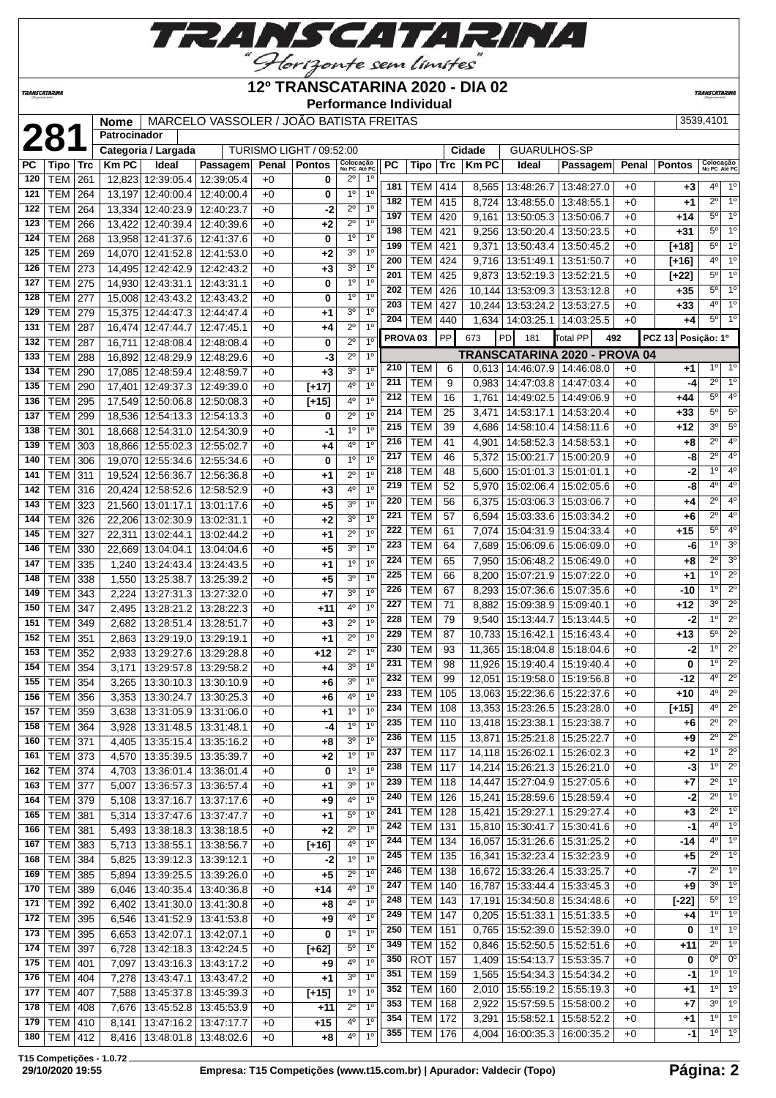

### **12º TRANSCATARINA 2020 - DIA 02**

**No PC Até PC PC Tipo Trc Km PC Ideal Passagem Penal Pontos Colocação No PC Até PC**

**Performance Individual**

TURISMO LIGHT / 09:52:00

**TRANSCATARIN** 

# **281 Nome** MARCELO VASSOLER / JOÃO BATISTA FREITAS | 3539,4101<br> **281 Patrocinador**<br> **281 Patrocinador**<br> **281 Cidade** GUARULHOS-SP<br> **281 Patrocinador**<br> **281 Cidade** GUARULHOS-SP<br> **281 Patrocinador**<br> **281 Pat Patrocinador PC Tipo Trc Km PC Ideal Passagem Penal Pontos Colocação**

**TRANSCATARINA** 

| 120 | TEM   261        |     |       | 12,823 12:39:05.4   12:39:05.4   |                                 | +0   | 0       | $2^{\circ}$    | 1º             |                     |                  |           |       |                                   |                               |      |                    |                |                |
|-----|------------------|-----|-------|----------------------------------|---------------------------------|------|---------|----------------|----------------|---------------------|------------------|-----------|-------|-----------------------------------|-------------------------------|------|--------------------|----------------|----------------|
| 121 | TEM              | 264 |       | 13,197 12:40:00.4                | 12:40:00.4                      | $+0$ | 0       | $1^{\circ}$    | 1 <sup>0</sup> | 181                 | TEM              | 414       | 8,565 | 13:48:26.7   13:48:27.0           |                               | +0   | +3                 | 4º             | 1 <sup>°</sup> |
| 122 | TEM              | 264 |       | 13,334 12:40:23.9                | 12:40:23.7                      | $+0$ | -2      | $2^{\circ}$    | 1 <sup>0</sup> | 182                 | <b>TEM</b>       | 415       | 8.724 | 13:48:55.0   13:48:55.1           |                               | $+0$ | +1                 | $2^{\circ}$    | $1^{\circ}$    |
| 123 | TEM              | 266 |       | 13,422 12:40:39.4                | 12:40:39.6                      | $+0$ | +2      | $2^{\circ}$    | 1 <sup>0</sup> | 197                 | <b>TEM</b>       | 420       | 9,161 | 13:50:05.3   13:50:06.7           |                               | $+0$ | +14                | $5^{\circ}$    | 1 <sup>0</sup> |
| 124 | TEM              | 268 |       | 13,958 12:41:37.6 12:41:37.6     |                                 | $+0$ | 0       | 1 <sup>0</sup> | 1 <sup>0</sup> | 198                 | <b>TEM</b>       | 421       | 9,256 | 13:50:20.4   13:50:23.5           |                               | $+0$ | +31                | $5^{\circ}$    | 1 <sup>°</sup> |
| 125 |                  |     |       |                                  |                                 | $+0$ |         | $3^{\circ}$    | 1 <sup>0</sup> | 199                 | <b>TEM</b>       | 421       | 9,371 | 13:50:43.4   13:50:45.2           |                               | $+0$ | $[+18]$            | $5^{\circ}$    | 1 <sup>°</sup> |
|     | TEM              | 269 |       | 14,070 12:41:52.8 12:41:53.0     |                                 |      | +2      |                |                | 200                 | <b>TEM</b>       | 424       |       | 9,716   13:51:49.1   13:51:50.7   |                               | $+0$ | $[+16]$            | $4^{\circ}$    | $1^{\circ}$    |
| 126 | <b>TEM   273</b> |     |       | 14.495 12:42:42.9 12:42:43.2     |                                 | $+0$ | $+3$    | $3^{\circ}$    | 1 <sup>0</sup> | 201                 | <b>TEM</b>       | 425       | 9,873 | 13:52:19.3   13:52:21.5           |                               | +0   | [+22]              | $5^{\circ}$    | 1 <sup>°</sup> |
| 127 | TEM              | 275 |       | 14,930 12:43:31.1                | 12:43:31.1                      | $+0$ | 0       | $1^{\circ}$    | 1 <sup>0</sup> | 202                 | <b>TEM</b>       | 426       |       | 10,144 13:53:09.3 13:53:12.8      |                               | +0   | +35                | $5^{\circ}$    | $1^{\circ}$    |
| 128 | TEM              | 277 |       | 15,008 12:43:43.2                | 12:43:43.2                      | $+0$ | 0       | $1^{\circ}$    | 1 <sup>0</sup> | 203                 | <b>TEM</b>       | 427       |       | 10,244 13:53:24.2 13:53:27.5      |                               | +0   | $+33$              | $4^{\circ}$    | 1 <sup>°</sup> |
| 129 | TEM              | 279 |       | 15,375   12:44:47.3   12:44:47.4 |                                 | $+0$ | +1      | 3 <sup>o</sup> | 1 <sup>0</sup> | 204                 |                  |           |       |                                   |                               |      |                    | $5^{\circ}$    | $1^{\circ}$    |
| 131 | TEM              | 287 |       | 16,474 12:47:44.7                | 12:47:45.1                      | $+0$ | +4      | $2^{\circ}$    | 1 <sup>0</sup> |                     | <b>TEM</b>       | 440       |       | 1,634   14:03:25.1   14:03:25.5   |                               | $+0$ | +4                 |                |                |
| 132 | TEM              | 287 |       | 16,711 12:48:08.4                | 12:48:08.4                      | $+0$ | 0       | $2^{\circ}$    | 1 <sup>0</sup> | PROVA <sub>03</sub> |                  | <b>PP</b> | 673   | <b>PD</b><br>181                  | <b>Total PP</b><br>492        |      | PCZ 13 Posição: 1º |                |                |
| 133 | <b>TEM</b>       | 288 |       | 16,892 12:48:29.9 12:48:29.6     |                                 | $+0$ | -3      | $2^{\circ}$    | 1 <sup>0</sup> |                     |                  |           |       |                                   | TRANSCATARINA 2020 - PROVA 04 |      |                    |                |                |
| 134 | TEM              | 290 |       | 17,085 12:48:59.4 12:48:59.7     |                                 | $+0$ | $+3$    | 3 <sup>o</sup> | 1 <sup>0</sup> | 210                 | <b>TEM</b>       | 6         |       | $0,613$   14:46:07.9   14:46:08.0 |                               | $+0$ | +1                 | $1^{\circ}$    | $1^{\circ}$    |
| 135 | TEM              | 290 |       | 17,401   12:49:37.3   12:49:39.0 |                                 | $+0$ | $[+17]$ | $4^{\circ}$    | 1 <sup>0</sup> | 211                 | <b>TEM</b>       | 9         | 0,983 | 14:47:03.8   14:47:03.4           |                               | $+0$ | -4                 | $2^{\circ}$    | 1 <sup>°</sup> |
| 136 | TEM              | 295 |       | 17,549 12:50:06.8 12:50:08.3     |                                 | $+0$ |         | $4^{\circ}$    | 1 <sup>0</sup> | 212                 | <b>TEM</b>       | 16        | 1,761 | 14:49:02.5   14:49:06.9           |                               | $+0$ | +44                | $5^{\circ}$    | $4^{\circ}$    |
|     |                  |     |       |                                  |                                 |      | $[+15]$ | $2^{\circ}$    | 1 <sup>0</sup> | 214                 | <b>TEM</b>       | 25        | 3,471 | 14:53:17.1   14:53:20.4           |                               | $+0$ | +33                | $5^\circ$      | $5^{\circ}$    |
| 137 | TEM              | 299 |       | 18,536 12:54:13.3 12:54:13.3     |                                 | $+0$ | 0       |                |                | 215                 | <b>TEM</b>       | 39        | 4,686 | 14:58:10.4   14:58:11.6           |                               | $+0$ | +12                | $3^{\circ}$    | $5^{\circ}$    |
| 138 | TEM              | 301 |       | 18,668 12:54:31.0 12:54:30.9     |                                 | $+0$ | -1      | $1^{\circ}$    | 1 <sup>0</sup> | 216                 | <b>TEM</b>       | 41        | 4,901 | 14:58:52.3   14:58:53.1           |                               | $+0$ | +8                 | $2^{\circ}$    | $4^{\circ}$    |
| 139 | TEM              | 303 |       | 18,866 12:55:02.3                | 12:55:02.7                      | $+0$ | +4      | $4^{\circ}$    | 1 <sup>0</sup> | 217                 |                  |           |       |                                   |                               |      |                    | $2^{\circ}$    | $4^{\circ}$    |
| 140 | TEM              | 306 |       | 19,070 12:55:34.6 12:55:34.6     |                                 | $+0$ | 0       | $1^{\circ}$    | 1 <sup>0</sup> |                     | <b>TEM</b>       | 46        | 5.372 | 15:00:21.7   15:00:20.9           |                               | $+0$ | -8                 |                |                |
| 141 | TEM              | 311 |       | 19.524 12:56:36.7                | 12:56:36.8                      | $+0$ | +1      | $2^{\circ}$    | 1 <sup>0</sup> | 218                 | <b>TEM</b>       | 48        | 5.600 | 15:01:01.3   15:01:01.1           |                               | $+0$ | -2                 | 1 <sup>°</sup> | $4^{\circ}$    |
| 142 | TEM              | 316 |       | 20,424 12:58:52.6 12:58:52.9     |                                 | $+0$ | +3      | $4^{\circ}$    | 1 <sup>0</sup> | 219                 | <b>TEM</b>       | 52        | 5,970 | 15:02:06.4   15:02:05.6           |                               | +0   | -8                 | $4^{\circ}$    | $4^{\circ}$    |
| 143 | TEM              | 323 |       | 21,560 13:01:17.1                | 13:01:17.6                      | $+0$ | +5      | 3 <sup>0</sup> | 1 <sup>0</sup> | 220                 | TEM              | 56        | 6,375 | 15:03:06.3   15:03:06.7           |                               | +0   | +4                 | $2^{\circ}$    | $4^{\circ}$    |
| 144 | TEM              | 326 |       | 22.206 13:02:30.9 13:02:31.1     |                                 | $+0$ | +2      | 3 <sup>o</sup> | 1 <sup>0</sup> | 221                 | <b>TEM</b>       | 57        | 6,594 | 15:03:33.6   15:03:34.2           |                               | $+0$ | +6                 | $2^{\circ}$    | 4 <sup>o</sup> |
| 145 | TEM              | 327 |       | 22,311 13:02:44.1                | 13:02:44.2                      | $+0$ | +1      | $2^{\circ}$    | 1 <sup>0</sup> | 222                 | <b>TEM</b>       | 61        | 7,074 | 15:04:31.9   15:04:33.4           |                               | $+0$ | +15                | $5^{\circ}$    | $4^{\circ}$    |
| 146 | TEM              | 330 |       | 22.669 13:04:04.1                | 13:04:04.6                      | $+0$ | +5      | 3 <sup>o</sup> | 1 <sup>0</sup> | 223                 | <b>TEM</b>       | 64        | 7,689 | 15:06:09.6   15:06:09.0           |                               | +0   | -6                 | 10             | 3 <sup>o</sup> |
| 147 | TEM              | 335 | 1,240 | 13:24:43.4                       | 13:24:43.5                      | $+0$ | +1      | $1^{\circ}$    | 1 <sup>0</sup> | 224                 | <b>TEM</b>       | 65        | 7,950 | 15:06:48.2   15:06:49.0           |                               | $+0$ | +8                 | $2^{\circ}$    | $3^{\circ}$    |
| 148 | TEM              | 338 | 1,550 | 13:25:38.7                       | 13:25:39.2                      | +0   | +5      | $3^{\circ}$    | 1 <sup>0</sup> | 225                 | <b>TEM</b>       | 66        | 8,200 | 15:07:21.9   15:07:22.0           |                               | +0   | +1                 | 10             | $2^{\circ}$    |
| 149 | TEM              |     |       |                                  |                                 |      |         | $3^{\circ}$    | 1 <sup>0</sup> | 226                 | <b>TEM</b>       | 67        | 8,293 | 15:07:36.6   15:07:35.6           |                               | $+0$ | -10                | 10             | $2^{\circ}$    |
|     |                  | 343 | 2,224 | 13:27:31.3   13:27:32.0          |                                 | $+0$ | +7      |                | 1 <sup>0</sup> | 227                 | <b>TEM</b>       | 71        |       | 8,882   15:09:38.9   15:09:40.1   |                               | $+0$ | +12                | $3^{\circ}$    | $2^{\circ}$    |
| 150 | <b>TEM</b>       | 347 | 2,495 | 13:28:21.2   13:28:22.3          |                                 | $+0$ | +11     | 4°             |                | 228                 | <b>TEM</b>       | 79        | 9,540 | 15:13:44.7   15:13:44.5           |                               | +0   | -2                 | 1 <sup>0</sup> | $2^{\circ}$    |
| 151 | <b>TEM</b>       | 349 | 2,682 | 13:28:51.4                       | 13:28:51.7                      | $+0$ | +3      | $2^{\circ}$    | 1 <sup>0</sup> | 229                 | <b>TEM</b>       |           |       |                                   |                               |      |                    | $5^{\circ}$    | $2^{\circ}$    |
| 152 | TEM              | 351 | 2,863 | 13:29:19.0                       | 13:29:19.1                      | $+0$ | +1      | $2^{\circ}$    | 1 <sup>0</sup> |                     |                  | 87        |       | 10,733 15:16:42.1 15:16:43.4      |                               | +0   | $+13$              | 10             | $2^{\circ}$    |
| 153 | <b>TEM</b>       | 352 | 2,933 |                                  | 13:29:27.6   13:29:28.8         | $+0$ | +12     | $2^{\circ}$    | 1 <sup>0</sup> | 230                 | <b>TEM</b>       | 93        |       | 11,365   15:18:04.8   15:18:04.6  |                               | +0   | -2                 |                |                |
| 154 | TEM              | 354 | 3,171 | 13:29:57.8   13:29:58.2          |                                 | $+0$ | +4      | 3 <sup>o</sup> | 1 <sup>0</sup> | 231                 | TEM              | 98        |       | 11,926   15:19:40.4   15:19:40.4  |                               | $+0$ | 0                  | 1 <sup>°</sup> | $2^{\circ}$    |
| 155 | TEM              | 354 | 3,265 | 13:30:10.3                       | 13:30:10.9                      | $+0$ | +6      | 3 <sup>o</sup> | 1 <sup>0</sup> | 232                 | TEM              | 99        |       | 12,051   15:19:58.0   15:19:56.8  |                               | +0   | -12                | $4^{\circ}$    | $2^{\circ}$    |
| 156 | <b>TEM</b>       | 356 | 3,353 | 13:30:24.7                       | 13:30:25.3                      | $+0$ | +6      | 4°             | 1 <sup>0</sup> | 233                 | TEM              | 105       |       | 13,063 15:22:36.6   15:22:37.6    |                               | +0   | +10                | $4^{\circ}$    | $2^{\circ}$    |
| 157 | TEM              | 359 | 3,638 | 13:31:05.9                       | 13:31:06.0                      | $+0$ | +1      | $1^{\circ}$    | 1 <sup>0</sup> | 234                 | <b>TEM</b>       | 108       |       | 13,353 15:23:26.5 15:23:28.0      |                               | +0   | $[+15]$            | $4^{\circ}$    | $2^{\circ}$    |
| 158 | <b>TEM</b>       | 364 | 3,928 | 13:31:48.5                       | 13:31:48.1                      | $+0$ | -4      | $1^{\circ}$    | 1 <sup>0</sup> | 235                 | <b>TEM</b>       | 110       |       | 13,418 15:23:38.1   15:23:38.7    |                               | $+0$ | +6                 | $2^{\circ}$    | $2^{\circ}$    |
| 160 | TEM              | 371 | 4,405 | 13:35:15.4   13:35:16.2          |                                 | $+0$ | +8      | 3 <sup>o</sup> | 1 <sup>0</sup> | 236                 | TEM              | 115       |       | 13,871 15:25:21.8 15:25:22.7      |                               | $+0$ | +9                 | $2^{\circ}$    | $2^{\circ}$    |
|     | 161   TEM   373  |     |       | 4,570   13:35:39.5   13:35:39.7  |                                 | $+0$ | +2      | 1 <sup>0</sup> | 1 <sup>0</sup> | 237                 | <b>TEM</b>       | 117       |       | 14,118 15:26:02.1   15:26:02.3    |                               | +0   | +2                 | 10             | $2^{\circ}$    |
| 162 | <b>TEM 374</b>   |     |       |                                  | 4,703   13:36:01.4   13:36:01.4 |      | 0       | 1 <sup>0</sup> | 1 <sup>0</sup> | 238                 | <b>TEM   117</b> |           |       | 14,214 15:26:21.3 15:26:21.0      |                               | $+0$ | $-3$               | $1^{\circ}$    | $2^{\circ}$    |
|     |                  |     |       |                                  |                                 | $+0$ |         | 3 <sup>0</sup> | 1 <sup>0</sup> | 239                 | <b>TEM</b>       | 118       |       | 14,447 15:27:04.9 15:27:05.6      |                               | $+0$ | $+7$               | $2^{\circ}$    | 1 <sup>°</sup> |
| 163 | <b>TEM 377</b>   |     | 5,007 |                                  | 13:36:57.3   13:36:57.4         | $+0$ | $+1$    |                |                | 240                 | <b>TEM</b>       | 126       |       | 15,241 15:28:59.6 15:28:59.4      |                               | $+0$ | $-2$               | $2^{\circ}$    | $1^{\circ}$    |
| 164 | TEM 379          |     |       |                                  | 5,108   13:37:16.7   13:37:17.6 | $+0$ | +9      | $4^{\circ}$    | 1 <sup>0</sup> | 241                 | <b>TEM</b>       |           |       | 15,421 15:29:27.1 15:29:27.4      |                               | $+0$ |                    | $2^{\circ}$    | $1^{\circ}$    |
| 165 | <b>TEM 381</b>   |     | 5,314 | 13:37:47.6   13:37:47.7          |                                 | $+0$ | $+1$    | $5^{\circ}$    | 1 <sup>0</sup> |                     |                  | 128       |       |                                   |                               |      | +3                 | $4^{\circ}$    | $1^{\circ}$    |
| 166 | <b>TEM 381</b>   |     | 5,493 |                                  | 13:38:18.3   13:38:18.5         | $+0$ | $+2$    | $2^{\circ}$    | 1 <sup>0</sup> | 242                 | <b>TEM</b>       | 131       |       | 15,810 15:30:41.7   15:30:41.6    |                               | $+0$ | -1                 | $4^{\circ}$    | 1 <sup>°</sup> |
| 167 | TEM 383          |     | 5,713 | 13:38:55.1 13:38:56.7            |                                 | $+0$ | $[+16]$ | $4^{\circ}$    | 1 <sup>0</sup> | 244                 | <b>TEM</b>       | 134       |       | 16,057 15:31:26.6 15:31:25.2      |                               | $+0$ | -14                |                |                |
| 168 | <b>TEM 384</b>   |     | 5,825 | 13:39:12.3   13:39:12.1          |                                 | $+0$ | $-2$    | 1 <sup>0</sup> | 1 <sup>o</sup> | 245                 | <b>TEM</b>       | 135       |       | 16,341   15:32:23.4   15:32:23.9  |                               | $+0$ | +5                 | $2^{\circ}$    | $1^{\circ}$    |
| 169 | <b>TEM 385</b>   |     | 5,894 | 13:39:25.5   13:39:26.0          |                                 | $+0$ | $+5$    | $2^{\circ}$    | 1 <sup>0</sup> | 246                 | <b>TEM</b>       | 138       |       | 16,672 15:33:26.4 15:33:25.7      |                               | $+0$ | -7                 | $2^{\circ}$    | $1^{\circ}$    |
| 170 | <b>TEM</b>       | 389 | 6,046 |                                  | 13:40:35.4   13:40:36.8         | +0   | +14     | $4^{\circ}$    | 1 <sup>0</sup> | 247                 | <b>TEM</b>       | 140       |       | 16,787 15:33:44.4 15:33:45.3      |                               | $+0$ | +9                 | 3 <sup>0</sup> | 1 <sup>°</sup> |
| 171 | TEM 392          |     | 6,402 |                                  | 13:41:30.0 13:41:30.8           | $+0$ | +8      | $4^{\circ}$    | 1 <sup>0</sup> | 248                 | <b>TEM</b>       | 143       |       | 17,191 15:34:50.8 15:34:48.6      |                               | $+0$ | $[-22]$            | $5^{\circ}$    | $1^{\circ}$    |
| 172 | TEM 395          |     | 6,546 |                                  | 13:41:52.9 13:41:53.8           | $+0$ | $+9$    | $4^{\circ}$    | 1 <sup>0</sup> | 249                 | <b>TEM</b>       | 147       | 0,205 | 15:51:33.1   15:51:33.5           |                               | $+0$ | +4                 | 10             | 1 <sup>°</sup> |
| 173 | TEM 395          |     | 6,653 | 13:42:07.1   13:42:07.1          |                                 | $+0$ | 0       | 1 <sup>0</sup> | 1 <sup>0</sup> | 250                 | <b>TEM</b>       | 151       | 0,765 | 15:52:39.0   15:52:39.0           |                               | $+0$ | 0                  | 1 <sup>0</sup> | 1 <sup>0</sup> |
| 174 | TEM 397          |     | 6,728 | 13:42:18.3 13:42:24.5            |                                 | +0   | $[+62]$ | $5^{\circ}$    | 1 <sup>0</sup> | 349                 | <b>TEM</b>       | 152       |       | $0,846$   15:52:50.5   15:52:51.6 |                               | $+0$ | +11                | $2^{\circ}$    | $1^{\circ}$    |
| 175 | TEM   401        |     | 7,097 |                                  | 13:43:16.3   13:43:17.2         | $+0$ | +9      | $4^{\circ}$    | 1 <sup>0</sup> | 350                 | <b>ROT</b>       | 157       | 1,409 | 15:54:13.7   15:53:35.7           |                               | $+0$ | 0                  | $0^{\circ}$    | 0 <sup>o</sup> |
| 176 | <b>TEM 404</b>   |     |       |                                  |                                 |      |         | 3 <sup>o</sup> | 1 <sup>0</sup> | 351                 | <b>TEM</b>       | 159       |       | 1,565   15:54:34.3   15:54:34.2   |                               | $+0$ | -1                 | $1^{\circ}$    | $1^{\circ}$    |
|     |                  |     | 7,278 | 13:43:47.1   13:43:47.2          |                                 | $+0$ | $+1$    | 1 <sup>0</sup> | 1 <sup>0</sup> | 352                 | <b>TEM</b>       | 160       |       | 2,010   15:55:19.2   15:55:19.3   |                               | $+0$ | +1                 | $1^{\circ}$    | 1 <sup>0</sup> |
| 177 | <b>TEM 407</b>   |     | 7,588 |                                  | 13:45:37.8   13:45:39.3         | $+0$ | $[+15]$ |                |                | 353                 | <b>TEM</b>       | 168       |       | 2,922   15:57:59.5   15:58:00.2   |                               | $+0$ | +7                 | 3 <sup>0</sup> | $1^{\circ}$    |
| 178 | <b>TEM 408</b>   |     | 7,676 |                                  | 13:45:52.8   13:45:53.9         | $+0$ | +11     | $2^{\circ}$    | 1 <sup>0</sup> | 354                 | <b>TEM</b>       | 172       | 3,291 | 15:58:52.1   15:58:52.2           |                               | $+0$ | +1                 | $1^{\circ}$    | 1 <sup>°</sup> |
| 179 | <b>TEM 410</b>   |     | 8,141 | 13:47:16.2   13:47:17.7          |                                 | +0   | +15     | 40             | 1 <sup>0</sup> | 355                 |                  | 176       |       |                                   |                               |      |                    | $1^{\circ}$    | 1 <sup>°</sup> |
| 180 | <b>TEM 412</b>   |     | 8,416 |                                  | 13:48:01.8   13:48:02.6         | +0   | +8      | $4^{\circ}$    | 1 <sup>0</sup> |                     | <b>TEM</b>       |           |       | 4,004   16:00:35.3   16:00:35.2   |                               | $+0$ | -1                 |                |                |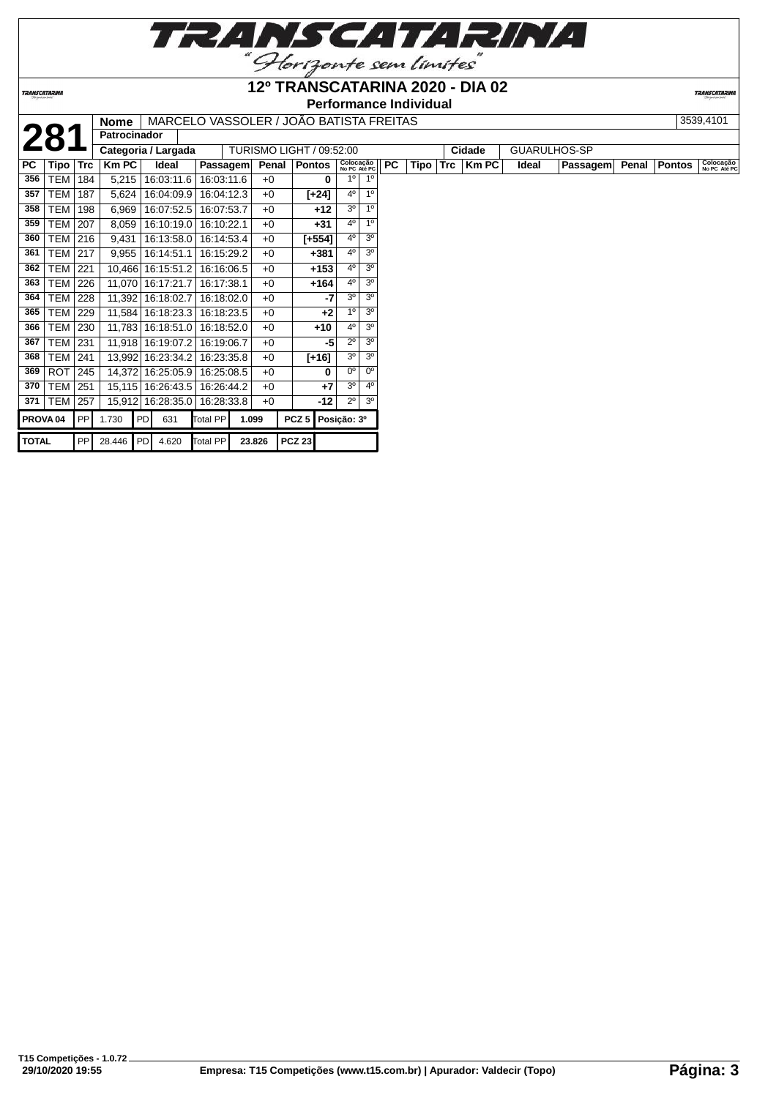

**Performance Individual**

**TRANSCATARIN** 

|                     |                  |            | Nome                |                     |            |        |       | MARCELO VASSOLER / JOAO BATISTA FREITAS |                           |                |           |      |            |              |              |          |       |               | 3539,4101                 |
|---------------------|------------------|------------|---------------------|---------------------|------------|--------|-------|-----------------------------------------|---------------------------|----------------|-----------|------|------------|--------------|--------------|----------|-------|---------------|---------------------------|
|                     | 281              |            | <b>Patrocinador</b> |                     |            |        |       |                                         |                           |                |           |      |            |              |              |          |       |               |                           |
|                     |                  |            | Categoria / Largada |                     |            |        |       | TURISMO LIGHT / 09:52:00                |                           |                |           |      |            | Cidade       | GUARULHOS-SP |          |       |               |                           |
| PC                  | Tipo             | <b>Trc</b> | <b>Km PC</b>        | Ideal               | Passagem   |        | Penal | Pontos                                  | Colocação<br>No PC Até PC |                | <b>PC</b> | Tipo | <b>Trc</b> | <b>Km PC</b> | Ideal        | Passagem | Penal | <b>Pontos</b> | Colocação<br>No PC Até PC |
| 356                 | TEM              | 184        | 5,215               | 16:03:11.6          | 16:03:11.6 |        | $+0$  | 0                                       | 1 <sup>0</sup>            | 10             |           |      |            |              |              |          |       |               |                           |
| 357                 | TEM              | 187        | 5,624               | 16:04:09.9          | 16:04:12.3 |        | $+0$  | $[-24]$                                 | 4 <sup>0</sup>            | 1 <sup>0</sup> |           |      |            |              |              |          |       |               |                           |
| 358                 | TEM              | 198        | 6,969               | 16:07:52.5          | 16:07:53.7 |        | $+0$  | $+12$                                   | 3 <sup>o</sup>            | 1 <sup>0</sup> |           |      |            |              |              |          |       |               |                           |
| 359                 | <b>TEM   207</b> |            | 8,059               | 16:10:19.0          | 16:10:22.1 |        | $+0$  | $+31$                                   | 4 <sup>0</sup>            | 10             |           |      |            |              |              |          |       |               |                           |
| 360                 | <b>TEM   216</b> |            | 9,431               | 16:13:58.0          | 16:14:53.4 |        | $+0$  | $[-554]$                                | $4^{\circ}$               | 3 <sup>0</sup> |           |      |            |              |              |          |       |               |                           |
| 361                 | <b>TEM   217</b> |            | 9,955               | 16:14:51.1          | 16:15:29.2 |        | $+0$  | +381                                    | $4^{\circ}$               | 3 <sup>o</sup> |           |      |            |              |              |          |       |               |                           |
| 362                 | <b>TEM</b>       | 221        |                     | 10,466 16:15:51.2   | 16:16:06.5 |        | $+0$  | $+153$                                  | $4^{\circ}$               | 3 <sup>0</sup> |           |      |            |              |              |          |       |               |                           |
| 363                 | <b>TEM 226</b>   |            | 11,070              | 16:17:21.7          | 16:17:38.1 |        | $+0$  | $+164$                                  | 4 <sup>0</sup>            | 3 <sup>0</sup> |           |      |            |              |              |          |       |               |                           |
| 364                 | TEM              | 228        |                     | 11,392 16:18:02.7   | 16:18:02.0 |        | $+0$  | -7                                      | 3 <sup>o</sup>            | 3 <sup>o</sup> |           |      |            |              |              |          |       |               |                           |
| 365                 | <b>TEM 229</b>   |            |                     | 11,584   16:18:23.3 | 16:18:23.5 |        | $+0$  | $+2$                                    | 1 <sup>°</sup>            | 3 <sup>o</sup> |           |      |            |              |              |          |       |               |                           |
| 366                 | <b>TEM</b>       | 230        |                     | 11,783 16:18:51.0   | 16:18:52.0 |        | $+0$  | $+10$                                   | 4 <sup>0</sup>            | 3 <sup>0</sup> |           |      |            |              |              |          |       |               |                           |
| 367                 | TEM              | 231        |                     | 11,918 16:19:07.2   | 16:19:06.7 |        | $+0$  | -5                                      | $2^{\circ}$               | 3 <sup>o</sup> |           |      |            |              |              |          |       |               |                           |
| 368                 | <b>TEM   241</b> |            |                     | 13,992 16:23:34.2   | 16:23:35.8 |        | $+0$  | $[+16]$                                 | 3 <sup>o</sup>            | 3 <sup>0</sup> |           |      |            |              |              |          |       |               |                           |
| 369                 | ROT              | 245        | 14,372              | 16:25:05.9          | 16:25:08.5 |        | $+0$  | 0                                       | 0 <sup>o</sup>            | $0^{\circ}$    |           |      |            |              |              |          |       |               |                           |
| 370                 | TEM              | 251        | 15,115              | 16:26:43.5          | 16:26:44.2 |        | $+0$  | $+7$                                    | 3 <sup>o</sup>            | $4^{\circ}$    |           |      |            |              |              |          |       |               |                           |
| 371                 | <b>TEM</b>       | 257        |                     | 15,912 16:28:35.0   | 16:28:33.8 |        | $+0$  | $-12$                                   | $2^{\circ}$               | 3 <sup>o</sup> |           |      |            |              |              |          |       |               |                           |
| PROVA <sub>04</sub> |                  | PPI        | 1.730               | PD<br>631           | Total PP   | 1.099  |       | $PCZ$ 5                                 | Posição: 3º               |                |           |      |            |              |              |          |       |               |                           |
| <b>TOTAL</b>        |                  | <b>PPI</b> | 28.446 PD           | 4.620               | Total PP   | 23.826 |       | <b>PCZ 23</b>                           |                           |                |           |      |            |              |              |          |       |               |                           |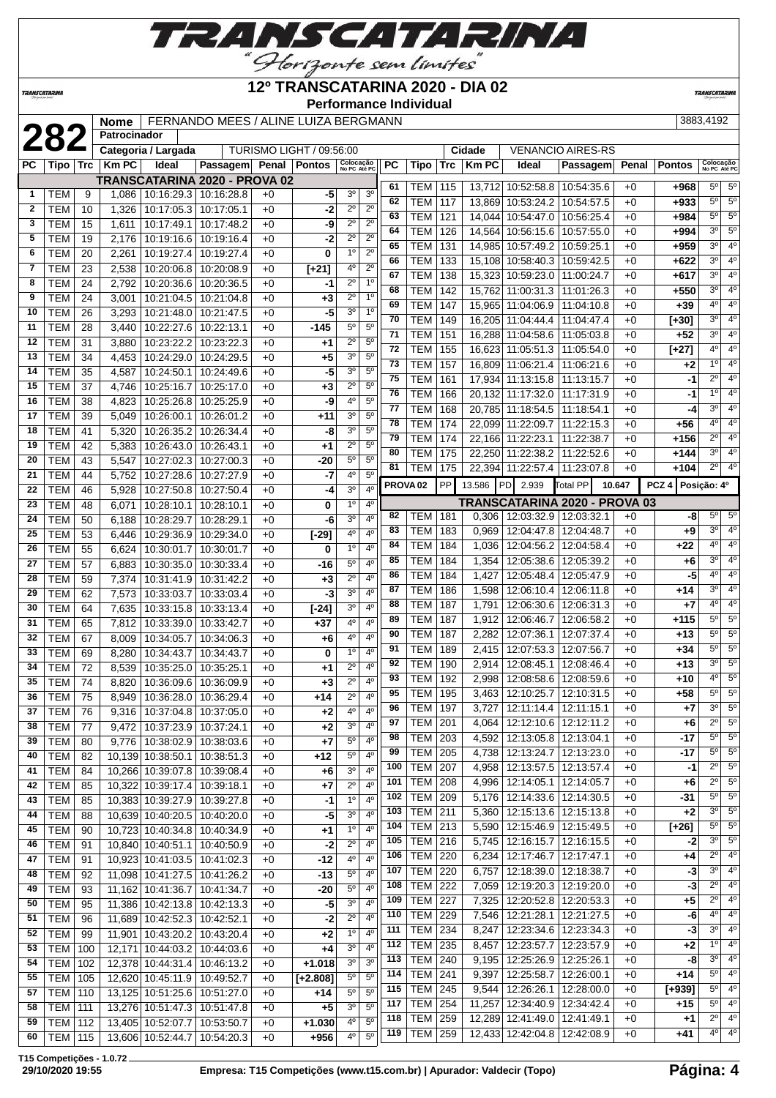

**Performance Individual**

**TRANSCATARI** 

 TEM 195 3,463 12:10:25.7 12:10:31.5 +0 **+58** 5º 5º TEM 197 3.727 12:11:14.4 12:11:15.1 +0 **+7** 3<sup>0</sup> 5 TEM 201 4.064 12:12:10.6 12:12:11.2 +0 **+6**  $2^{\circ}$  5 TEM 203 4,592 12:13:05.8 12:13:04.1 +0 **-17** 5º 5º TEM 205 4,738 12:13:24.7 12:13:23.0 +0 **-17** 5º 5º TEM 207 4,958 12:13:57.5 12:13:57.4 +0 **-1** 2º 5º TEM 208 4,996 12:14:05.1 12:14:05.7 +0 **+6** 2º 5º TEM 209 | 5,176 12:14:33.6 12:14:30.5 +0 **-31** 5° 5 TEM 211 5,360 12:15:13.6 12:15:13.8 +0 **+2** 3º 5º TEM 213 5,590 12:15:46.9 12:15:49.5 +0 **[+26]** 5º 5º TEM 216 5,745 12:16:15.7 12:16:15.5 +0 **-2** 3º 5º TEM 220 6,234 12:17:46.7 12:17:47.1 +0 **+4** 2º 4º TEM 220 6,757 12:18:39.0 12:18:38.7 +0 **-3** 3º 4º TEM 222 7,059 12:19:20.3 12:19:20.0 +0 **-3** 2º 4º TEM 227 7,325 12:20:52.8 12:20:53.3 +0 **+5** 2º 4º TEM 229 7,546 12:21:28.1 12:21:27.5 +0 **-6** 4º 4º TEM 234 8,247 12:23:34.6 12:23:34.3 +0 **-3** 3º 4º TEM 235 8,457 12:23:57.7 12:23:57.9 +0 **+2** 1º 4º TEM 240 9,195 12:25:26.9 12:25:26.1 +0 **-8** 3º 4º TEM 241 9,397 12:25:58.7 12:26:00.1 +0 **+14** 5º 4º TEM 245 9,544 12:26:26.1 12:28:00.0 +0 **[+939]** 5º 4º TEM 254 11,257 12:34:40.9 12:34:42.4 +0 **+15** 5º 4º TEM 259 12,289 12:41:49.0 12:41:49.1 +0 **+1** 2º 4º TEM 259 12,433 12:42:04.8 12:42:08.9 +0 **+41** 4º 4º

|              |            |                 | <b>Nome</b>    |                       | FERNANDO MEES / ALINE LUIZA BERGMANN                             |                          |                          |                           |                  |                     |             |                  |                 |                                   |                               |        |                   | 3883,4192                 |                  |
|--------------|------------|-----------------|----------------|-----------------------|------------------------------------------------------------------|--------------------------|--------------------------|---------------------------|------------------|---------------------|-------------|------------------|-----------------|-----------------------------------|-------------------------------|--------|-------------------|---------------------------|------------------|
|              | 282        |                 | Patrocinador   |                       |                                                                  |                          |                          |                           |                  |                     |             |                  |                 |                                   |                               |        |                   |                           |                  |
|              |            |                 |                | Categoria / Largada   |                                                                  |                          | TURISMO LIGHT / 09:56:00 |                           |                  |                     |             |                  | Cidade          |                                   | <b>VENANCIO AIRES-RS</b>      |        |                   |                           |                  |
| РC           | Tipo   Trc |                 | <b>Km PC</b>   | Ideal                 | Passagem Penal Pontos                                            |                          |                          | Colocação<br>No PC Até PC | PC               |                     | <b>Tipo</b> | <b>Trc</b>       | <b>KmPC</b>     | Ideal                             | Passagem Penal                |        | <b>Pontos</b>     | Colocação<br>No PC Até PC |                  |
| 1            | <b>TEM</b> | 9               |                |                       | TRANSCATARINA 2020 - PROVA 02<br>1,086   10:16:29.3   10:16:28.8 | $+0$                     | -5                       | 3 <sup>o</sup>            | $\overline{3^0}$ | 61                  | <b>TEM</b>  | 115              |                 |                                   | 13,712 10:52:58.8 10:54:35.6  | $+0$   | +968              | $5^{\circ}$               | $5^{\circ}$      |
| $\mathbf{2}$ | <b>TEM</b> | 10              | 1,326          | 10:17:05.3 10:17:05.1 |                                                                  | $+0$                     | -2                       | $2^{\circ}$               | $\overline{2^0}$ | 62                  | <b>TEM</b>  | 117              |                 | 13,869 10:53:24.2                 | 10:54:57.5                    | $+0$   | $+933$            | $\overline{5^0}$          | $\overline{5^0}$ |
| 3            | <b>TEM</b> | $\overline{15}$ | 1,611          | 10:17:49.1            | 10:17:48.2                                                       | $+0$                     | -9                       | $2^{\circ}$               | $\overline{2^0}$ | 63                  | <b>TEM</b>  | 121              |                 | 14,044 10:54:47.0                 | 10:56:25.4                    | $+0$   | $+984$            | $\overline{5^0}$          | $\overline{5^0}$ |
| 5            | <b>TEM</b> | 19              | 2,176          | 10:19:16.6            | 10:19:16.4                                                       | $+0$                     | -2                       | $2^{\circ}$               | $2^{\circ}$      | 64                  | <b>TEM</b>  | 126              |                 |                                   | 14,564 10:56:15.6 10:57:55.0  | $+0$   | $+994$            | 3 <sup>o</sup>            | $5^{\circ}$      |
| 6            | <b>TEM</b> | 20              | 2,261          | 10:19:27.4            | 10:19:27.4                                                       | $+0$                     | 0                        | 1 <sup>0</sup>            | $\overline{2^0}$ | 65                  | <b>TEM</b>  | 131              |                 | 14,985 10:57:49.2                 | 10:59:25.1                    | $+0$   | $+959$            | $\overline{3^0}$          | 4 <sup>0</sup>   |
| 7            | <b>TEM</b> | 23              | 2,538          | 10:20:06.8            | 10:20:08.9                                                       | $+0$                     | $\overline{[+21]}$       | 4 <sup>0</sup>            | $2^{\circ}$      | 66                  | <b>TEM</b>  | 133              |                 |                                   | 15,108 10:58:40.3 10:59:42.5  | $+0$   | $+622$            | 3 <sup>o</sup>            | 4 <sup>0</sup>   |
| 8            | <b>TEM</b> | 24              | 2.792          | 10:20:36.6            | 10:20:36.5                                                       | $+0$                     | -1                       | $2^{\circ}$               | 1 <sup>0</sup>   | 67                  | <b>TEM</b>  | 138              |                 | 15,323 10:59:23.0                 | 11:00:24.7                    | $+0$   | $+617$            | 3 <sup>o</sup>            | 4 <sup>0</sup>   |
| 9            | <b>TEM</b> | 24              | 3,001          | 10:21:04.5            | 10:21:04.8                                                       | $+0$                     | $+3$                     | $2^{\circ}$               | 1 <sup>0</sup>   | 68                  | <b>TEM</b>  | $\overline{142}$ |                 | 15,762 11:00:31.3                 | 11:01:26.3                    | $+0$   | $+550$            | 3 <sup>o</sup>            | 4 <sup>0</sup>   |
| 10           | <b>TEM</b> | 26              | 3,293          | 10:21:48.0            | 10:21:47.5                                                       | $+0$                     | -5                       | 3 <sup>0</sup>            | 1 <sup>0</sup>   | 69                  | <b>TEM</b>  | 147              |                 | 15.965 11:04:06.9                 | 11:04:10.8                    | $+0$   | $+39$             | 4 <sup>0</sup>            | 4 <sup>0</sup>   |
| 11           | <b>TEM</b> | 28              | 3.440          | 10:22:27.6            | 10:22:13.1                                                       | $+0$                     | $-145$                   | $5^{\circ}$               | $\overline{5^0}$ | 70                  | <b>TEM</b>  | 149              |                 | 16,205 11:04:44.4                 | 11:04:47.4                    | $+0$   | $[+30]$           | 3 <sup>o</sup>            | $\overline{4^0}$ |
| 12           | <b>TEM</b> | 31              | 3,880          | 10:23:22.2            | 10:23:22.3                                                       | $+0$                     | $+1$                     | $2^{\circ}$               | $5^{\circ}$      | $\overline{71}$     | <b>TEM</b>  | 151              |                 | 16,288 11:04:58.6                 | 11:05:03.8                    | $+0$   | $+52$             | $\overline{3^0}$          | $\overline{4^0}$ |
| 13           | <b>TEM</b> | $\overline{34}$ | 4,453          | 10:24:29.0            | 10:24:29.5                                                       | $+0$                     | $+5$                     | 3 <sup>0</sup>            | $5^{\circ}$      | 72                  | <b>TEM</b>  | 155              |                 | 16,623 11:05:51.3                 | 11:05:54.0                    | $+0$   | $[+27]$           | $\overline{4^0}$          | 4 <sup>0</sup>   |
| 14           | <b>TEM</b> | 35              | 4.587          | 10:24:50.1            | 10:24:49.6                                                       | $+0$                     | -5                       | 3 <sup>0</sup>            | $5^{\circ}$      | 73                  | <b>TEM</b>  | 157              |                 | 16,809 11:06:21.4                 | 11:06:21.6                    | $+0$   | $+2$              | 1°                        | 4 <sup>0</sup>   |
| 15           | <b>TEM</b> | 37              |                | 10:25:16.7            | 10:25:17.0                                                       | $+0$                     |                          | $2^{\circ}$               | $\overline{5^0}$ | 75                  | <b>TEM</b>  | 161              |                 | 17,934 11:13:15.8                 | 11:13:15.7                    | $+0$   | -1                | $\overline{2^{\circ}}$    | $\overline{4^0}$ |
| 16           | <b>TEM</b> | 38              | 4,746<br>4,823 | 10:25:26.8            | 10:25:25.9                                                       | $+0$                     | +3                       | 4 <sup>0</sup>            | $5^{\circ}$      | 76                  | <b>TEM</b>  | 166              |                 | 20,132 11:17:32.0                 | 11:17:31.9                    | $+0$   | -1                | 1 <sup>°</sup>            | 4 <sup>0</sup>   |
| 17           | <b>TEM</b> | 39              | 5.049          | 10:26:00.1            | 10:26:01.2                                                       | $+0$                     | -9<br>$+11$              | 3 <sup>0</sup>            | 5 <sup>0</sup>   | 77                  | <b>TEM</b>  | 168              |                 | 20,785 11:18:54.5                 | 11:18:54.1                    | $+0$   | -4                | 3 <sup>o</sup>            | 4 <sup>0</sup>   |
| 18           | <b>TEM</b> | 41              |                | 10:26:35.2            |                                                                  | $+0$                     | -8                       | 3 <sup>0</sup>            | $\overline{5^0}$ | 78                  | <b>TEM</b>  | 174              |                 | 22,099 11:22:09.7                 | 11:22:15.3                    | $+0$   | $+56$             | 4 <sup>o</sup>            | $\overline{4^0}$ |
| 19           | <b>TEM</b> | 42              | 5,320          | 10:26:43.0            | 10:26:34.4                                                       | $+0$                     |                          | $2^{\circ}$               | $\overline{5^0}$ | 79                  | <b>TEM</b>  | 174              |                 | 22,166 11:22:23.1                 | 11:22:38.7                    | $+0$   | $+156$            | $\overline{2^0}$          | 4 <sup>0</sup>   |
| 20           | <b>TEM</b> | 43              | 5,383<br>5.547 | 10:27:02.3            | 10:26:43.1<br>10:27:00.3                                         | $+0$                     | $+1$<br>$-20$            | $5^{\circ}$               | $5^{\circ}$      | 80                  | <b>TEM</b>  | 175              |                 | 22,250 11:22:38.2                 | 11:22:52.6                    | $+0$   | $+144$            | 3 <sup>o</sup>            | 4 <sup>0</sup>   |
| 21           | <b>TEM</b> | 44              | 5,752          | 10:27:28.6            | 10:27:27.9                                                       | $+0$                     | -7                       | $4^{\circ}$               | 5 <sup>0</sup>   | 81                  | <b>TEM</b>  | 175              |                 |                                   | 22,394 11:22:57.4 11:23:07.8  | $+0$   | $+104$            | $2^{\circ}$               | 4 <sup>0</sup>   |
| 22           | <b>TEM</b> | 46              | 5,928          | 10:27:50.8            | 10:27:50.4                                                       | $+0$                     | -4                       | 3 <sup>0</sup>            | 4 <sup>0</sup>   | PROVA <sub>02</sub> |             | <b>PP</b>        | 13.586 PD 2.939 |                                   | Total PP                      | 10.647 | PCZ 4 Posicão: 4º |                           |                  |
| 23           | <b>TEM</b> | 48              | 6.071          | 10:28:10.1            | 10:28:10.1                                                       | $+0$                     | 0                        | 1 <sup>0</sup>            | 4 <sup>0</sup>   |                     |             |                  |                 |                                   | TRANSCATARINA 2020 - PROVA 03 |        |                   |                           |                  |
| 24           | <b>TEM</b> | 50              | 6,188          | 10:28:29.7            | 10:28:29.1                                                       | $+0$                     | -6                       | 3 <sup>0</sup>            | 4 <sup>0</sup>   | 82                  | <b>TEM</b>  | 181              |                 | $0,306$   12:03:32.9   12:03:32.1 |                               | $+0$   | -8                | $5^{\circ}$               | $5^{\circ}$      |
| 25           | <b>TEM</b> | 53              | 6.446          | 10:29:36.9            | 10:29:34.0                                                       | $+0$                     | $[-29]$                  | 4 <sup>0</sup>            | 4 <sup>0</sup>   | 83                  | <b>TEM</b>  | 183              | 0.969           | 12:04:47.8   12:04:48.7           |                               | $+0$   | $+9$              | 3 <sup>o</sup>            | $\overline{4^0}$ |
| 26           | <b>TEM</b> | 55              | 6.624          | 10:30:01.7            | 10:30:01.7                                                       | $+0$                     | 0                        | 1 <sup>0</sup>            | 4 <sup>0</sup>   | 84                  | <b>TEM</b>  | 184              | 1,036           |                                   | 12:04:56.2   12:04:58.4       | $+0$   | +22               | 4 <sup>0</sup>            | 4 <sup>0</sup>   |
| 27           | <b>TEM</b> | 57              | 6,883          | 10:30:35.0            | 10:30:33.4                                                       | $+0$                     | $-16$                    | $5^{\circ}$               | 4 <sup>0</sup>   | 85                  | <b>TEM</b>  | 184              | 1,354           |                                   | 12:05:38.6 12:05:39.2         | $+0$   | $+6$              | 3 <sup>o</sup>            | 4 <sup>0</sup>   |
| 28           | <b>TEM</b> | 59              | 7,374          | 10:31:41.9            | 10:31:42.2                                                       | $+0$                     | $+3$                     | $2^{\circ}$               | 4 <sup>0</sup>   | 86                  | <b>TEM</b>  | 184              | 1,427           |                                   | 12:05:48.4   12:05:47.9       | $+0$   | -5                | 4 <sup>0</sup>            | 4 <sup>0</sup>   |
| 29           | <b>TEM</b> | 62              | 7.573          | 10:33:03.7            | 10:33:03.4                                                       | $+0$                     | -3                       | 3 <sup>0</sup>            | 4 <sup>0</sup>   | 87                  | <b>TEM</b>  | 186              | 1.598           |                                   | 12:06:10.4   12:06:11.8       | $+0$   | $+14$             | 3 <sup>o</sup>            | 4 <sup>0</sup>   |
| 30           | <b>TEM</b> | 64              | 7,635          | 10:33:15.8            | 10:33:13.4                                                       | $+0$                     | $[-24]$                  | 3 <sup>0</sup>            | 4 <sup>0</sup>   | 88                  | <b>TEM</b>  | 187              | 1,791           | 12:06:30.6                        | 12:06:31.3                    | $+0$   | $+7$              | 4 <sup>0</sup>            | 4 <sup>0</sup>   |
| 31           | <b>TEM</b> | 65              | 7,812          | 10:33:39.0            | 10:33:42.7                                                       | $+0$                     | $+37$                    | 4 <sup>0</sup>            | 4 <sup>0</sup>   | 89                  | <b>TEM</b>  | 187              | 1,912           | 12:06:46.7                        | 12:06:58.2                    | $+0$   | $+115$            | 5 <sup>0</sup>            | 5 <sup>o</sup>   |
| 32           | <b>TEM</b> | 67              | 8.009          | 10:34:05.7            | 10:34:06.3                                                       | $+0$                     | $+6$                     | 4 <sup>0</sup>            | 4 <sup>0</sup>   | 90                  | <b>TEM</b>  | 187              | 2.282           | 12:07:36.1                        | 12:07:37.4                    | $+0$   | $+13$             | 5 <sup>o</sup>            | 5 <sup>o</sup>   |
| 33           | <b>TEM</b> | 69              | 8,280          | 10:34:43.7            | 10:34:43.7                                                       | $+0$                     | $\mathbf 0$              | 1 <sup>0</sup>            | 4 <sup>0</sup>   | 91                  | <b>TEM</b>  | 189              |                 | 2,415   12:07:53.3                | 12:07:56.7                    | $+0$   | $+34$             | $\overline{5^0}$          | $5^{\circ}$      |
| 34           | <b>TEM</b> | $\overline{72}$ | 8,539          |                       | 10:35:25.0 10:35:25.1                                            | $+0$                     | $+1$                     | $2^{\circ}$               | 4 <sup>0</sup>   | 92                  | <b>TEM</b>  | 190              |                 | 2,914   12:08:45.1                | 12:08:46.4                    | $+0$   | $+13$             | 3 <sup>o</sup>            | $5^{\circ}$      |
| 25.          | T T M      | 74              |                |                       | $0.020$ $10.2000e$ $10.2000$                                     | $\overline{\phantom{0}}$ | $\overline{\phantom{a}}$ | $\overline{20}$           | $\overline{40}$  | 93                  | <b>TEM</b>  | 192              |                 |                                   | 2.998 12:08:58.6 12:08:59.6   | $+0$   | $+10$             | $4^{\circ}$               | $-5^{\circ}$     |

 TEM 74 8,820 10:36:09.6 10:36:09.9 +0 **+3** 2º 4º | TEM | 75 | 8,949 | 10:36:28.0 | 10:36:29.4 | +0 | +14 | 2<sup>o</sup> | 4<sup>o</sup> | TEM | 76 | 9,316 | 10:37:04.8 | 10:37:05.0 | +0 | +2 | 4<sup>o</sup> | 4<sup>o</sup> TEM 77 9,472 10:37:23.9 10:37:24.1 +0 **+2** 3º 4º TEM 80 9,776 10:38:02.9 10:38:03.6 +0 **+7** 5º 4º TEM 82 10,139 10:38:50.1 10:38:51.3 +0 **+12** 5º 4º TEM 84 10,266 10:39:07.8 10:39:08.4 +0 **+6** 3º 4º TEM 85 10,322 10:39:17.4 10:39:18.1 +0 **+7** 2º 4º TEM 85 10,383 10:39:27.9 10:39:27.8 +0 **-1** 1º 4º TEM 88 10,639 10:40:20.5 10:40:20.0 +0 **-5** 3º 4º TEM 90 10,723 10:40:34.8 10:40:34.9 +0 **+1** 1º 4º TEM 91 10,840 10:40:51.1 10:40:50.9 +0 **-2** 2º 4º TEM 91 10,923 10:41:03.5 10:41:02.3 +0 **-12** 4º 4º TEM 92 11,098 10:41:27.5 10:41:26.2 +0 **-13** 5º 4º TEM 93 11,162 10:41:36.7 10:41:34.7 +0 **-20** 5º 4º TEM 95 11,386 10:42:13.8 10:42:13.3 +0 **-5** 3º 4º TEM 96 11,689 10:42:52.3 10:42:52.1 +0 **-2** 2º 4º TEM 99 11,901 10:43:20.2 10:43:20.4 +0 **+2** 1º 4º TEM 100 12,171 10:44:03.2 10:44:03.6 +0 **+4** 3º 4º TEM 102 12,378 10:44:31.4 10:46:13.2 +0 **+1.018** 3º 3º TEM 105 12,620 10:45:11.9 10:49:52.7 +0 **[+2.808]** 5º 5º TEM 110 13,125 10:51:25.6 10:51:27.0 +0 **+14** 5º 5º TEM 111 13,276 10:51:47.3 10:51:47.8 +0 **+5** 3º 5º TEM 112 13,405 10:52:07.7 10:53:50.7 +0 **+1.030** 4º 5º

 TEM 115 13,606 10:52:44.7 10:54:20.3 +0 **+956** 4º 5º **T15 Competições - 1.0.72**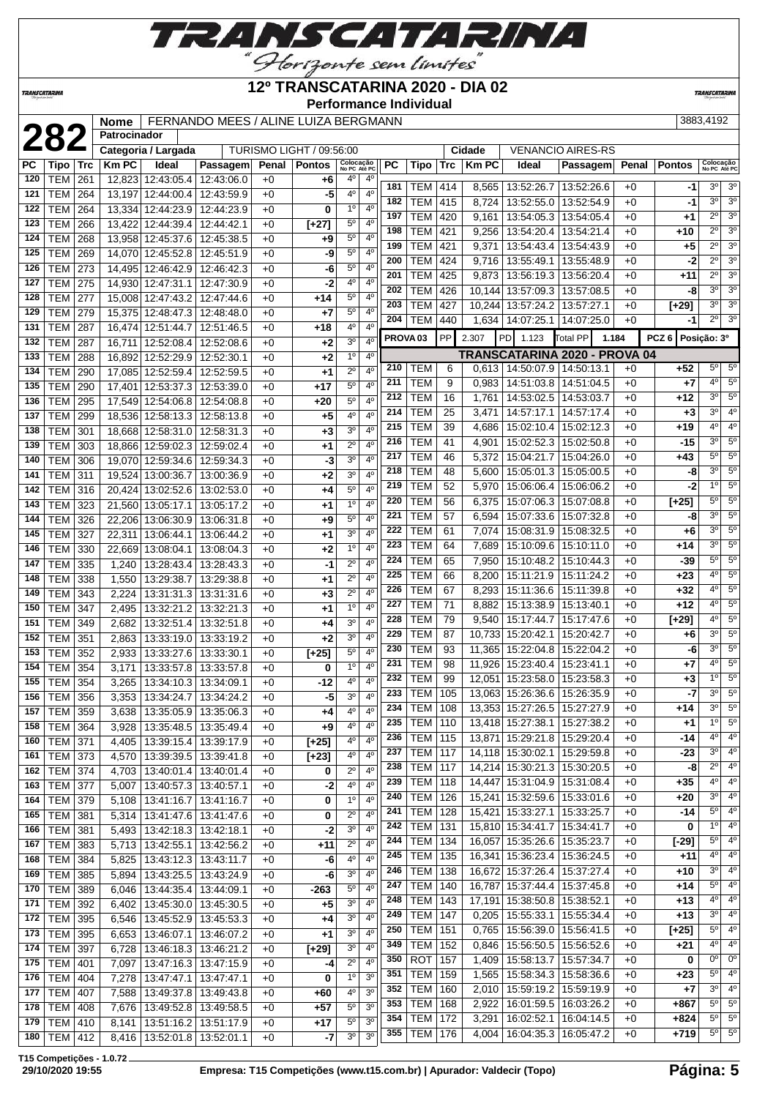

### **12º TRANSCATARINA 2020 - DIA 02**

**Performance Individual**

**TRANSCATARIN** 

**8,565 13:52:26.7 13:52:26.6 +0 -1 3<sup>0</sup> 3<sup>0</sup>** 

**TRANSCATARINA** 

### **2883,4192 Nome** FERNANDO MEES / ALINE LUIZA BERGMANN [3883,4192]<br> **2883,4192 Patrocinador**<br>
PC | Tipo | Trc | Km PC | Ideal | Passagem| Penal | Pontos | Secretation | PC | Tipo | Trc | Km PC | Ideal | Passagem| Penal **Patrocinador Categoria / Largada** TURISMO LIGHT / 09:56:00 **Cidade** VENANCIO AIRES-RS **Passagem Penal Pontos Colocação PC Tipo Trc Km PC 4** 12:43:06.0 +0 **+6**  $4^0$   $4^0$   $4^0$ **No PC Até PC PC Tipo Trc Km PC Ideal Passagem Penal Pontos Colocação No PC Até PC** TEM 261 12,823 12:43:05.4 12:43:06.0 +0 TEM 264 13,197 12:44:00.4 12:43:59.9 +0 **182** TEM 42<br> **184** 131 TEM 414

|     |                  |     |        |                                   |                                 |      |         |                | 184                   | IEM I               | 415 | 8,724  | 13:52:55.0   13:52:54.9                       |                               | +0   | -1                | ا "گ        | చి                         |
|-----|------------------|-----|--------|-----------------------------------|---------------------------------|------|---------|----------------|-----------------------|---------------------|-----|--------|-----------------------------------------------|-------------------------------|------|-------------------|-------------|----------------------------|
| 122 | <b>TEM   264</b> |     |        | 13,334 12:44:23.9 12:44:23.9      |                                 | +0   | 0       | 1 <sup>0</sup> | 4 <sup>0</sup><br>197 | TEM                 | 420 |        | 9,161   13:54:05.3   13:54:05.4               |                               | $+0$ | +1                | $2^{\circ}$ | 3 <sup>o</sup>             |
| 123 | TEM              | 266 |        | 13,422 12:44:39.4 12:44:42.1      |                                 | $+0$ | [+27]   | $5^{\circ}$    | $4^{\circ}$<br>198    | TEM                 | 421 | 9,256  | 13:54:20.4                                    | 13:54:21.4                    | $+0$ | +10               | $2^{\circ}$ | 3 <sup>o</sup>             |
| 124 | <b>TEM</b>       | 268 |        | 13.958 12:45:37.6 12:45:38.5      |                                 | $+0$ | +9      | $5^{\circ}$    | $4^{\circ}$<br>199    | TEM                 | 421 |        | 9,371   13:54:43.4   13:54:43.9               |                               | $+0$ | $+5$              | $2^{\circ}$ | 3 <sup>o</sup>             |
| 125 | TEM              | 269 |        | 14,070 12:45:52.8                 | 12:45:51.9                      | $+0$ | -9      | $5^{\circ}$    | 4°<br>200             | TEM                 | 424 | 9,716  | 13:55:49.1                                    | 13:55:48.9                    | $+0$ | -2                | $2^{\circ}$ | 3 <sup>o</sup>             |
| 126 | <b>TEM</b>       | 273 |        | 14,495 12:46:42.9                 | 12:46:42.3                      | +0   | -6      | 5°             | 4°<br>201             | TEM                 | 425 | 9,873  | 13:56:19.3   13:56:20.4                       |                               | $+0$ | +11               | $2^{\circ}$ | 3 <sup>0</sup>             |
| 127 | TEM   275        |     |        | 14,930 12:47:31.1                 | 12:47:30.9                      | $+0$ | -2      | 4°             | $4^{\circ}$<br>202    | TEM                 | 426 |        | 10,144 13:57:09.3 13:57:08.5                  |                               | $+0$ | -8                | $3^{\circ}$ | 3 <sup>o</sup>             |
| 128 | TEM              | 277 |        | 15,008 12:47:43.2                 | 12:47:44.6                      | $+0$ | $+14$   | $5^{\circ}$    | $4^{\circ}$<br>203    | <b>TEM</b>          | 427 |        | 10,244 13:57:24.2 13:57:27.1                  |                               | $+0$ | [+29]             | $3^{\circ}$ | 3 <sup>o</sup>             |
| 129 | TEM              | 279 |        | 15,375 12:48:47.3                 | 12:48:48.0                      | +0   | $+7$    | 5°             | $4^{\circ}$<br>204    | <b>TEM</b>          | 440 | 1,634  | 14:07:25.1                                    | 14:07:25.0                    | $+0$ | -1                | $2^{\circ}$ | 3 <sup>o</sup>             |
| 131 | TEM              | 287 |        | 16,474 12:51:44.7                 | 12:51:46.5                      | +0   | +18     | 40             | $4^{\circ}$           | PROVA <sub>03</sub> | PP  | 2.307  | PD 1.123                                      | Total PP<br>1.184             |      | PCZ 6 Posição: 3º |             |                            |
| 132 | TEM              | 287 | 16,711 | 12:52:08.4                        | 12:52:08.6                      | +0   | $+2$    | 30             | $4^{\circ}$           |                     |     |        |                                               |                               |      |                   |             |                            |
| 133 | TEM              | 288 | 16.892 | 12:52:29.9                        | 12:52:30.1                      | $+0$ | $+2$    | $1^{\circ}$    | $4^{\circ}$<br>210    | TEM                 | 6   |        | $0,613$   14:50:07.9   14:50:13.1             | TRANSCATARINA 2020 - PROVA 04 | $+0$ | +52               |             | $5^\circ$ 5°               |
| 134 | TEM              | 290 |        | 17,085 12:52:59.4 12:52:59.5      |                                 | $+0$ | $+1$    | $2^{\circ}$    | $4^{\circ}$<br>211    | TEM                 | 9   | 0,983  | 14:51:03.8   14:51:04.5                       |                               | $+0$ | $+7$              | $4^{\circ}$ | $5^{\circ}$                |
| 135 | TEM              | 290 |        | 17,401 12:53:37.3                 | 12:53:39.0                      | +0   | $+17$   | $5^{\circ}$    | $4^{\circ}$<br>212    | TEM                 | 16  |        |                                               |                               | $+0$ |                   |             | $3^0$ 5 <sup>0</sup>       |
| 136 | TEM              | 295 |        | 17,549 12:54:06.8                 | 12:54:08.8                      | +0   | +20     | $5^{\circ}$    | $4^{\circ}$<br>214    | <b>TEM</b>          | 25  |        | 1,761   14:53:02.5   14:53:03.7<br>14:57:17.1 | 14:57:17.4                    | $+0$ | +12               | $3^{\circ}$ | 4 <sup>o</sup>             |
| 137 | TEM              | 299 |        | 18,536 12:58:13.3                 | 12:58:13.8                      | +0   | $+5$    | 4°             | 4 <sup>0</sup><br>215 |                     |     | 3,471  |                                               |                               |      | $+3$              | 4º          | $4^{\circ}$                |
| 138 | TEM              | 301 |        | 18,668 12:58:31.0                 | 12:58:31.3                      | $+0$ | $+3$    | 30             | 4 <sup>0</sup><br>216 | TEM                 | 39  | 4,686  | 15:02:10.4                                    | 15:02:12.3                    | $+0$ | +19<br>$-15$      | $3^{\circ}$ | $5^{\circ}$                |
| 139 | TEM              | 303 |        | 18,866 12:59:02.3                 | 12:59:02.4                      | +0   | $^{+1}$ | $2^{\circ}$    | $4^{\circ}$           | TEM                 | 41  |        | 4,901   15:02:52.3   15:02:50.8               |                               | $+0$ |                   | $5^{\circ}$ | $5^\circ$                  |
| 140 | TEM              | 306 |        | 19,070 12:59:34.6                 | 12:59:34.3                      | +0   | -3      | 30             | 217<br>$4^{\circ}$    | <b>TEM</b>          | 46  | 5,372  | 15:04:21.7   15:04:26.0                       |                               | $+0$ | +43               | $3^{\circ}$ | $5^{\circ}$                |
| 141 | TEM              | 311 |        | 19,524 13:00:36.7                 | 13:00:36.9                      | +0   | $+2$    | 30             | 218<br>4 <sup>0</sup> | <b>TEM</b>          | 48  | 5,600  | 15:05:01.3                                    | 15:05:00.5                    | $+0$ | -8                | $1^{\circ}$ | $5^\circ$                  |
| 142 | TEM 316          |     |        | 20,424 13:02:52.6                 | 13:02:53.0                      | $+0$ | +4      | 5 <sup>0</sup> | 219<br>4 <sup>0</sup> | <b>TEM</b>          | 52  | 5,970  | 15:06:06.4                                    | 15:06:06.2                    | $+0$ | -2                |             |                            |
| 143 | TEM              | 323 |        | 21,560 13:05:17.1                 | 13:05:17.2                      | $+0$ | +1      | 1 <sup>0</sup> | 220<br>$4^{\circ}$    | TEM                 | 56  | 6,375  | 15:07:06.3   15:07:08.8                       |                               | $+0$ | [+25]             | $5^{\circ}$ | $5^{\circ}$                |
| 144 | TEM              | 326 |        | 22,206 13:06:30.9                 | 13:06:31.8                      | $+0$ | $+9$    | $5^{\circ}$    | 221<br>4 <sup>0</sup> | TEM                 | 57  | 6,594  | 15:07:33.6                                    | 15:07:32.8                    | $+0$ | -8                | 3º          | $5^{\circ}$                |
| 145 | TEM              | 327 | 22,311 | 13:06:44.1                        | 13:06:44.2                      | +0   | $^{+1}$ | 30             | 222<br>$4^{\circ}$    | TEM                 | 61  | 7,074  | 15:08:31.9   15:08:32.5                       |                               | $+0$ | +6                | $3^{\circ}$ | $5^{\circ}$                |
| 146 | TEM              | 330 | 22.669 | 13:08:04.1                        | 13:08:04.3                      | $+0$ | $+2$    | 1 <sup>0</sup> | 223<br>$4^{\circ}$    | <b>TEM</b>          | 64  | 7,689  | 15:10:09.6   15:10:11.0                       |                               | $+0$ | +14               | $3^{\circ}$ | $5^{\circ}$                |
| 147 | TEM              | 335 | 1,240  | 13:28:43.4                        | 13:28:43.3                      | $+0$ | -1      | $2^{\circ}$    | 224<br>$4^{\circ}$    | TEM                 | 65  | 7,950  | 15:10:48.2   15:10:44.3                       |                               | $+0$ | -39               | $5^{\circ}$ | $5^\circ$                  |
| 148 | TEM              | 338 | 1,550  | 13:29:38.7                        | 13:29:38.8                      | $+0$ | $^{+1}$ | $2^{\circ}$    | 225<br>$4^{\circ}$    | <b>TEM</b>          | 66  | 8,200  | 15:11:21.9                                    | 15:11:24.2                    | $+0$ | $+23$             | $4^{\circ}$ | $5^{\circ}$                |
| 149 | TEM              | 343 | 2,224  | 13:31:31.3                        | 13:31:31.6                      | +0   | $+3$    | $2^{\circ}$    | 226<br>$4^{\circ}$    | <b>TEM</b>          | 67  | 8,293  | 15:11:36.6                                    | 15:11:39.8                    | $+0$ | $+32$             | $4^{\circ}$ | $5^\circ$                  |
| 150 | TEM              | 347 | 2,495  | 13:32:21.2                        | 13:32:21.3                      | +0   | $+1$    | 1 <sup>0</sup> | 227<br>4 <sup>0</sup> | <b>TEM</b>          | 71  | 8,882  | 15:13:38.9                                    | 15:13:40.1                    | $+0$ | +12               | $4^{\circ}$ | $5^\circ$                  |
| 151 | TEM              | 349 | 2,682  | 13:32:51.4                        | 13:32:51.8                      | $+0$ | +4      | 3 <sup>0</sup> | 228<br>4 <sup>0</sup> | <b>TEM</b>          | 79  | 9,540  | 15:17:44.7                                    | 15:17:47.6                    | $+0$ | $[+29]$           | $4^{\circ}$ | $5^{\circ}$                |
| 152 | TEM              | 351 | 2,863  | 13:33:19.0                        | 13:33:19.2                      | $+0$ | $+2$    | 30             | 229<br>$4^{\circ}$    | TEM                 | 87  |        | 10,733 15:20:42.1                             | 15:20:42.7                    | $+0$ | +6                | $3^{\circ}$ | 5 <sup>o</sup>             |
| 153 | TEM              | 352 | 2,933  | 13:33:27.6                        | 13:33:30.1                      | +0   | $[+25]$ | $5^{\circ}$    | 230<br>$4^{\circ}$    | TEM                 | 93  |        | 11,365   15:22:04.8   15:22:04.2              |                               | $+0$ | -6                | 3º          | $5^\circ$                  |
| 154 | TEM              | 354 | 3,171  | 13:33:57.8                        | 13:33:57.8                      | +0   | 0       | 1 <sup>0</sup> | 231<br>$4^{\circ}$    | TEM                 | 98  |        | 11,926   15:23:40.4                           | 15:23:41.1                    | $+0$ | +7                | 4º          | $5^{\circ}$                |
| 155 | <b>TEM</b>       | 354 | 3,265  | 13:34:10.3                        | 13:34:09.1                      | +0   | -12     | 40             | 232<br>4 <sup>0</sup> | <b>TEM</b>          | 99  | 12,051 | 15:23:58.0                                    | 15:23:58.3                    | $+0$ | $+3$              | $1^{\circ}$ | $5^{\circ}$                |
| 156 | TEM              | 356 | 3,353  | 13:34:24.7                        | 13:34:24.2                      | $+0$ | $-5$    | 30             | 233<br>$4^{\circ}$    | <b>TEM</b>          | 105 |        | 13,063 15:26:36.6 15:26:35.9                  |                               | $+0$ | -7                | $3^{\circ}$ | $5^{\circ}$                |
| 157 | TEM              | 359 | 3,638  | 13:35:05.9                        | 13:35:06.3                      | $+0$ | +4      | 4°             | 234<br>$4^{\circ}$    | TEM                 | 108 |        | 13,353 15:27:26.5 15:27:27.9                  |                               | $+0$ | +14               | $3^{\circ}$ | $5^\circ$                  |
| 158 | TEM              | 364 | 3,928  | 13:35:48.5                        | 13:35:49.4                      | +0   | $+9$    | 40             | 235<br>$4^{\circ}$    | TEM                 | 110 |        | 13,418 15:27:38.1                             | 15:27:38.2                    | $+0$ | $+1$              | $1^{\circ}$ | 5 <sup>o</sup>             |
| 160 | TEM              | 371 | 4,405  | 13:39:15.4                        | 13:39:17.9                      | +0   | $[+25]$ | 4 <sup>0</sup> | 236<br>4 <sup>0</sup> | TEM                 | 115 |        | 13,871 15:29:21.8 15:29:20.4                  |                               | $+0$ | -14               | $4^{\circ}$ | 4 <sup>0</sup>             |
| 161 | <b>TEM</b>       | 373 | 4,570  | 13:39:39.5                        | 13:39:41.8                      | $+0$ | $[+23]$ | 4°             | 237<br>4 <sup>0</sup> | TEM                 | 117 | 14,118 | 15:30:02.1                                    | 15:29:59.8                    | $+0$ | -23               | $3^{\circ}$ | $4^{\circ}$                |
|     | 162   TEM   374  |     |        | 4,703   13:40:01.4   13:40:01.4   |                                 | $+0$ | 0       | $2^{\circ}$    | 238<br>$4^{\circ}$    | TEM                 | 117 |        | 14,214 15:30:21.3 15:30:20.5                  |                               | $+0$ | -8                | $2^{\circ}$ | 4 <sup>0</sup>             |
|     | 163 TEM 377      |     |        |                                   | 5,007   13:40:57.3   13:40:57.1 | $+0$ | $-2$    | $4^{\circ}$    | 4 <sup>0</sup>        | 239 TEM 118         |     |        | 14,447 15:31:04.9 15:31:08.4                  |                               | $+0$ | $+35$             |             | $4^{\circ}$ 4 <sup>o</sup> |
| 164 | TEM   379        |     |        | $5,108$   13:41:16.7   13:41:16.7 |                                 | +0   | 0       | 1 <sup>0</sup> | 240<br>4°             | TEM   126           |     |        | 15,241 15:32:59.6 15:33:01.6                  |                               | $+0$ | +20               | $3^{\circ}$ | $4^{\circ}$                |
| 165 | <b>TEM 381</b>   |     | 5,314  | 13:41:47.6                        | 13:41:47.6                      | $+0$ | 0       | $2^{\circ}$    | 241<br>$4^{\circ}$    | <b>TEM</b>          | 128 |        | 15,421   15:33:27.1   15:33:25.7              |                               | $+0$ | -14               | $5^{\circ}$ | $4^{\circ}$                |
| 166 | TEM   381        |     | 5,493  | 13:42:18.3 13:42:18.1             |                                 | $+0$ | -2      | 3 <sup>o</sup> | 242<br>$4^{\circ}$    | <b>TEM 131</b>      |     |        | 15,810 15:34:41.7 15:34:41.7                  |                               | $+0$ | 0                 |             | $10^{9}$ 4 <sup>0</sup>    |
| 167 | TEM 383          |     | 5,713  | 13:42:55.1 13:42:56.2             |                                 | $+0$ | +11     | $2^{\circ}$    | 244<br>4°             | <b>TEM 134</b>      |     |        | 16,057 15:35:26.6 15:35:23.7                  |                               | $+0$ | $[-29]$           | $5^{\circ}$ | $4^{\circ}$                |
| 168 | TEM              | 384 | 5,825  | 13:43:12.3                        | 13:43:11.7                      | +0   | -6      | 4º             | 245<br>$4^{\circ}$    | <b>TEM 135</b>      |     |        | 16,341   15:36:23.4   15:36:24.5              |                               | $+0$ | $+11$             | 4º          | $4^{\circ}$                |
| 169 | <b>TEM 385</b>   |     | 5,894  | 13:43:25.5                        | 13:43:24.9                      | $+0$ | -6      | 3 <sup>o</sup> | 246<br>$4^{\circ}$    | <b>TEM</b>          | 138 |        | 16,672 15:37:26.4   15:37:27.4                |                               | $+0$ | +10               | $3^{\circ}$ | $4^{\circ}$                |
|     | 170   TEM   389  |     | 6,046  | 13:44:35.4 13:44:09.1             |                                 | $+0$ | -263    | $5^{\circ}$    | 247<br>$4^{\circ}$    | <b>TEM</b>          | 140 |        | 16,787 15:37:44.4 15:37:45.8                  |                               | $+0$ | +14               | $5^{\circ}$ | 4 <sup>o</sup>             |
| 171 | <b>TEM 392</b>   |     | 6,402  | 13:45:30.0   13:45:30.5           |                                 | $+0$ | $+5$    | 3 <sup>0</sup> | 248<br>$4^{\circ}$    | <b>TEM</b>          | 143 |        | 17,191 15:38:50.8 15:38:52.1                  |                               | $+0$ | +13               | 4°          | $4^{\circ}$                |
|     | 172   TEM   395  |     | 6,546  | 13:45:52.9   13:45:53.3           |                                 | $+0$ | $+4$    | 3 <sup>o</sup> | 249<br>$4^{\circ}$    | <b>TEM</b>          | 147 |        | $0,205$   15:55:33.1                          | 15:55:34.4                    | $+0$ | $+13$             | $3^{\circ}$ | $4^{\circ}$                |
|     | 173   TEM   395  |     | 6,653  | 13:46:07.1   13:46:07.2           |                                 | $+0$ | $+1$    | 3 <sup>o</sup> | 250<br>$4^{\circ}$    | <b>TEM</b>          | 151 | 0,765  | 15:56:39.0   15:56:41.5                       |                               | $+0$ | $[+25]$           | $5^{\circ}$ | $4^{\circ}$                |
| 174 | <b>TEM 397</b>   |     | 6,728  | 13:46:18.3 13:46:21.2             |                                 | $+0$ | $[+29]$ | 3 <sup>o</sup> | 349<br>$4^{\circ}$    | <b>TEM</b>          | 152 | 0,846  | 15:56:50.5   15:56:52.6                       |                               | $+0$ | +21               | $4^{\circ}$ | $4^{\circ}$                |
| 175 | TEM   401        |     | 7,097  | 13:47:16.3 13:47:15.9             |                                 | $+0$ | -4      | $2^{\circ}$    | 350<br>$4^{\circ}$    | ROT                 | 157 | 1,409  | 15:58:13.7                                    | 15:57:34.7                    | $+0$ | 0                 |             | $00$ 0 <sup>o</sup>        |
| 176 | <b>TEM 404</b>   |     | 7,278  | 13:47:47.1   13:47:47.1           |                                 | $+0$ | 0       | $1^{\circ}$    | 351<br>3 <sup>o</sup> | <b>TEM 159</b>      |     | 1,565  | 15:58:34.3   15:58:36.6                       |                               | $+0$ | +23               | $5^{\circ}$ | $4^{\circ}$                |
| 177 | TEM              | 407 | 7,588  | 13:49:37.8                        | 13:49:43.8                      | $+0$ | +60     | 4º             | 352<br>3 <sup>o</sup> | <b>TEM</b>          | 160 | 2,010  | 15:59:19.2   15:59:19.9                       |                               | $+0$ | +7                | $3^{\circ}$ | $4^{\circ}$                |
| 178 | TEM   408        |     | 7,676  | 13:49:52.8                        | 13:49:58.5                      | +0   | $+57$   | $5^{\circ}$    | 353<br>3 <sup>o</sup> | TEM                 | 168 | 2,922  | 16:01:59.5                                    | 16:03:26.2                    | $+0$ | +867              | $5^{\circ}$ | $5^\circ$                  |
| 179 | <b>TEM 410</b>   |     | 8,141  | 13:51:16.2                        | 13:51:17.9                      | $+0$ | $+17$   | $5^{\circ}$    | 354<br>3 <sup>o</sup> | <b>TEM</b>          | 172 | 3,291  | 16:02:52.1                                    | 16:04:14.5                    | $+0$ | +824              |             | $5^\circ$ 5°               |
| 180 | <b>TEM 412</b>   |     | 8,416  | 13:52:01.8                        | 13:52:01.1                      | $+0$ | -7      | 3 <sup>0</sup> | 355<br>3 <sup>o</sup> | TEM   176           |     |        | 4,004   16:04:35.3   16:05:47.2               |                               | $+0$ | +719              |             | $5^\circ$ 5°               |
|     |                  |     |        |                                   |                                 |      |         |                |                       |                     |     |        |                                               |                               |      |                   |             |                            |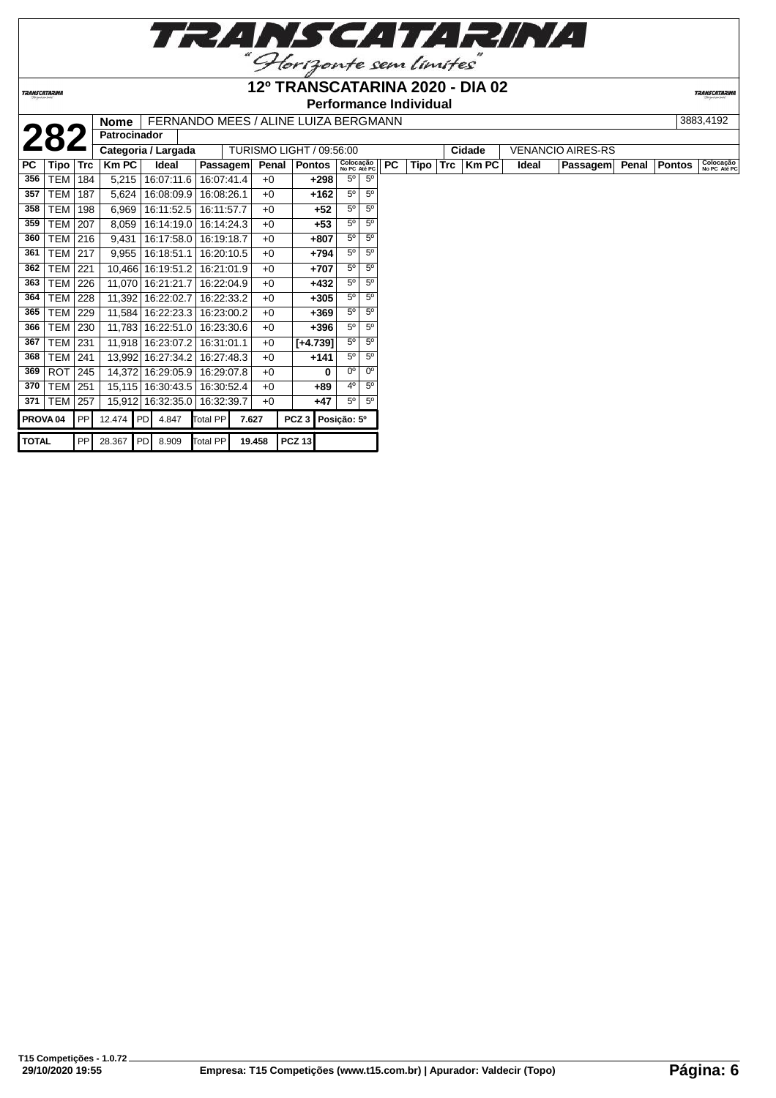

**Performance Individual**<br>**I Nome LEEPNANDO MEES (ALINE LUIZA BERGMANN** 

**TRANSCATARIN** 

|                     |                  |            | <b>Nome</b>         |                   |            |       |        | FERNANDO MEES / ALINE LUIZA BERGMANN |                           |                |           |             |            |              |       |                          |       |               | 3883,4192                 |
|---------------------|------------------|------------|---------------------|-------------------|------------|-------|--------|--------------------------------------|---------------------------|----------------|-----------|-------------|------------|--------------|-------|--------------------------|-------|---------------|---------------------------|
|                     |                  |            | <b>Patrocinador</b> |                   |            |       |        |                                      |                           |                |           |             |            |              |       |                          |       |               |                           |
|                     |                  |            | Categoria / Largada |                   |            |       |        | TURISMO LIGHT / 09:56:00             |                           |                |           |             |            | Cidade       |       | <b>VENANCIO AIRES-RS</b> |       |               |                           |
| PC.                 | Tipo             | Trc        | <b>Km PC</b>        | Ideal             | Passagem   |       | Penal  | <b>Pontos</b>                        | Colocação<br>No PC Até PC |                | <b>PC</b> | <b>Tipo</b> | <b>Trc</b> | <b>Km PC</b> | Ideal | Passagem                 | Penal | <b>Pontos</b> | Colocação<br>No PC Até PC |
| 356                 | TEM              | 184        | 5,215               | 16:07:11.6        | 16:07:41.4 |       | $+0$   | $+298$                               | $5^{\circ}$               | 5 <sup>0</sup> |           |             |            |              |       |                          |       |               |                           |
| 357                 | TEM              | 187        | 5,624               | 16:08:09.9        | 16:08:26.1 |       | $+0$   | $+162$                               | $5^{\circ}$               | $5^{\circ}$    |           |             |            |              |       |                          |       |               |                           |
| 358                 | TEM              | 198        | 6,969               | 16:11:52.5        | 16:11:57.7 |       | $+0$   | +52                                  | $5^{\circ}$               | $5^{\circ}$    |           |             |            |              |       |                          |       |               |                           |
| 359                 | <b>TEM   207</b> |            | 8,059               | 16:14:19.0        | 16:14:24.3 |       | $+0$   | $+53$                                | $5^{\circ}$               | $5^{\circ}$    |           |             |            |              |       |                          |       |               |                           |
| 360                 | TEM   216        |            | 9,431               | 16:17:58.0        | 16:19:18.7 |       | $+0$   | +807                                 | $5^{\circ}$               | $5^{\circ}$    |           |             |            |              |       |                          |       |               |                           |
| 361                 | <b>TEM   217</b> |            | 9,955               | 16:18:51.1        | 16:20:10.5 |       | $+0$   | $+794$                               | 5 <sup>0</sup>            | 5 <sup>0</sup> |           |             |            |              |       |                          |       |               |                           |
| 362                 | TEM              | 221        |                     | 10,466 16:19:51.2 | 16:21:01.9 |       | $+0$   | +707                                 | $5^{\circ}$               | $5^{\circ}$    |           |             |            |              |       |                          |       |               |                           |
| 363                 | <b>TEM</b>       | 226        | 11,070   16:21:21.7 |                   | 16:22:04.9 |       | $+0$   | $+432$                               | $5^{\circ}$               | $5^{\circ}$    |           |             |            |              |       |                          |       |               |                           |
| 364                 | <b>TEM 228</b>   |            |                     | 11,392 16:22:02.7 | 16:22:33.2 |       | $+0$   | $+305$                               | $5^{\circ}$               | $5^{\circ}$    |           |             |            |              |       |                          |       |               |                           |
| 365                 | TEM              | 229        |                     | 11,584 16:22:23.3 | 16:23:00.2 |       | $+0$   | $+369$                               | $5^{\circ}$               | $5^{\circ}$    |           |             |            |              |       |                          |       |               |                           |
| 366                 | <b>TEM</b>       | 230        |                     | 11,783 16:22:51.0 | 16:23:30.6 |       | $+0$   | $+396$                               | $5^{\circ}$               | $5^{\circ}$    |           |             |            |              |       |                          |       |               |                           |
| 367                 | <b>TEM   231</b> |            |                     | 11,918 16:23:07.2 | 16:31:01.1 |       | $+0$   | $[+4.739]$                           | $5^\circ$                 | $5^{\circ}$    |           |             |            |              |       |                          |       |               |                           |
| 368                 | <b>TEM   241</b> |            |                     | 13,992 16:27:34.2 | 16:27:48.3 |       | $+0$   | $+141$                               | $5^{\circ}$               | $5^{\circ}$    |           |             |            |              |       |                          |       |               |                           |
| 369                 | ROT              | 245        |                     | 14,372 16:29:05.9 | 16:29:07.8 |       | $+0$   | 0                                    | $0^{\circ}$               | $0^{\circ}$    |           |             |            |              |       |                          |       |               |                           |
| 370                 | TEM              | 251        |                     | 15,115 16:30:43.5 | 16:30:52.4 |       | $+0$   | $+89$                                | $4^{\circ}$               | $5^{\circ}$    |           |             |            |              |       |                          |       |               |                           |
| 371                 | TEM              | 257        |                     | 15,912 16:32:35.0 | 16:32:39.7 |       | $+0$   | $+47$                                | $5^{\circ}$               | $5^{\circ}$    |           |             |            |              |       |                          |       |               |                           |
| PROVA <sub>04</sub> |                  | PP         | 12.474 PD           | 4.847             | Total PP   | 7.627 |        | PCZ <sub>3</sub>                     | Posição: 5º               |                |           |             |            |              |       |                          |       |               |                           |
| <b>TOTAL</b>        |                  | <b>PPI</b> | 28.367 PD 8.909     |                   | Total PP   |       | 19.458 | <b>PCZ 13</b>                        |                           |                |           |             |            |              |       |                          |       |               |                           |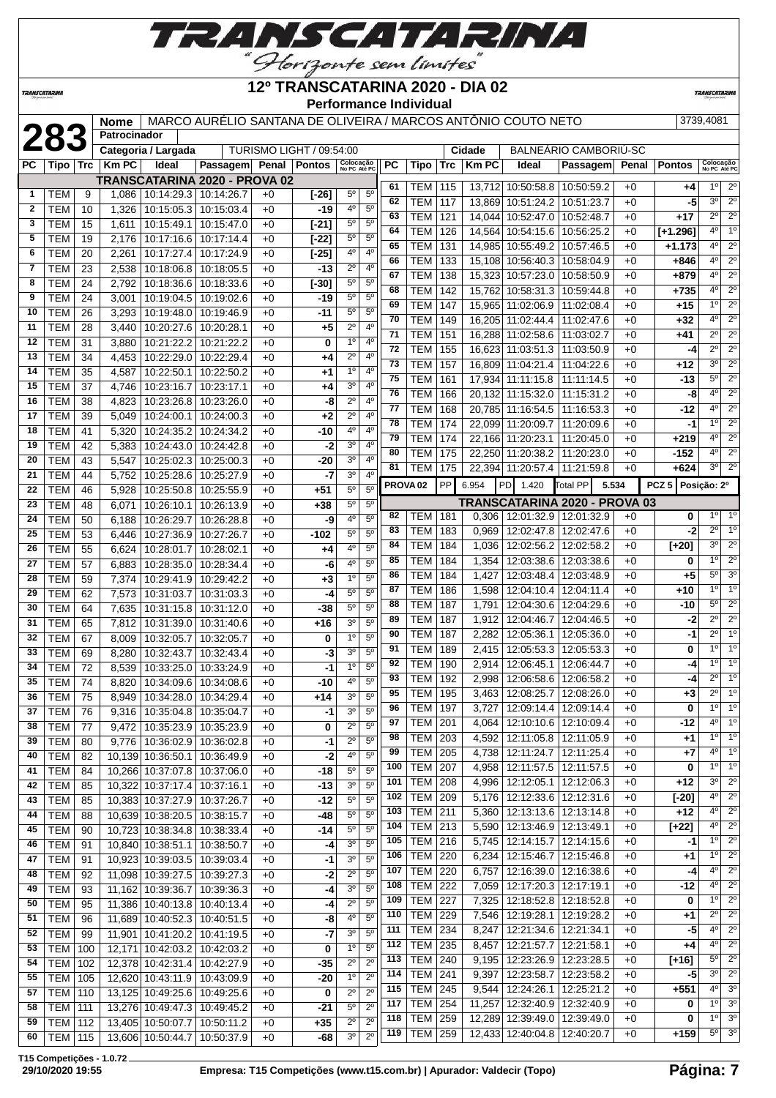

**TRANSCATARINA** 

### **12º TRANSCATARINA 2020 - DIA 02 Performance Individual**

**TRANSCATARIN** 

|              |                  |     | Nome           |                                  | MARCO AURÉLIO SANTANA DE OLIVEIRA / MARCOS ANTÔNIO COUTO NETO |              |                                 |                           |                |     |                          |            |                        |                                 |                                      |       |                   | 3739,4081                  |                                       |
|--------------|------------------|-----|----------------|----------------------------------|---------------------------------------------------------------|--------------|---------------------------------|---------------------------|----------------|-----|--------------------------|------------|------------------------|---------------------------------|--------------------------------------|-------|-------------------|----------------------------|---------------------------------------|
|              | 283              |     | Patrocinador   | Categoria / Largada              |                                                               |              | <b>TURISMO LIGHT / 09:54:00</b> |                           |                |     |                          |            |                        |                                 | BALNEÁRIO CAMBORIÚ-SC                |       |                   |                            |                                       |
| PC.          | <b>Tipo</b>      | Trc | <b>Km PC</b>   | Ideal                            | Passagem Penal Pontos                                         |              |                                 | Colocação<br>No PC Até PC |                | РC  | Tipo                     | <b>Trc</b> | Cidade<br><b>Km PC</b> | Ideal                           | Passagem                             | Penal | <b>Pontos</b>     | Colocação<br>No PC Até PC  |                                       |
|              |                  |     |                |                                  | TRANSCATARINA 2020 - PROVA 02                                 |              |                                 |                           |                |     |                          |            |                        |                                 |                                      |       |                   |                            |                                       |
| $\mathbf{1}$ | <b>TEM</b>       | 9   | 1,086          | 10:14:29.3   10:14:26.7          |                                                               | $+0$         | $[-26]$                         | $5^{\circ}$               | $5^{\circ}$    | 61  | TEM                      | 115        |                        | 13,712 10:50:58.8 10:50:59.2    |                                      | $+0$  | +4                | $1^{\circ}$                | $2^{\circ}$                           |
| 2            | <b>TEM</b>       | 10  | 1,326          | 10:15:05.3                       | 10:15:03.4                                                    | $+0$         | -19                             | 40                        | $5^{\circ}$    | 62  | TEM                      | 117        |                        | 13,869 10:51:24.2               | 10:51:23.7                           | $+0$  | -5                | 30                         | $2^{\circ}$                           |
| 3            | <b>TEM</b>       | 15  | 1,611          | 10:15:49.1                       | 10:15:47.0                                                    | $+0$         | $[-21]$                         | $5^{\circ}$               | $5^{\circ}$    | 63  | <b>TEM</b>               | 121        | 14,044                 | 10:52:47.0                      | 10:52:48.7                           | $+0$  | $+17$             | $2^{\circ}$                | $2^{\circ}$                           |
| 5            | <b>TEM</b>       | 19  | 2,176          | 10:17:16.6                       | 10:17:14.4                                                    | $+0$         | $[-22]$                         | $5^{\circ}$               | 5 <sup>0</sup> | 64  | <b>TEM</b>               | 126        |                        | 14,564 10:54:15.6               | 10:56:25.2                           | $+0$  | $[+1.296]$        | 4 <sup>0</sup>             | 1 <sup>°</sup>                        |
| 6            | TEM              | 20  | 2,261          | 10:17:27.4                       | 10:17:24.9                                                    | $+0$         | $[-25]$                         | 4°                        | $4^{\circ}$    | 65  | <b>TEM</b>               | 131        |                        | 14,985 10:55:49.2               | 10:57:46.5                           | $+0$  | $+1.173$          | 4 <sup>0</sup>             | $2^{\circ}$                           |
| 7            | TEM              | 23  | 2,538          | 10:18:06.8                       | 10:18:05.5                                                    | $+0$         | -13                             | $2^{\circ}$               | $4^{\circ}$    | 66  | TEM                      | 133        |                        | 15,108 10:56:40.3 10:58:04.9    |                                      | $+0$  | +846              | 4°                         | $2^{\circ}$                           |
| 8            | TEM              | 24  | 2,792          | 10:18:36.6                       | 10:18:33.6                                                    | +0           | $[-30]$                         | $5^{\circ}$               | $5^{\circ}$    | 67  | TEM                      | 138        |                        | 15,323 10:57:23.0               | 10:58:50.9                           | $+0$  | +879              | $4^{\circ}$                | $\overline{2^0}$                      |
| 9            | <b>TEM</b>       | 24  | 3,001          | 10:19:04.5                       | 10:19:02.6                                                    | $+0$         | -19                             | $5^{\circ}$               | $5^{\circ}$    | 68  | <b>TEM</b>               | 142        |                        | 15,762 10:58:31.3 10:59:44.8    |                                      | $+0$  | +735              | 4 <sup>0</sup>             | $\overline{2^0}$                      |
| 10           | <b>TEM</b>       | 26  | 3,293          | 10:19:48.0                       | 10:19:46.9                                                    | $+0$         | -11                             | 5 <sup>o</sup>            | 5 <sup>0</sup> | 69  | <b>TEM</b>               | 147        |                        | 15,965 11:02:06.9               | 11:02:08.4                           | $+0$  | +15               | 1 <sup>0</sup>             | $2^{\circ}$                           |
| 11           | <b>TEM</b>       | 28  | 3,440          | 10:20:27.6                       | 10:20:28.1                                                    | $+0$         | $+5$                            | $2^{\circ}$               | 4°             | 70  | <b>TEM</b>               | 149        |                        | 16,205 11:02:44.4               | 11:02:47.6                           | $+0$  | $+32$             | 4 <sup>0</sup>             | $2^{\circ}$                           |
| 12           | <b>TEM</b>       | 31  | 3,880          | 10:21:22.2                       | 10:21:22.2                                                    | $+0$         | 0                               | 1 <sup>0</sup>            | $4^{\circ}$    | 71  | TEM                      | 151        |                        | 16,288 11:02:58.6               | 11:03:02.7                           | $+0$  | +41               | 2º                         | $2^{\circ}$                           |
| 13           | <b>TEM</b>       | 34  | 4,453          | 10:22:29.0                       | 10:22:29.4                                                    | +0           | +4                              | $2^{\circ}$               | $4^{\circ}$    | 72  | <b>TEM</b>               | 155        |                        | 16,623 11:03:51.3               | 11:03:50.9                           | $+0$  | -4                | $2^{\circ}$                | $2^{\circ}$                           |
| 14           | <b>TEM</b>       | 35  | 4,587          | 10:22:50.1                       | 10:22:50.2                                                    | $+0$         | $^{+1}$                         | 1 <sup>0</sup>            | 4 <sup>0</sup> | 73  | <b>TEM</b>               | 157        |                        | 16,809 11:04:21.4               | 11:04:22.6                           | $+0$  | $+12$             | 3 <sup>o</sup>             | $2^{\circ}$                           |
| 15           | <b>TEM</b>       | 37  | 4,746          | 10:23:16.7                       | 10:23:17.1                                                    | $+0$         | +4                              | 30                        | $4^{\circ}$    | 75  | <b>TEM</b>               | 161        |                        | 17,934 11:11:15.8               | 11:11:14.5                           | $+0$  | -13               | $5^{\circ}$                | $\overline{2^0}$                      |
| 16           | <b>TEM</b>       | 38  | 4,823          | 10:23:26.8                       | 10:23:26.0                                                    | $+0$         | -8                              | $2^{\circ}$               | $4^{\circ}$    | 76  | <b>TEM</b>               | 166        |                        | 20,132 11:15:32.0               | 11:15:31.2                           | $+0$  | -8                | $4^{\circ}$                | $2^{\circ}$                           |
| 17           | <b>TEM</b>       | 39  | 5,049          | 10:24:00.1                       | 10:24:00.3                                                    | +0           | +2                              | $2^{\circ}$               | $4^{\circ}$    | 77  | <b>TEM</b>               | 168        |                        | 20,785 11:16:54.5               | 11:16:53.3                           | $+0$  | -12               | 4º                         | $2^{\circ}$                           |
| 18           | <b>TEM</b>       | 41  | 5,320          | 10:24:35.2                       | 10:24:34.2                                                    | $+0$         | -10                             | 4°                        | 4 <sup>0</sup> | 78  | <b>TEM</b>               | 174        |                        | 22,099 11:20:09.7               | 11:20:09.6                           | +0    | -1                | 1 <sup>0</sup>             | $\overline{2^0}$                      |
| 19           | <b>TEM</b>       | 42  |                |                                  |                                                               |              | -2                              | 3 <sup>o</sup>            | $4^{\circ}$    | 79  | <b>TEM</b>               | 174        |                        | 22.166 11:20:23.1               | 11:20:45.0                           | $+0$  | $+219$            | 4 <sup>0</sup>             | $\overline{2^0}$                      |
| 20           | <b>TEM</b>       | 43  | 5,383          | 10:24:43.0<br>10:25:02.3         | 10:24:42.8<br>10:25:00.3                                      | $+0$<br>$+0$ | -20                             | 30                        | $4^{\circ}$    | 80  | <b>TEM</b>               | 175        |                        | 22,250 11:20:38.2 11:20:23.0    |                                      | $+0$  | -152              | 4 <sup>0</sup>             | $2^{\circ}$                           |
| 21           | <b>TEM</b>       | 44  | 5,547<br>5,752 | 10:25:28.6                       | 10:25:27.9                                                    | $+0$         | $-7$                            | 30                        | $4^{\circ}$    | 81  | TEM                      | 175        |                        | 22.394 11:20:57.4 11:21:59.8    |                                      | $+0$  | +624              | 3 <sup>0</sup>             | $2^{\circ}$                           |
| 22           | <b>TEM</b>       | 46  | 5,928          | 10:25:50.8                       | 10:25:55.9                                                    | $+0$         | $+51$                           | $5^{\circ}$               | $5^{\circ}$    |     | PROVA <sub>02</sub>      | <b>PP</b>  | 6.954                  | PD<br>1.420                     | Total PP<br>5.534                    |       | PCZ 5 Posição: 2º |                            |                                       |
| 23           | <b>TEM</b>       |     |                |                                  |                                                               |              |                                 | $5^{\circ}$               | $5^{\circ}$    |     |                          |            |                        |                                 | <b>TRANSCATARINA 2020 - PROVA 03</b> |       |                   |                            |                                       |
|              |                  | 48  | 6,071          | 10:26:10.1                       | 10:26:13.9                                                    | $+0$         | $+38$                           | 4°                        | 5 <sup>0</sup> | 82  | TEM                      | 181        | 0,306                  |                                 | 12:01:32.9   12:01:32.9              | $+0$  | 0                 | 1 <sup>0</sup>             | $1^{\circ}$                           |
| 24           | <b>TEM</b>       | 50  | 6,188          | 10:26:29.7                       | 10:26:28.8                                                    | $+0$         | -9                              | $5^{\circ}$               | $5^{\rm o}$    | 83  | <b>TEM</b>               | 183        | 0,969                  | 12:02:47.8   12:02:47.6         |                                      | $+0$  | -2                | $2^{\circ}$                | 1 <sup>0</sup>                        |
| 25           | <b>TEM</b>       | 53  | 6,446          | 10:27:36.9                       | 10:27:26.7                                                    | $+0$         | -102                            | 4°                        | $5^{\circ}$    | 84  | TEM                      | 184        | 1,036                  | 12:02:56.2                      | 12:02:58.2                           | $+0$  | $[+20]$           | 3 <sup>o</sup>             | $2^{\circ}$                           |
| 26           | <b>TEM</b>       | 55  | 6,624          | 10:28:01.7                       | 10:28:02.1                                                    | $+0$         | +4                              |                           |                | 85  | <b>TEM</b>               | 184        | 1,354                  | 12:03:38.6                      | 12:03:38.6                           | $+0$  | 0                 | 1 <sup>0</sup>             | $2^{\circ}$                           |
| 27           | <b>TEM</b>       | 57  | 6,883          | 10:28:35.0                       | 10:28:34.4                                                    | $+0$         | -6                              | 40<br>1 <sup>0</sup>      | $5^{\circ}$    | 86  | <b>TEM</b>               | 184        | 1,427                  | 12:03:48.4                      | 12:03:48.9                           | $+0$  | $+5$              | 5 <sup>o</sup>             | 3 <sup>o</sup>                        |
| 28           | <b>TEM</b>       | 59  | 7,374          | 10:29:41.9                       | 10:29:42.2                                                    | $+0$         | $+3$                            |                           | 5 <sup>0</sup> | 87  | TEM                      | 186        | 1,598                  | 12:04:10.4                      | 12:04:11.4                           | $+0$  | +10               | $1^{\circ}$                | 1 <sup>o</sup>                        |
| 29           | <b>TEM</b>       | 62  | 7,573          | 10:31:03.7                       | 10:31:03.3                                                    | $+0$         | -4                              | $5^{\circ}$               | $5^{\circ}$    | 88  | TEM                      | 187        | 1,791                  | 12:04:30.6                      | 12:04:29.6                           | $+0$  | -10               | $5^{\circ}$                | $2^{\circ}$                           |
| 30           | <b>TEM</b>       | 64  | 7,635          | 10:31:15.8                       | 10:31:12.0                                                    | $+0$         | -38                             | 5 <sup>0</sup>            | 5 <sup>0</sup> | 89  | TEM                      | 187        | 1,912                  | 12:04:46.7                      | 12:04:46.5                           | +0    | -2                | $2^{\circ}$                | $2^{\circ}$                           |
| 31           | <b>TEM</b>       | 65  | 7,812          | 10:31:39.0                       | 10:31:40.6                                                    | $+0$         | $+16$                           | 30                        | $5^{\circ}$    | 90  | <b>TEM</b>               | 187        | 2,282                  | 12:05:36.1                      | 12:05:36.0                           | +0    | -1                | $\overline{2^0}$           | 10                                    |
| 32           | <b>TEM</b>       | 67  | 8,009          | 10:32:05.7                       | 10:32:05.7                                                    | $+0$         | 0                               | 1 <sup>0</sup>            | $5^{\circ}$    | 91  | <b>TEM</b>               | 189        | 2,415                  | 12:05:53.3   12:05:53.3         |                                      | $+0$  | 0                 | 1 <sup>0</sup>             | 1 <sup>o</sup>                        |
| 33           | <b>TEM</b>       | 69  | 8,280          | 10:32:43.7                       | 10:32:43.4                                                    | $+0$         | -3                              | 30                        | $5^{\circ}$    | 92  | TEM                      | 190        | 2,914                  | 12:06:45.1   12:06:44.7         |                                      | $+0$  | -4                | $1^{\circ}$                | $1^{\circ}$                           |
| 34           | <b>TEM</b>       | 72  | 8,539          | 10:33:25.0                       | 10:33:24.9                                                    | $+0$         | $-1$                            | 1 <sup>0</sup>            | $5^{\circ}$    | 93  | <b>TEM</b>               | 192        | 2,998                  |                                 | 12:06:58.6   12:06:58.2              | $+0$  | -4                | 2º                         | 1 <sup>0</sup>                        |
| 35           | <b>TEM</b>       | 74  | 8,820          | 10:34:09.6                       | 10:34:08.6                                                    | $+0$         | -10                             | 4°                        | $5^{\circ}$    | 95  | TEM 195                  |            |                        | 3,463 12:08:25.7 12:08:26.0     |                                      | $+0$  | $+3$              | $2^{\circ}$                | 10                                    |
| 36           | <b>TEM</b>       | 75  |                | 8,949 10:34:28.0 10:34:29.4      |                                                               | $+0$         | $+14$                           | 3 <sup>o</sup>            | $5^{\circ}$    | 96  | <b>TEM 197</b>           |            |                        |                                 |                                      | $+0$  | 0                 | 1 <sup>0</sup>             | $1^{\circ}$                           |
| 37           | TEM              | 76  |                | 9,316   10:35:04.8   10:35:04.7  |                                                               | $+0$         | $-1$                            | 3 <sup>0</sup>            | $5^{\circ}$    |     |                          |            |                        | 3,727   12:09:14.4   12:09:14.4 |                                      |       |                   | 4°                         | $1^{\circ}$                           |
| 38           | <b>TEM</b>       | 77  |                | 9,472 10:35:23.9 10:35:23.9      |                                                               | $+0$         | 0                               | $2^{\circ}$               | $5^{\circ}$    | 97  | <b>TEM</b>               | 201        | 4,064                  |                                 | 12:10:10.6   12:10:09.4              | $+0$  | $-12$             | $1^{\circ}$                | $1^{\circ}$                           |
| 39           | <b>TEM</b>       | 80  |                | 9,776   10:36:02.9   10:36:02.8  |                                                               | $+0$         | $-1$                            | $2^{\circ}$               | $5^{\circ}$    | 98  | <b>TEM</b>               | 203        |                        | 4,592   12:11:05.8   12:11:05.9 |                                      | +0    | +1                | 4º                         | $1^{\circ}$                           |
| 40           | <b>TEM</b>       | 82  |                | 10,139 10:36:50.1                | 10:36:49.9                                                    | +0           | $-2$                            | 40                        | $5^{\circ}$    | 99  | <b>TEM</b><br><b>TEM</b> | 205        | 4,738                  | 12:11:24.7   12:11:25.4         |                                      | $+0$  | +7                | $1^{\circ}$                | 1 <sup>0</sup>                        |
| 41           | <b>TEM</b>       | 84  |                | 10,266 10:37:07.8 10:37:06.0     |                                                               | +0           | -18                             | $5^{\circ}$               | $5^{\rm o}$    | 100 |                          | 207        | 4,958                  | 12:11:57.5   12:11:57.5         |                                      | +0    | 0                 | 3 <sup>o</sup>             | $2^{\circ}$                           |
| 42           | <b>TEM</b>       | 85  |                | 10,322 10:37:17.4                | 10:37:16.1                                                    | $+0$         | -13                             | 3 <sup>0</sup>            | $5^{\circ}$    | 101 | <b>TEM 208</b>           |            | 4,996                  | 12:12:05.1   12:12:06.3         |                                      | +0    | +12               | 4 <sup>0</sup>             | $2^{\circ}$                           |
| 43           | <b>TEM</b>       | 85  |                | 10,383 10:37:27.9                | 10:37:26.7                                                    | $+0$         | -12                             | $5^{\circ}$               | $5^{\circ}$    | 102 | TEM 209                  |            |                        | 5,176   12:12:33.6   12:12:31.6 |                                      | $+0$  | $[-20]$           | 4°                         | $\overline{2^{\circ}}$                |
| 44           | <b>TEM</b>       | 88  |                | 10,639 10:38:20.5                | 10:38:15.7                                                    | $+0$         | -48                             | $5^{\circ}$               | $5^{\circ}$    | 103 | <b>TEM 211</b>           |            |                        | 5,360   12:13:13.6   12:13:14.8 |                                      | $+0$  | +12               |                            |                                       |
| 45           | <b>TEM</b>       | 90  |                | 10,723 10:38:34.8                | 10:38:33.4                                                    | $+0$         | -14                             | 50                        | $5^{\circ}$    | 104 | TEM 213                  |            | 5,590                  | 12:13:46.9 12:13:49.1           |                                      | $+0$  | $[+22]$           | $4^{\circ}$<br>$1^{\circ}$ | $\overline{2^{\circ}}$<br>$2^{\circ}$ |
| 46           | <b>TEM</b>       | 91  |                | 10,840 10:38:51.1                | 10:38:50.7                                                    | $+0$         | $-4$                            | 3 <sup>o</sup>            | 5 <sup>o</sup> | 105 | <b>TEM 216</b>           |            |                        | 5,745   12:14:15.7   12:14:15.6 |                                      | $+0$  | -1                |                            |                                       |
| 47           | <b>TEM</b>       | 91  |                | 10,923 10:39:03.5 10:39:03.4     |                                                               | $+0$         | -1                              | 3 <sup>o</sup>            | $5^{\circ}$    | 106 | <b>TEM</b>               | 220        | 6,234                  | 12:15:46.7   12:15:46.8         |                                      | $+0$  | $+1$              | $1^{\circ}$                | $2^{\circ}$                           |
| 48           | <b>TEM</b>       | 92  |                | 11,098 10:39:27.5 10:39:27.3     |                                                               | $+0$         | $-2$                            | $2^{\circ}$               | $5^{\circ}$    | 107 | <b>TEM</b>               | 220        | 6,757                  | 12:16:39.0   12:16:38.6         |                                      | $+0$  | -4                | 4°                         | $2^{\circ}$                           |
| 49           | <b>TEM</b>       | 93  |                | 11,162 10:39:36.7                | 10:39:36.3                                                    | +0           | $-4$                            | 3 <sup>0</sup>            | $5^{\circ}$    | 108 | <b>TEM</b>               | 222        | 7,059                  | 12:17:20.3   12:17:19.1         |                                      | +0    | $-12$             | 4º                         | $\overline{2^{\circ}}$                |
| 50           | <b>TEM</b>       | 95  |                | 11,386 10:40:13.8 10:40:13.4     |                                                               | $+0$         | -4                              | $2^{\circ}$               | 5 <sup>o</sup> | 109 | <b>TEM</b>               | 227        | 7,325                  | 12:18:52.8   12:18:52.8         |                                      | +0    | 0                 | $1^{\circ}$                | $2^{\circ}$                           |
| 51           | <b>TEM</b>       | 96  |                | 11,689 10:40:52.3 10:40:51.5     |                                                               | +0           | -8                              | 4 <sup>0</sup>            | 5 <sup>o</sup> | 110 | <b>TEM 229</b>           |            | 7,546                  | 12:19:28.1   12:19:28.2         |                                      | +0    | $+1$              | $2^{\circ}$                | $2^{\circ}$                           |
| 52           | <b>TEM</b>       | 99  |                | 11,901   10:41:20.2   10:41:19.5 |                                                               | $+0$         | $-7$                            | 30                        | $5^{\circ}$    | 111 | <b>TEM 234</b>           |            | 8,247                  | 12:21:34.6   12:21:34.1         |                                      | $+0$  | -5                | $4^{\circ}$                | $2^{\circ}$                           |
| 53           | <b>TEM</b>       | 100 |                | 12,171 10:42:03.2                | 10:42:03.2                                                    | $+0$         | 0                               | 1 <sup>0</sup>            | $5^{\circ}$    | 112 | TEM                      | 235        | 8,457                  | 12:21:57.7   12:21:58.1         |                                      | $+0$  | $+4$              | 4°                         | $\overline{2^{\circ}}$                |
| 54           | <b>TEM</b>       | 102 |                | 12,378 10:42:31.4 10:42:27.9     |                                                               | $+0$         | -35                             | $2^{\circ}$               | $2^{\circ}$    | 113 | <b>TEM 240</b>           |            | 9,195                  | 12:23:26.9   12:23:28.5         |                                      | +0    | $[+16]$           | $5^{\circ}$                | $\overline{2^{\circ}}$                |
| 55           | TEM              | 105 |                | 12,620 10:43:11.9 10:43:09.9     |                                                               | $+0$         | -20                             | 1 <sup>o</sup>            | $2^{\circ}$    | 114 | TEM                      | 241        | 9,397                  | 12:23:58.7   12:23:58.2         |                                      | $+0$  | -5                | 3 <sup>0</sup>             | $2^{\circ}$                           |
| 57           | <b>TEM 110</b>   |     |                | 13,125 10:49:25.6 10:49:25.6     |                                                               | $+0$         | 0                               | $2^{\circ}$               | $2^{\circ}$    | 115 | <b>TEM</b>               | 245        | 9,544                  | 12:24:26.1                      | 12:25:21.2                           | $+0$  | +551              | $4^{\circ}$                | 3 <sup>o</sup>                        |
| 58           | <b>TEM   111</b> |     |                | 13,276 10:49:47.3 10:49:45.2     |                                                               | $+0$         | -21                             | $5^{\circ}$               | $2^{\circ}$    | 117 | <b>TEM</b>               | 254        |                        | 11,257 12:32:40.9 12:32:40.9    |                                      | $+0$  | 0                 | $1^{\circ}$                | $3^{\circ}$                           |
| 59           | <b>TEM 112</b>   |     |                | 13,405 10:50:07.7 10:50:11.2     |                                                               | $+0$         | $+35$                           | $2^{\circ}$               | $2^{\circ}$    | 118 | <b>TEM</b>               | 259        |                        | 12,289 12:39:49.0 12:39:49.0    |                                      | +0    | 0                 | $1^{\circ}$                | $3^{\circ}$                           |
| 60           | <b>TEM 115</b>   |     |                | 13,606 10:50:44.7 10:50:37.9     |                                                               | $+0$         | -68                             | 3 <sup>o</sup>            | $2^{\circ}$    | 119 | <b>TEM</b>               | 259        |                        | 12,433 12:40:04.8 12:40:20.7    |                                      | $+0$  | $+159$            | $5^{\circ}$                | 3 <sup>0</sup>                        |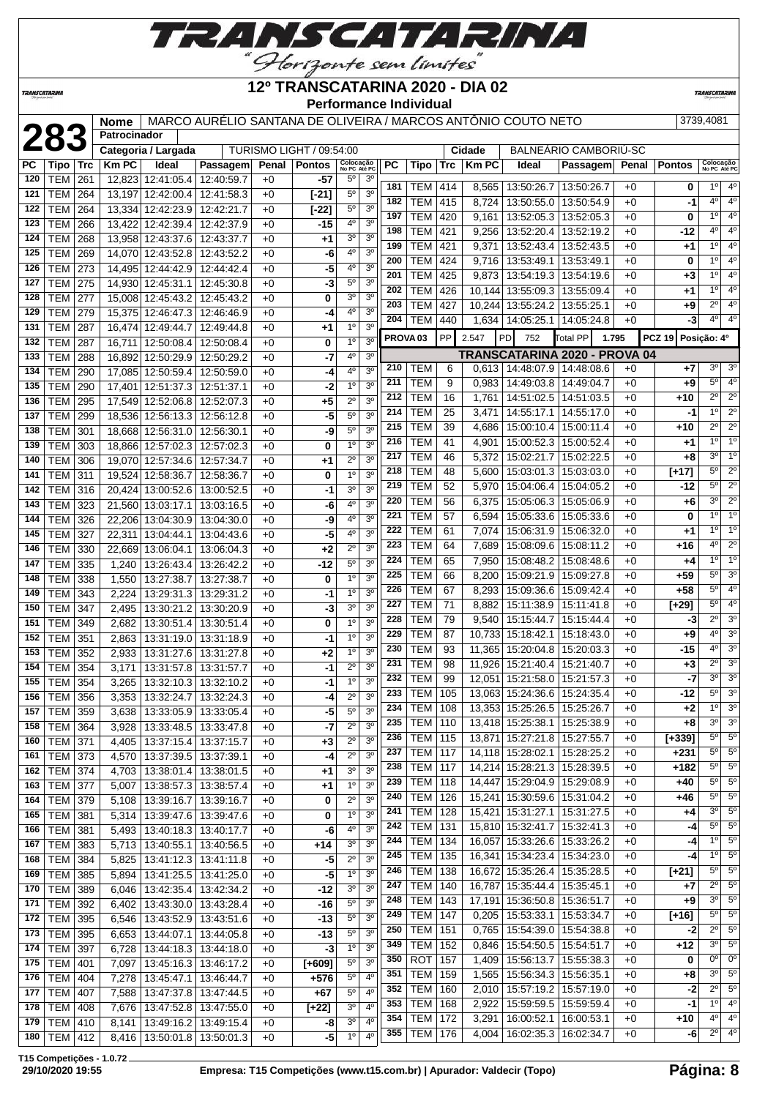

### *TRANSCATARINA*

### **12º TRANSCATARINA 2020 - DIA 02 Performance Individual**

**TRANSCATAR** 

 **Nome** MARCO AURÉLIO SANTANA DE OLIVEIRA / MARCOS ANTÔNIO COUTO NETO 3739,4081<br> **283 Categoria / Largada** TURISMO LIGHT / 09:54:00 **Cidade** BALNEÁRIO CAMBORIÚ-SC<br> **281 Tipo** Trc | Km PC | Ideal | Passagem | Penal | **Patrocinador BALNEÁRIO CAMBORIÚ-SC Penal Pontos No PC Até PC PC Tipo Trc Km PC Ideal Passagem Penal Pontos Colocação No PC Até PC** TEM 261 12,823 12:41:05.4 12:40:59.7 +0 **-57** 5º 3º TEM 264 13,197 12:42:00.4 12:41:58.3 +0 **[-21]** 5º 3º TEM 264 13,334 12:42:23.9 12:42:21.7 +0 **[-22]** 5º 3º TEM 266 13,422 12:42:39.4 12:42:37.9 +0 **-15** 4º 3º TEM 268 13,958 12:43:37.6 12:43:37.7 +0 **+1** 3º 3º | TEM | 269 | 14,070 | 12:43:52.8 | 12:43:52.2 | +0 | **-6** | 4<sup>°</sup> | 3<sup>°</sup> | TEM | 273 | 14,495 | 12:44:42.9 | 12:44:42.4 | +0 | -5 | 4<sup>0</sup> | 3<sup>0</sup> TEM 275 14,930 12:45:31.1 12:45:30.8 +0 **-3** 5º 3º TEM 277 15,008 12:45:43.2 12:45:43.2 +0 **0** 3º 3º TEM 279 15,375 12:46:47.3 12:46:46.9 +0 **-4** 4º 3º TEM 287 16,474 12:49:44.7 12:49:44.8 +0 **+1** 1º 3º | TEM | 287 | 16,711 | 12:50:08.4 | 12:50:08.4 | +0 | **0** | 1<sup>0</sup> | 3<sup>0</sup> TEM 288 16,892 12:50:29.9 12:50:29.2 +0 **-7** 4º 3º TEM 290 17,085 12:50:59.4 12:50:59.0 +0 **-4** 4º 3º TEM 290 17,401 12:51:37.3 12:51:37.1 +0 **-2** 1º 3º TEM 295 17,549 12:52:06.8 12:52:07.3 +0 **+5** 2º 3º TEM 299 18,536 12:56:13.3 12:56:12.8 +0 **-5** 5º 3º TEM 301 18,668 12:56:31.0 12:56:30.1 +0 **-9** 5º 3º TEM 303 18,866 12:57:02.3 12:57:02.3 +0 **0** 1º 3º TEM 306 19,070 12:57:34.6 12:57:34.7 +0 **+1** 2º 3º TEM 311 19,524 12:58:36.7 12:58:36.7 +0 **0** 1º 3º TEM 316 20,424 13:00:52.6 13:00:52.5 +0 **-1** 3º 3º TEM 323 21,560 13:03:17.1 13:03:16.5 +0 **-6** 4º 3º TEM 326 22,206 13:04:30.9 13:04:30.0 +0 **-9** 4º 3º TEM 327 22,311 13:04:44.1 13:04:43.6 +0 **-5** 4º 3º TEM 330 22,669 13:06:04.1 13:06:04.3 +0 **+2** 2º 3º TEM 335 1,240 13:26:43.4 13:26:42.2 +0 **-12** 5º 3º TEM 338 1,550 13:27:38.7 13:27:38.7 +0 **0** 1º 3º TEM 343 2,224 13:29:31.3 13:29:31.2 +0 **-1** 1º 3º TEM 347 2,495 13:30:21.2 13:30:20.9 +0 **-3** 3º 3º TEM 349 2,682 13:30:51.4 13:30:51.4 +0 **0** 1º 3º TEM 351 2,863 13:31:19.0 13:31:18.9 +0 **-1** 1º 3º TEM 352 2,933 13:31:27.6 13:31:27.8 +0 **+2** 1º 3º TEM 354 3,171 13:31:57.8 13:31:57.7 +0 **-1** 2º 3º | **TEM** | 354 | 3,265 | 13:32:10.3 | 13:32:10.2 | +0 | -1| <sup>10</sup> | <sup>30</sup> | TEM | 356 | 3,353 | 13:32:24.7 | 13:32:24.3 | +0 | -4| 2<sup>o</sup> | 3<sup>o</sup> | TEM | 359 | 3,638 | 13:33:05.9 | 13:33:05.4 | +0 | -5 | 5<sup>o</sup> | 3<sup>o</sup> TEM 364 3,928 13:33:48.5 13:33:47.8 +0 **-7** 2º 3º TEM 371 4,405 13:37:15.4 13:37:15.7 +0 **+3** 2º 3º TEM 373 4,570 13:37:39.5 13:37:39.1 +0 **-4** 2º 3º TEM 374 4,703 13:38:01.4 13:38:01.5 +0 **+1** 3º 3º TEM 377 | 5,007 13:38:57.3 | 13:38:57.4 | +0 | +1 | 1º 3<sup>0</sup> TEM 379 5,108 13:39:16.7 13:39:16.7 +0 **0** 2º 3º TEM 381 5,314 13:39:47.6 13:39:47.6 +0 **0** 1º 3º TEM 381 5,493 13:40:18.3 13:40:17.7 +0 **-6** 4º 3º TEM 383 5,713 13:40:55.1 13:40:56.5 +0 **+14** 3º 3º TEM 384 5,825 13:41:12.3 13:41:11.8 +0 **-5** 2º 3º TEM 385 5,894 13:41:25.5 13:41:25.0 +0 **-5** 1º 3º TEM 389 6,046 13:42:35.4 13:42:34.2 +0 **-12** 3<sup>°</sup> 3<sup>°</sup><br>171 TEM 392 6.402 13:43:30.0 13:43:28.4 +0 -46 50 3<sup>0</sup> TEM 392 6,402 13:43:30.0 13:43:28.4 +0 **-16** 5º 3º TEM 395 6,546 13:43:52.9 13:43:51.6 +0 **-13** 5º 3º TEM 395 6,653 13:44:07.1 13:44:05.8 +0 **-13** 5º 3º TEM 397 6,728 13:44:18.3 13:44:18.0 +0 **-3** 1º 3º TEM 401 7,097 13:45:16.3 13:46:17.2 +0 **[+609]** 5º 3º TEM 404 7,278 13:45:47.1 13:46:44.7 +0 **+576** 5º 4º TEM 407 7,588 13:47:37.8 13:47:44.5 +0 **+67** 5º 4º TEM 408 7,676 13:47:52.8 13:47:55.0 +0 **[+22]** 3º 4º TEM 410 8.141 13:49:16.2 13:49:15.4 +0 -8 3<sup>0</sup> 4 TEM 412 8,416 13:50:01.8 13:50:01.3 +0 TEM 414 8,565 13:50:26.7 13:50:26.7 +0 **0** 1º 4º | TEM | 415 | 8,724 | 13:50:55.0 | 13:50:54.9 | +0 | -1 | 4<sup>o</sup> | 4<sup>o</sup> TEM 420 9,161 13:52:05.3 13:52:05.3 +0 **0** 1º 4º TEM 421 9,256 13:52:20.4 13:52:19.2 +0 **-12** 4º 4º TEM 421 9,371 13:52:43.4 13:52:43.5 +0 **+1** 1º 4º | TEM | 424 | 9,716 | 13:53:49.1 | 13:53:49.1 | +0 | 0 | 1<sup>0</sup> | 4<sup>0</sup> | TEM | 425 | 9,873 | 13:54:19.3 | 13:54:19.6 | +0 | +3 | <sup>10</sup> | 4<sup>0</sup> | TEM | 426 | 10,144 | 13:55:09.3 | 13:55:09.4 | +0 | +1 | <sup>10</sup> | 4<sup>0</sup> TEM 427 10,244 13:55:24.2 13:55:25.1 +0 **+9** 2º 4º TEM 440 1,634 14:05:25.1 14:05:24.8 +0 **-3** 4<sup>0</sup> 4 **PROVA 03** PP 2.547 PD 752 Total PP **1.795 PCZ 19 Posição: 4º TRANSCATARINA 2020 - PROVA 04** TEM 6 0,613 14:48:07.9 14:48:08.6 +0 +7 3<sup>0</sup> 3 TEM 9 0,983 14:49:03.8 14:49:04.7 +0 **+9** 5º 4º TEM 16 1,761 14:51:02.5 14:51:03.5 +0 +10 2º 2<sup>°</sup> TEM 25 3,471 14:55:17.1 14:55:17.0 +0 **-1** 1º 2º TEM 39 4,686 15:00:10.4 15:00:11.4 +0 +10 2<sup>o</sup> 2<sup>o</sup> TEM 41 4,901 15:00:52.3 15:00:52.4 +0 **+1** 1º 1º TEM 46 5,372 15:02:21.7 15:02:22.5 +0 **+8** 3º 1º TEM 48 5,600 15:03:01.3 15:03:03.0 +0 **[+17]** 5º 2º TEM 52 5,970 15:04:06.4 15:04:05.2 +0 **-12** 5º 2º TEM 56 6,375 15:05:06.3 15:05:06.9 +0 **+6** 3º 2º TEM 57 6,594 15:05:33.6 15:05:33.6 +0 **0** 1º 1º TEM 61 7,074 15:06:31.9 15:06:32.0 +0 **+1** 1º 1º TEM 64 7,689 15:08:09.6 15:08:11.2 +0 +16 +16 4° 2<sup>o</sup> TEM 65 7,950 15:08:48.2 15:08:48.6 +0 **+4** 1º 1º TEM 66 8,200 15:09:21.9 15:09:27.8 +0 **+59** 5º 3º TEM 67 8,293 15:09:36.6 15:09:42.4 +0 **+58** 5º 4º TEM 71 8,882 15:11:38.9 15:11:41.8 +0 **[+29]** 5º 4º TEM 79 9,540 15:15:44.7 15:15:44.4 +0 **-3** 2º 3º TEM 87 10,733 15:18:42.1 15:18:43.0 +0 **+9** 4º 3º TEM 93 11,365 15:20:04.8 15:20:03.3 +0 **-15** 4º 3º TEM 98 11,926 15:21:40.4 15:21:40.7 +0 **+3** 2º 3º TEM 99 12,051 15:21:58.0 15:21:57.3 +0 **-7** 3º 3º TEM 105 13,063 15:24:36.6 15:24:35.4 +0 **-12** 5<sup>°</sup> 3<sup>°</sup> | TEM | 108 | 13,353 | 15:25:26.5 | 15:25:26.7 | +0 | +2 | <sup>10</sup> | 3<sup>0</sup> TEM 110 13,418 15:25:38.1 15:25:38.9 +0 **+8** 3º 3º TEM 115 13,871 15:27:21.8 15:27:55.7 +0 **[+339]** 5º 5º TEM 117 14,118 15:28:02.1 15:28:25.2 +0 **+231** 5º 5º TEM 117 14,214 15:28:21.3 15:28:39.5 +0 **+182** 5º 5º TEM 118 14,447 15:29:04.9 15:29:08.9 +0 +40 5° 5 TEM 126 15,241 15:30:59.6 15:31:04.2 +0 +46 5° 5 TEM 128 15,421 15:31:27.1 15:31:27.5 +0 **+4** 3º 5º TEM 131 15,810 15:32:41.7 15:32:41.3 +0 **-4** 5º 5º TEM 134 16,057 15:33:26.6 15:33:26.2 +0 **-4** 1º 5º TEM 135 16,341 15:34:23.4 15:34:23.0 +0 **-4** 1º 5º TEM 138 16,672 15:35:26.4 15:35:28.5 +0 **[+21]** 5º 5º TEM 140 16,787 15:35:44.4 15:35:45.1 +0 +7 2<sup>o</sup> 5 TEM 143 17,191 15:36:50.8 15:36:51.7 +0 +9 3<sup>o</sup> 5 TEM 147 0,205 15:53:33.1 15:53:34.7 +0 [+16] 5<sup>°</sup> 5 TEM 151 0,765 15:54:39.0 15:54:38.8 +0 **-2** 2º 5º TEM 152 0,846 15:54:50.5 15:54:51.7 +0 **+12** 3º 5º ROT 157 1,409 15:56:13.7 15:55:38.3 +0 **0** 0º 0º TEM 159 1,565 15:56:34.3 15:56:35.1 +0 +8 3<sup>°</sup> 5 TEM 160 2.010 15:57:19.2 15:57:19.0 +0 **-2** 2<sup>°</sup> 5 TEM 168 2,922 15:59:59.5 15:59:59.4 +0 **-1** 1º 4º TEM 172 3,291 16:00:52.1 16:00:53.1 +0 **+10** 4º 4º TEM 176 4,004 16:02:35.3 16:02:34.7 +0 **-6** 2º 4º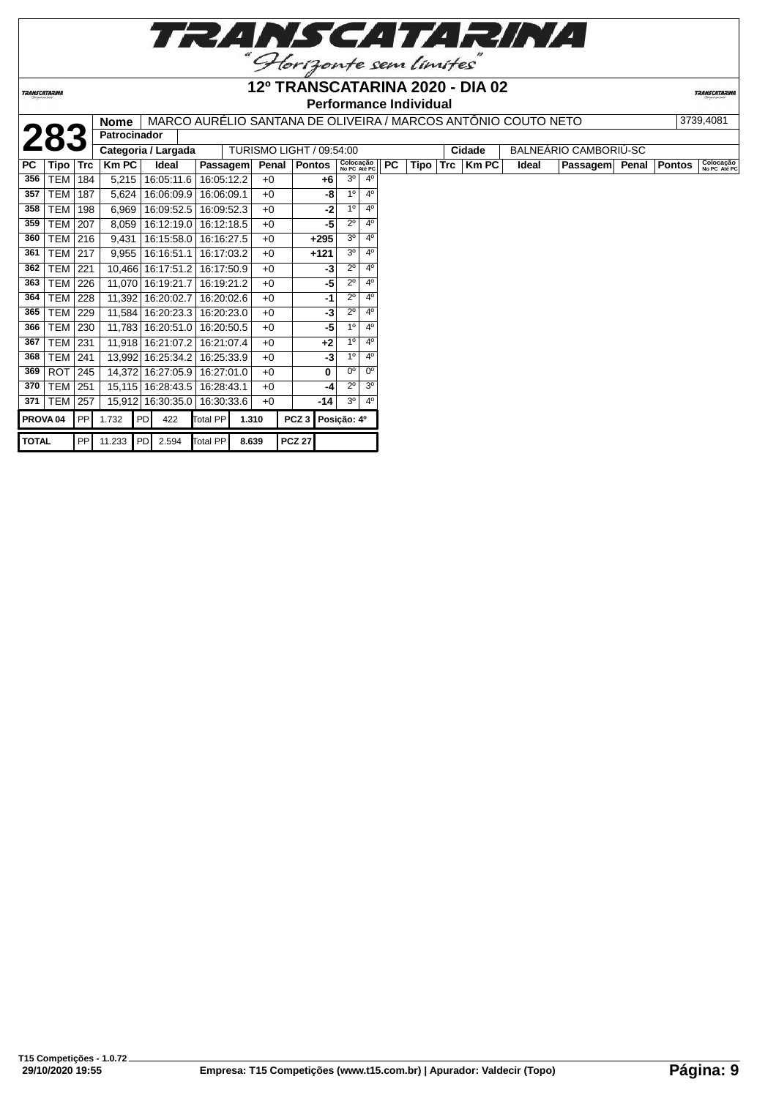

**TRANSCATARINA** 

## **Performance Individual**

|              |                     |            | Nome                |                     |          |            |       | MARCO AURELIO SANTANA DE OLIVEIRA / MARCOS ANTONIO COUTO NETO |                           |                |           |      |            |        |       |                       |              | 3739,4081                 |
|--------------|---------------------|------------|---------------------|---------------------|----------|------------|-------|---------------------------------------------------------------|---------------------------|----------------|-----------|------|------------|--------|-------|-----------------------|--------------|---------------------------|
|              | 283                 |            | <b>Patrocinador</b> |                     |          |            |       |                                                               |                           |                |           |      |            |        |       |                       |              |                           |
|              |                     |            |                     | Categoria / Largada |          |            |       | TURISMO LIGHT / 09:54:00                                      |                           |                |           |      |            | Cidade |       | BALNEÁRIO CAMBORIÚ-SC |              |                           |
| PC           | Tipo                | <b>Trc</b> | <b>Km PC</b>        | Ideal               |          | Passagem   | Penal | <b>Pontos</b>                                                 | Colocação<br>No PC Até PC |                | <b>PC</b> | Tipo | <b>Trc</b> | Km PC  | Ideal | <b>Passagem</b>       | Penal Pontos | Colocação<br>No PC Até PC |
| 356          | TEM                 | 184        | 5,215               | 16:05:11.6          |          | 16:05:12.2 | $+0$  | $+6$                                                          | 3 <sup>o</sup>            | $4^{\circ}$    |           |      |            |        |       |                       |              |                           |
| 357          | <b>TEM</b>          | 187        | 5,624               | 16:06:09.9          |          | 16:06:09.1 | $+0$  | -8                                                            | 1 <sup>0</sup>            | 4 <sup>0</sup> |           |      |            |        |       |                       |              |                           |
| 358          | TEM                 | 198        | 6,969               | 16:09:52.5          |          | 16:09:52.3 | $+0$  | -2                                                            | 1 <sup>0</sup>            | $4^{\circ}$    |           |      |            |        |       |                       |              |                           |
| 359          | <b>TEM</b>          | 207        | 8,059               | 16:12:19.0          |          | 16:12:18.5 | $+0$  | -5                                                            | $2^{\circ}$               | 4 <sup>0</sup> |           |      |            |        |       |                       |              |                           |
| 360          | <b>TEM</b>          | 216        | 9,431               | 16:15:58.0          |          | 16:16:27.5 | $+0$  | $+295$                                                        | 3 <sup>o</sup>            | 4 <sup>0</sup> |           |      |            |        |       |                       |              |                           |
| 361          | TEM                 | 217        | 9,955               | 16:16:51.1          |          | 16:17:03.2 | $+0$  | $+121$                                                        | 3 <sup>o</sup>            | 4 <sup>0</sup> |           |      |            |        |       |                       |              |                           |
| 362          | <b>TEM</b>          | 221        | 10,466              | 16:17:51.2          |          | 16:17:50.9 | $+0$  | $-3$                                                          | $2^{\circ}$               | 4 <sup>0</sup> |           |      |            |        |       |                       |              |                           |
| 363          | <b>TEM</b>          | 226        |                     | 11,070 16:19:21.7   |          | 16:19:21.2 | $+0$  | -5                                                            | $2^{\circ}$               | 4 <sup>0</sup> |           |      |            |        |       |                       |              |                           |
| 364          | TEM                 | 228        |                     | 11,392 16:20:02.7   |          | 16:20:02.6 | $+0$  | -1                                                            | $2^{\circ}$               | 4 <sup>0</sup> |           |      |            |        |       |                       |              |                           |
| 365          | <b>TEM</b>          | 229        | 11,584              | 16:20:23.3          |          | 16:20:23.0 | $+0$  | -3                                                            | $2^{\circ}$               | 4 <sup>0</sup> |           |      |            |        |       |                       |              |                           |
| 366          | <b>TEM</b>          | 230        |                     | 11,783 16:20:51.0   |          | 16:20:50.5 | $+0$  | -5                                                            | 1 <sup>0</sup>            | 4 <sup>0</sup> |           |      |            |        |       |                       |              |                           |
| 367          | TEM                 | 231        |                     | 11,918 16:21:07.2   |          | 16:21:07.4 | $+0$  | $+2$                                                          | 10                        | 4 <sup>0</sup> |           |      |            |        |       |                       |              |                           |
| 368          | <b>TEM</b>          | 241        |                     | 13,992 16:25:34.2   |          | 16:25:33.9 | $+0$  | -3                                                            | 1 <sup>0</sup>            | 4 <sup>0</sup> |           |      |            |        |       |                       |              |                           |
| 369          | <b>ROT</b>          | 245        | 14,372              | 16:27:05.9          |          | 16:27:01.0 | $+0$  | 0                                                             | $0^{\circ}$               | $0^{\circ}$    |           |      |            |        |       |                       |              |                           |
| 370          | <b>TEM</b>          | 251        |                     | 15,115 16:28:43.5   |          | 16:28:43.1 | $+0$  | -4                                                            | $2^{\circ}$               | 3 <sup>0</sup> |           |      |            |        |       |                       |              |                           |
| 371          | <b>TEM</b>          | 257        | 15,912              | 16:30:35.0          |          | 16:30:33.6 | $+0$  | -14                                                           | 3 <sup>o</sup>            | 4 <sup>0</sup> |           |      |            |        |       |                       |              |                           |
|              | PROVA <sub>04</sub> | PP         | 1.732               | PD<br>422           | Total PP |            | 1.310 | PCZ3                                                          | Posição: 4º               |                |           |      |            |        |       |                       |              |                           |
| <b>TOTAL</b> |                     |            |                     | PP 11.233 PD 2.594  | Total PP |            | 8.639 | <b>PCZ 27</b>                                                 |                           |                |           |      |            |        |       |                       |              |                           |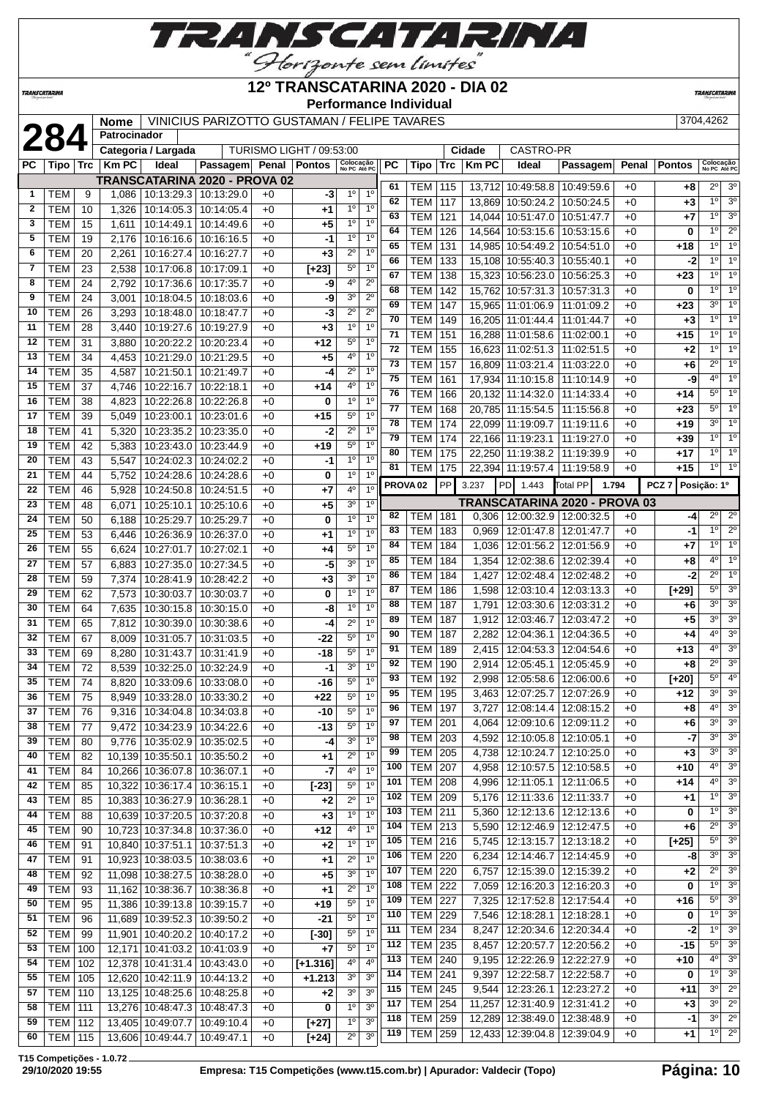

### **12º TRANSCATARINA 2020 - DIA 02**

**Performance Individual**

**TRANSCATARIN** 

**TRANSCATARINA** 

**2844262 Mome** VINICIUS PARIZOTTO GUSTAMAN / FELIPE TAVARES 3704,4262

|              | Z84              |     | Patrocinador |                              |                                  |      |                                 |                           |                |     |                     |            |              |                                 |                                   |       |                  |                           |                  |
|--------------|------------------|-----|--------------|------------------------------|----------------------------------|------|---------------------------------|---------------------------|----------------|-----|---------------------|------------|--------------|---------------------------------|-----------------------------------|-------|------------------|---------------------------|------------------|
|              |                  |     |              | Categoria / Largada          |                                  |      | <b>TURISMO LIGHT / 09:53:00</b> |                           |                |     |                     |            | Cidade       | CASTRO-PR                       |                                   |       |                  |                           |                  |
| РC           | Tipo             | Trc | <b>Km PC</b> | Ideal                        | Passagem Penal Pontos            |      |                                 | Colocação<br>No PC Até PC |                | PC  | Tipo                | <b>Trc</b> | <b>Km PC</b> | Ideal                           | Passagem                          | Penal | <b>Pontos</b>    | Colocação<br>No PC Até PC |                  |
|              |                  |     |              |                              | TRANSCATARINA 2020 - PROVA 02    |      |                                 |                           |                | 61  | TEM                 | 115        | 13,712       | 10:49:58.8                      | 10:49:59.6                        | $+0$  | $+8$             | $2^{\circ}$               | 3 <sup>o</sup>   |
| $\mathbf{1}$ | <b>TEM</b>       | 9   | 1,086        |                              | 10:13:29.3 10:13:29.0            | $+0$ | -3                              | $1^{\circ}$               | 1 <sup>0</sup> | 62  | <b>TEM</b>          | 117        | 13,869       | 10:50:24.2                      | 10:50:24.5                        | $+0$  | $+3$             | 1 <sup>0</sup>            | 3 <sup>o</sup>   |
| $\mathbf{2}$ | <b>TEM</b>       | 10  | 1,326        | 10:14:05.3                   | 10:14:05.4                       | $+0$ | $+1$                            | $1^{\circ}$               | 1 <sup>0</sup> | 63  | <b>TEM</b>          | 121        | 14,044       | 10:51:47.0                      | 10:51:47.7                        | $+0$  | $+7$             | 1 <sup>0</sup>            | 3 <sup>o</sup>   |
| 3            | <b>TEM</b>       | 15  | 1,611        | 10:14:49.1                   | 10:14:49.6                       | $+0$ | $+5$                            | 1 <sup>0</sup>            | 1 <sup>0</sup> | 64  | <b>TEM</b>          |            |              |                                 |                                   | $+0$  |                  | 1 <sup>0</sup>            | $2^{\circ}$      |
| 5            | <b>TEM</b>       | 19  | 2,176        | 10:16:16.6                   | 10:16:16.5                       | $+0$ | -1                              | 1 <sup>0</sup>            | 1 <sup>0</sup> |     |                     | 126        | 14,564       | 10:53:15.6                      | 10:53:15.6                        |       | 0                |                           |                  |
| 6            | <b>TEM</b>       | 20  | 2,261        | 10:16:27.4                   | 10:16:27.7                       | $+0$ | $+3$                            | $2^{\circ}$               | 1 <sup>0</sup> | 65  | <b>TEM</b>          | 131        | 14,985       | 10:54:49.2                      | 10:54:51.0                        | $+0$  | $+18$            | 1 <sup>0</sup>            | 10               |
| 7            | <b>TEM</b>       | 23  | 2,538        | 10:17:06.8                   | 10:17:09.1                       | $+0$ | $[+23]$                         | $5^{\rm o}$               | 1 <sup>0</sup> | 66  | <b>TEM</b>          | 133        | 15,108       | 10:55:40.3                      | 10:55:40.1                        | $+0$  | -2               | 1 <sup>0</sup>            | 1 <sup>0</sup>   |
| 8            | <b>TEM</b>       | 24  | 2,792        | 10:17:36.6                   | 10:17:35.7                       | $+0$ | -9                              | 4°                        | $2^{\circ}$    | 67  | <b>TEM</b>          | 138        | 15,323       | 10:56:23.0                      | 10:56:25.3                        | $+0$  | $+23$            | 1 <sup>0</sup>            | 1 <sup>0</sup>   |
| 9            | <b>TEM</b>       | 24  | 3,001        | 10:18:04.5                   | 10:18:03.6                       | $+0$ | -9                              | 3 <sup>0</sup>            | $2^{\circ}$    | 68  | <b>TEM</b>          | 142        | 15,762       | 10:57:31.3                      | 10:57:31.3                        | $+0$  | 0                | 1 <sup>0</sup>            | 1 <sup>0</sup>   |
| 10           | <b>TEM</b>       | 26  | 3,293        | 10:18:48.0                   | 10:18:47.7                       | $+0$ | -3                              | $2^{\circ}$               | $2^{\circ}$    | 69  | <b>TEM</b>          | 147        | 15,965       | 11:01:06.9                      | 11:01:09.2                        | $+0$  | $+23$            | 3 <sup>o</sup>            | 1 <sup>0</sup>   |
| 11           | <b>TEM</b>       | 28  | 3,440        | 10:19:27.6                   | 10:19:27.9                       | $+0$ | $+3$                            | 1 <sup>0</sup>            | 1 <sup>0</sup> | 70  | <b>TEM</b>          | 149        | 16.205       | 11:01:44.4                      | 11:01:44.7                        | $+0$  | $+3$             | 1 <sup>0</sup>            | $\overline{1^0}$ |
| 12           | <b>TEM</b>       | 31  |              | 10:20:22.2                   | 10:20:23.4                       |      | $+12$                           | $5^{\circ}$               | 1 <sup>0</sup> | 71  | TEM                 | 151        | 16,288       | 11:01:58.6                      | 11:02:00.1                        | $+0$  | $+15$            | 1 <sup>0</sup>            | 1 <sup>0</sup>   |
|              |                  |     | 3,880        |                              |                                  | $+0$ |                                 |                           |                | 72  | <b>TEM</b>          | 155        | 16,623       | 11:02:51.3                      | 11:02:51.5                        | $+0$  | $+2$             | 1 <sup>0</sup>            | 1 <sup>0</sup>   |
| 13           | <b>TEM</b>       | 34  | 4,453        | 10:21:29.0                   | 10:21:29.5                       | $+0$ | $+5$                            | 40                        | 1 <sup>0</sup> | 73  | <b>TEM</b>          | 157        | 16,809       | 11:03:21.4                      | 11:03:22.0                        | $+0$  | $+6$             | $2^{\circ}$               | 10               |
| 14           | <b>TEM</b>       | 35  | 4,587        | 10:21:50.1                   | 10:21:49.7                       | $+0$ | -4                              | $2^{\circ}$               | 1 <sup>0</sup> | 75  | <b>TEM</b>          | 161        | 17,934       | 11:10:15.8                      | 11:10:14.9                        | $+0$  | -9               | $4^{\circ}$               | 10               |
| 15           | <b>TEM</b>       | 37  | 4,746        | 10:22:16.7                   | 10:22:18.1                       | $+0$ | $+14$                           | 4 <sup>0</sup>            | 1 <sup>0</sup> | 76  | <b>TEM</b>          | 166        | 20,132       | 11:14:32.0                      | 11:14:33.4                        | $+0$  | $+14$            | $5^{\circ}$               | $\overline{1^0}$ |
| 16           | <b>TEM</b>       | 38  | 4,823        | 10:22:26.8                   | 10:22:26.8                       | $+0$ | 0                               | 1 <sup>0</sup>            | 1 <sup>0</sup> | 77  | TEM                 | 168        |              | 20,785 11:15:54.5               | 11:15:56.8                        | $+0$  | +23              | $5^{\circ}$               | 1 <sup>0</sup>   |
| 17           | <b>TEM</b>       | 39  | 5,049        | 10:23:00.1                   | 10:23:01.6                       | $+0$ | $+15$                           | $5^{\circ}$               | 1 <sup>0</sup> | 78  | <b>TEM</b>          | 174        | 22,099       | 11:19:09.7                      | 11:19:11.6                        | $+0$  | $+19$            | 3 <sup>0</sup>            | $\overline{1^0}$ |
| 18           | <b>TEM</b>       | 41  | 5,320        | 10:23:35.2                   | 10:23:35.0                       | $+0$ | -2                              | $2^{\circ}$               | 1 <sup>0</sup> | 79  | <b>TEM</b>          | 174        |              | 22,166 11:19:23.1               | 11:19:27.0                        | $+0$  |                  | 1 <sup>0</sup>            | 1 <sup>0</sup>   |
| 19           | <b>TEM</b>       | 42  | 5,383        | 10:23:43.0                   | 10:23:44.9                       | $+0$ | $+19$                           | $5^{\circ}$               | 1 <sup>0</sup> | 80  |                     |            |              |                                 |                                   |       | +39              | 1°                        | $\overline{1^0}$ |
| 20           | <b>TEM</b>       | 43  | 5,547        | 10:24:02.3                   | 10:24:02.2                       | $+0$ | -1                              | 1 <sup>0</sup>            | 1 <sup>0</sup> |     | <b>TEM</b>          | 175        |              | 22,250 11:19:38.2               | 11:19:39.9                        | $+0$  | $+17$            | 1 <sup>°</sup>            | 1 <sup>0</sup>   |
| 21           | <b>TEM</b>       | 44  | 5,752        | 10:24:28.6                   | 10:24:28.6                       | $+0$ | 0                               | 1 <sup>0</sup>            | 1 <sup>0</sup> | 81  | TEM                 | 175        |              | 22,394 11:19:57.4               | 11:19:58.9                        | $+0$  | $+15$            |                           |                  |
| 22           | <b>TEM</b>       | 46  | 5,928        | 10:24:50.8                   | 10:24:51.5                       | $+0$ | $+7$                            | 4°                        | 1 <sup>0</sup> |     | PROVA <sub>02</sub> | PP         | 3.237        | <b>PD</b><br>1.443              | Total PP<br>1.794                 |       | PCZ <sub>7</sub> | Posição: 1º               |                  |
| 23           | <b>TEM</b>       | 48  | 6,071        | 10:25:10.1                   | 10:25:10.6                       | $+0$ | +5                              | 3 <sup>0</sup>            | 1 <sup>0</sup> |     |                     |            |              |                                 | TRANSCATARINA 2020 - PROVA 03     |       |                  |                           |                  |
| 24           | <b>TEM</b>       | 50  | 6,188        | 10:25:29.7                   | 10:25:29.7                       | $+0$ | 0                               | 1 <sup>0</sup>            | 1 <sup>0</sup> | 82  | TEM                 | 181        | 0,306        | 12:00:32.9                      | 12:00:32.5                        | $+0$  | -4               | $2^{\circ}$               | $2^{\circ}$      |
| 25           | <b>TEM</b>       | 53  | 6,446        | 10:26:36.9                   | 10:26:37.0                       | $+0$ | $+1$                            | 1 <sup>0</sup>            | 1 <sup>0</sup> | 83  | <b>TEM</b>          | 183        | 0,969        | 12:01:47.8                      | 12:01:47.7                        | $+0$  | -1               | 1 <sup>0</sup>            | $\overline{2^0}$ |
| 26           | <b>TEM</b>       | 55  | 6,624        | 10:27:01.7                   | 10:27:02.1                       | $+0$ | +4                              | $5^{\circ}$               | 1 <sup>0</sup> | 84  | TEM                 | 184        | 1,036        | 12:01:56.2                      | 12:01:56.9                        | $+0$  | +7               | 1 <sup>0</sup>            | 1 <sup>0</sup>   |
| 27           | <b>TEM</b>       | 57  |              |                              |                                  | $+0$ | -5                              | 3 <sup>0</sup>            | 1 <sup>0</sup> | 85  | <b>TEM</b>          | 184        | 1,354        | 12:02:38.6                      | 12:02:39.4                        | $+0$  | +8               | $4^{\circ}$               | 1 <sup>0</sup>   |
|              |                  |     | 6,883        | 10:27:35.0                   | 10:27:34.5                       |      |                                 |                           | 1 <sup>0</sup> | 86  | <b>TEM</b>          | 184        | 1,427        | 12:02:48.4                      | 12:02:48.2                        | $+0$  | $-2$             | $2^{\circ}$               | 10               |
| 28           | <b>TEM</b>       | 59  | 7,374        | 10:28:41.9                   | 10:28:42.2                       | +0   | $+3$                            | 3 <sup>o</sup>            |                | 87  | TEM                 | 186        | 1,598        | 12:03:10.4                      | 12:03:13.3                        | $+0$  | $[+29]$          | $5^{\circ}$               | 3 <sup>o</sup>   |
| 29           | <b>TEM</b>       | 62  | 7,573        | 10:30:03.7                   | 10:30:03.7                       | $+0$ | 0                               | 1 <sup>0</sup>            | 1 <sup>0</sup> | 88  | TEM                 | 187        | 1,791        | 12:03:30.6                      | 12:03:31.2                        | $+0$  | +6               | 3 <sup>o</sup>            | 3 <sup>o</sup>   |
| 30           | <b>TEM</b>       | 64  | 7,635        | 10:30:15.8                   | 10:30:15.0                       | $+0$ | -8                              | 1 <sup>0</sup>            | 1 <sup>0</sup> | 89  | <b>TEM</b>          |            |              |                                 |                                   |       |                  | 3 <sup>o</sup>            | 3 <sup>o</sup>   |
| 31           | <b>TEM</b>       | 65  | 7,812        | 10:30:39.0                   | 10:30:38.6                       | $+0$ | -4                              | $2^{\circ}$               | 1 <sup>0</sup> |     |                     | 187        | 1,912        | 12:03:46.7                      | 12:03:47.2                        | $+0$  | +5               | 4 <sup>0</sup>            | 3 <sup>o</sup>   |
| 32           | <b>TEM</b>       | 67  | 8,009        | 10:31:05.7                   | 10:31:03.5                       | $+0$ | -22                             | $5^{\circ}$               | 1 <sup>0</sup> | 90  | <b>TEM</b>          | 187        | 2,282        | 12:04:36.1                      | 12:04:36.5                        | $+0$  | $+4$             |                           |                  |
| 33           | <b>TEM</b>       | 69  | 8,280        | 10:31:43.7                   | 10:31:41.9                       | $+0$ | $-18$                           | $5^{\circ}$               | 1 <sup>0</sup> | 91  | <b>TEM</b>          | 189        | 2,415        | 12:04:53.3                      | 12:04:54.6                        | $+0$  | $+13$            | 4 <sup>0</sup>            | 3 <sup>o</sup>   |
| 34           | <b>TEM</b>       | 72  | 8,539        | 10:32:25.0                   | 10:32:24.9                       | $+0$ | -1                              | 3 <sup>0</sup>            | 1 <sup>0</sup> | 92  | <b>TEM</b>          | 190        | 2,914        | 12:05:45.1                      | 12:05:45.9                        | $+0$  | $+8$             | $\overline{2^0}$          | 3 <sup>0</sup>   |
| 35           | <b>TEM</b>       | 74  | 8,820        | 10:33:09.6                   | 10:33:08.0                       | $+0$ | $-16$                           | $5^{\circ}$               | 1 <sup>0</sup> | 93  | TEM                 | 192        | 2,998        | 12:05:58.6                      | 12:06:00.6                        | $+0$  | $[+20]$          | $5^{\circ}$               | 4 <sup>0</sup>   |
| 36           | <b>TEM</b>       | 75  | 8,949        | 10:33:28.0                   | 10:33:30.2                       | $+0$ | $+22$                           | $5^{\circ}$               | 1 <sup>0</sup> | 95  | TEM                 | 195        | 3,463        | 12:07:25.7                      | 12:07:26.9                        | $+0$  | +12              | 3 <sup>0</sup>            | 3 <sup>0</sup>   |
| 37           | <b>TEM</b>       | 76  | 9,316        | 10:34:04.8   10:34:03.8      |                                  | $+0$ | $-10$                           | $5^{\circ}$               | 1 <sup>0</sup> | 96  | TEM                 | 197        | 3,727        | 12:08:14.4                      | 12:08:15.2                        | $+0$  | $+8$             | 4 <sup>0</sup>            | 3 <sup>o</sup>   |
| 38           | <b>TEM</b>       | 77  | 9,472        |                              | 10:34:23.9 10:34:22.6            | $+0$ | -13                             | $5^{\circ}$               | 1 <sup>0</sup> | 97  | <b>TEM 201</b>      |            |              | 4,064   12:09:10.6   12:09:11.2 |                                   | +0    | $+6$             | 3 <sup>o</sup>            | 3 <sup>o</sup>   |
| 39           | <b>TEM</b>       | 80  | 9,776        |                              | 10:35:02.9 10:35:02.5            | $+0$ | -4                              | 3 <sup>o</sup>            | 1 <sup>o</sup> | 98  | TEM   203           |            | 4,592        |                                 | 12:10:05.8 12:10:05.1             | $+0$  | $-7$             | 3 <sup>0</sup>            | 3 <sup>o</sup>   |
| 40           | TEM              | 82  |              |                              | 10,139 10:35:50.1 10:35:50.2     | $+0$ | $+1$                            | $2^{\circ}$               | 1 <sup>0</sup> | 99  | <b>TEM 205</b>      |            | 4,738        |                                 | 12:10:24.7   12:10:25.0           | $+0$  | $+3$             | 3 <sup>o</sup>            | 3 <sup>o</sup>   |
| 41           | <b>TEM</b>       | 84  |              | 10,266 10:36:07.8 10:36:07.1 |                                  | $+0$ | -7                              | $4^{\circ}$               | 1 <sup>0</sup> | 100 | <b>TEM</b>          | 207        | 4,958        |                                 | 12:10:57.5 12:10:58.5             | $+0$  | +10              | 4°                        | 3 <sup>o</sup>   |
| 42           | <b>TEM</b>       | 85  |              | 10,322 10:36:17.4 10:36:15.1 |                                  |      |                                 | $5^{\circ}$               | 1 <sup>0</sup> | 101 | <b>TEM 208</b>      |            | 4,996        |                                 | 12:11:05.1   12:11:06.5           | $+0$  | +14              | 40                        | 3 <sup>o</sup>   |
| 43           |                  |     |              |                              |                                  | $+0$ | $[-23]$                         | $2^{\circ}$               | 1 <sup>0</sup> | 102 | <b>TEM 209</b>      |            | 5,176        |                                 | 12:11:33.6   12:11:33.7           | $+0$  | $+1$             | 1 <sup>0</sup>            | 3 <sup>0</sup>   |
|              | <b>TEM</b>       | 85  |              | 10,383 10:36:27.9            | 10:36:28.1                       | $+0$ | $+2$                            |                           |                | 103 | <b>TEM 211</b>      |            | 5,360        |                                 | 12:12:13.6   12:12:13.6           | $+0$  | 0                | 1 <sup>0</sup>            | 3 <sup>o</sup>   |
| 44           | <b>TEM</b>       | 88  |              | 10,639 10:37:20.5            | 10:37:20.8                       | $+0$ | $+3$                            | $1^{\circ}$               | 1 <sup>0</sup> | 104 | <b>TEM 213</b>      |            | 5,590        |                                 | 12:12:46.9   12:12:47.5           | $+0$  | +6               | $2^{\circ}$               | 3 <sup>o</sup>   |
| 45           | <b>TEM</b>       | 90  |              |                              | 10,723 10:37:34.8 10:37:36.0     | $+0$ | +12                             | 4º                        | 1 <sup>0</sup> | 105 | <b>TEM 216</b>      |            | 5,745        |                                 | 12:13:15.7   12:13:18.2           | $+0$  | $[+25]$          | $5^{\circ}$               | 3 <sup>0</sup>   |
| 46           | <b>TEM</b>       | 91  | 10,840       | 10:37:51.1                   | 10:37:51.3                       | $+0$ | $+2$                            | $1^{\circ}$               | 1 <sup>0</sup> | 106 |                     |            |              |                                 |                                   |       |                  | 3 <sup>0</sup>            | 3 <sup>o</sup>   |
| 47           | <b>TEM</b>       | 91  |              |                              | 10,923 10:38:03.5 10:38:03.6     | $+0$ | +1                              | $2^{\circ}$               | 10             |     | <b>TEM 220</b>      |            | 6,234        |                                 | 12:14:46.7   12:14:45.9           | $+0$  | -8               |                           |                  |
| 48           | <b>TEM</b>       | 92  |              |                              | 11,098 10:38:27.5 10:38:28.0     | $+0$ | $+5$                            | 3 <sup>o</sup>            | 10             | 107 | <b>TEM 220</b>      |            | 6,757        |                                 | 12:15:39.0   12:15:39.2           | $+0$  | $+2$             | $2^{\circ}$               | 3 <sup>o</sup>   |
| 49           | <b>TEM</b>       | 93  |              | 11,162 10:38:36.7 10:38:36.8 |                                  | $+0$ | $+1$                            | $2^{\circ}$               | $1^{\circ}$    | 108 | <b>TEM 222</b>      |            | 7,059        |                                 | 12:16:20.3   12:16:20.3           | $+0$  | 0                | 1 <sup>0</sup>            | 3 <sup>o</sup>   |
| 50           | <b>TEM</b>       | 95  |              | 11,386 10:39:13.8 10:39:15.7 |                                  | $+0$ | $+19$                           | $5^{\circ}$               | 1 <sup>0</sup> | 109 | <b>TEM 227</b>      |            | 7,325        |                                 | 12:17:52.8   12:17:54.4           | $+0$  | +16              | $5^{\circ}$               | 3 <sup>0</sup>   |
| 51           | TEM              | 96  |              |                              | 11,689 10:39:52.3 10:39:50.2     | $+0$ | $-21$                           | $5^{\circ}$               | 1 <sup>o</sup> | 110 | <b>TEM 229</b>      |            | 7,546        |                                 | 12:18:28.1   12:18:28.1           | $+0$  | 0                | 1 <sup>0</sup>            | 3 <sup>0</sup>   |
| 52           | <b>TEM</b>       | 99  |              |                              | 11,901   10:40:20.2   10:40:17.2 | $+0$ | $[-30]$                         | $5^{\circ}$               | 1 <sup>0</sup> | 111 | <b>TEM 234</b>      |            | 8,247        |                                 | 12:20:34.6   12:20:34.4           | $+0$  | $-2$             | 1 <sup>°</sup>            | 3 <sup>0</sup>   |
| 53           | <b>TEM   100</b> |     |              |                              | 12,171 10:41:03.2 10:41:03.9     | $+0$ | $+7$                            | $5^{\circ}$               | $1^{\circ}$    | 112 | TEM 235             |            | 8,457        |                                 | 12:20:57.7   12:20:56.2           | $+0$  | $-15$            | $5^{\circ}$               | 3 <sup>0</sup>   |
| 54           | TEM              | 102 |              |                              | 12,378 10:41:31.4 10:43:43.0     | $+0$ | $[+1.316]$                      | $4^{\circ}$               | $4^{\circ}$    | 113 | <b>TEM 240</b>      |            |              |                                 | $9,195$   12:22:26.9   12:22:27.9 | $+0$  | $+10$            | $4^{\circ}$               | 3 <sup>0</sup>   |
| 55           | <b>TEM 105</b>   |     |              |                              | 12,620 10:42:11.9 10:44:13.2     | +0   | +1.213                          | 3 <sup>o</sup>            | 3 <sup>o</sup> | 114 | <b>TEM 241</b>      |            | 9,397        |                                 | 12:22:58.7   12:22:58.7           | $+0$  | 0                | 1 <sup>0</sup>            | 3 <sup>o</sup>   |
| 57           | TEM              | 110 |              |                              | 13,125 10:48:25.6 10:48:25.8     | +0   | +2                              | 3 <sup>o</sup>            | 3 <sup>0</sup> | 115 | <b>TEM 245</b>      |            | 9,544        |                                 | 12:23:26.1   12:23:27.2           | $+0$  | +11              | $3^{\circ}$               | $2^{\circ}$      |
| 58           | <b>TEM 111</b>   |     |              |                              | 13,276 10:48:47.3 10:48:47.3     |      | 0                               | $1^{\circ}$               | 3 <sup>0</sup> | 117 | <b>TEM 254</b>      |            | 11,257       |                                 | 12:31:40.9   12:31:41.2           | $+0$  | $+3$             | 3 <sup>o</sup>            | $2^{\circ}$      |
|              |                  |     |              |                              |                                  | $+0$ |                                 | $1^{\circ}$               | 3 <sup>o</sup> | 118 | <b>TEM 259</b>      |            | 12,289       |                                 | 12:38:49.0   12:38:48.9           | $+0$  | $-1$             | 3 <sup>o</sup>            | $2^{\circ}$      |
| 59           | <b>TEM 112</b>   |     |              |                              | 13,405 10:49:07.7 10:49:10.4     | $+0$ | $\boxed{+27}$                   |                           |                | 119 | <b>TEM 259</b>      |            | 12,433       | 12:39:04.8   12:39:04.9         |                                   | +0    | +1               | 1 <sup>0</sup>            | $2^{\circ}$      |
| 60           | $TEM$ 115        |     |              | 13,606 10:49:44.7 10:49:47.1 |                                  | $+0$ | $[+24]$                         | $2^{\circ}$               | 3 <sup>o</sup> |     |                     |            |              |                                 |                                   |       |                  |                           |                  |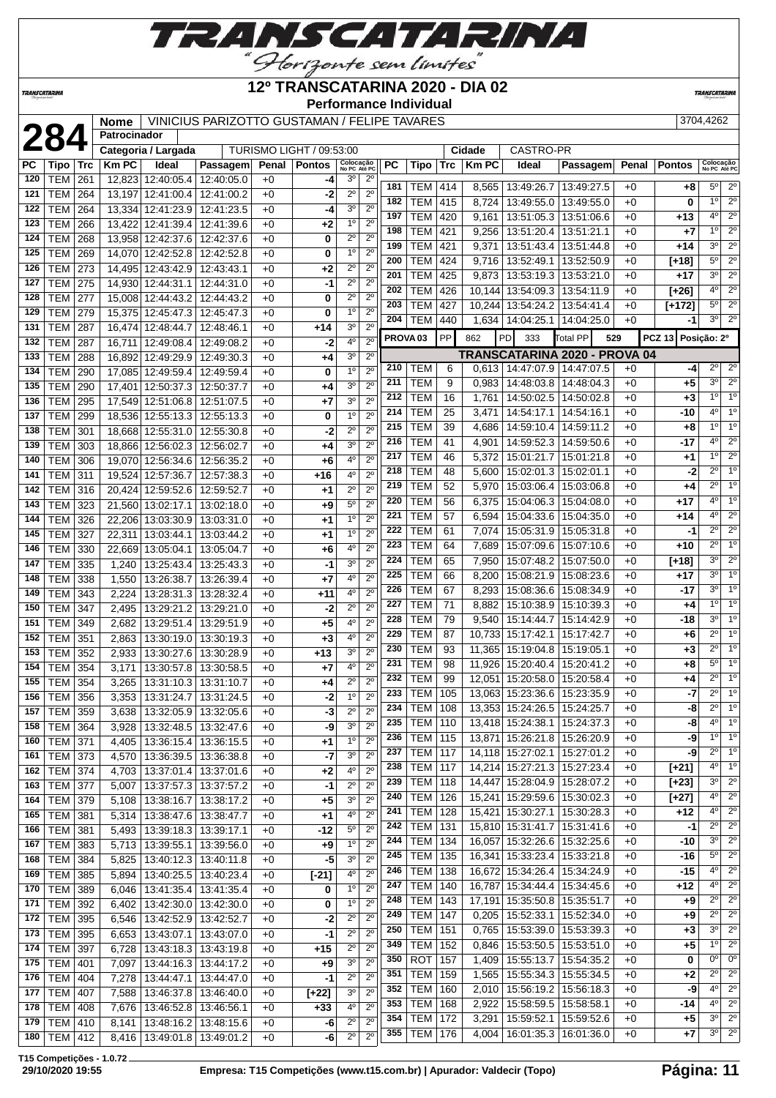

### **12º TRANSCATARINA 2020 - DIA 02**

**Performance Individual**

**TRANSCATARIN** 

**TRANSCATARINA** 

**2844262 Mome** VINICIUS PARIZOTTO GUSTAMAN / FELIPE TAVARES 3704,4262

|     |                          |            | <b>Nome</b>  |                                 | VINICIUS PARIZOTTO GUSTAMAN / FELIPE TAVARES |       |                          |                           |                  |                     |                |            |              |                                 |                               |       |               | 3704,4262                 |                        |
|-----|--------------------------|------------|--------------|---------------------------------|----------------------------------------------|-------|--------------------------|---------------------------|------------------|---------------------|----------------|------------|--------------|---------------------------------|-------------------------------|-------|---------------|---------------------------|------------------------|
|     | 284                      |            | Patrocinador |                                 |                                              |       |                          |                           |                  |                     |                |            |              |                                 |                               |       |               |                           |                        |
|     |                          |            |              | Categoria / Largada             |                                              |       | TURISMO LIGHT / 09:53:00 |                           |                  |                     |                |            | Cidade       | CASTRO-PR                       |                               |       |               |                           |                        |
| РC  | Tipo                     | <b>Trc</b> | <b>Km PC</b> | Ideal                           | Passagem                                     | Penal | <b>Pontos</b>            | Colocação<br>No PC Até PC |                  | <b>PC</b>           | Tipo           | <b>Trc</b> | <b>Km PC</b> | Ideal                           | Passagem                      | Penal | <b>Pontos</b> | Colocação<br>No PC Até PC |                        |
| 120 | <b>TEM</b>               | 261        | 12,823       | 12:40:05.4                      | 12:40:05.0                                   | $+0$  | -4                       | 3 <sup>o</sup>            | $2^{\circ}$      |                     |                |            |              |                                 |                               |       |               |                           |                        |
| 121 | TEM                      | 264        | 13,197       | 12:41:00.4                      | 12:41:00.2                                   | $+0$  | -2                       | $2^{\circ}$               | $2^{\circ}$      | 181                 | <b>TEM</b>     | 414        | 8,565        | 13:49:26.7                      | 13:49:27.5                    | $+0$  | +8            | $5^{\circ}$               | $2^{\circ}$            |
| 122 | <b>TEM</b>               | 264        | 13,334       | 12:41:23.9                      | 12:41:23.5                                   | $+0$  | -4                       | 3 <sup>o</sup>            | $2^{\circ}$      | 182                 | <b>TEM</b>     | 415        | 8,724        | 13:49:55.0                      | 13:49:55.0                    | $+0$  | 0             | 1 <sup>0</sup>            | $\overline{2^{\circ}}$ |
| 123 | <b>TEM</b>               | 266        | 13,422       | 12:41:39.4                      | 12:41:39.6                                   | $+0$  | +2                       | 1 <sup>0</sup>            | $2^{\circ}$      | 197                 | <b>TEM</b>     | 420        | 9,161        | 13:51:05.3                      | 13:51:06.6                    | $+0$  | $+13$         | $4^{\circ}$               | $\overline{2^0}$       |
| 124 | <b>TEM</b>               | 268        |              | 13,958 12:42:37.6               | 12:42:37.6                                   | $+0$  | 0                        | $2^{\circ}$               | $2^{\circ}$      | 198                 | TEM            | 421        | 9,256        | 13:51:20.4                      | 13:51:21.1                    | $+0$  | +7            | 1 <sup>0</sup>            | $2^{\circ}$            |
| 125 | <b>TEM</b>               | 269        |              | 14,070 12:42:52.8               | 12:42:52.8                                   | $+0$  | 0                        | 1 <sup>0</sup>            | 2 <sup>0</sup>   | 199                 | <b>TEM</b>     | 421        | 9,371        | 13:51:43.4                      | 13:51:44.8                    | $+0$  | $+14$         | 3 <sup>0</sup>            | $2^{\circ}$            |
| 126 | <b>TEM</b>               | 273        |              | 14,495 12:43:42.9 12:43:43.1    |                                              | $+0$  | +2                       | $2^{\circ}$               | $\overline{2^0}$ | 200                 | <b>TEM</b>     | 424        | 9,716        | 13:52:49.1                      | 13:52:50.9                    | $+0$  | $[+18]$       | $5^{\circ}$               | $2^{\circ}$            |
| 127 | <b>TEM</b>               | 275        |              | 14,930 12:44:31.1 12:44:31.0    |                                              | $+0$  | $-1$                     | $2^{\circ}$               | $2^{\circ}$      | 201                 | TEM            | 425        | 9,873        | 13:53:19.3   13:53:21.0         |                               | $+0$  | $+17$         | 30                        | $\overline{2^0}$       |
| 128 |                          |            |              |                                 |                                              |       | 0                        | $2^{\circ}$               | $2^{\circ}$      | 202                 | <b>TEM</b>     | 426        |              | 10,144 13:54:09.3               | 13:54:11.9                    | $+0$  | $[+26]$       | $4^{\circ}$               | $2^{\circ}$            |
|     | <b>TEM</b>               | 277        | 15,008       | 12:44:43.2                      | 12:44:43.2                                   | $+0$  |                          | 1 <sup>0</sup>            |                  | 203                 | <b>TEM</b>     | 427        |              | 10,244 13:54:24.2               | 13:54:41.4                    | $+0$  | [+172]        | $5^{\circ}$               | $2^{\circ}$            |
| 129 | <b>TEM</b>               | 279        |              | 15,375 12:45:47.3 12:45:47.3    |                                              | $+0$  | 0                        |                           | $2^{\circ}$      | 204                 | <b>TEM</b>     | 440        |              | 1,634   14:04:25.1              | 14:04:25.0                    | $+0$  | -1            | 3 <sup>0</sup>            | $\overline{2^0}$       |
| 131 | <b>TEM</b>               | 287        |              | 16,474 12:48:44.7               | 12:48:46.1                                   | $+0$  | $+14$                    | 3 <sup>0</sup>            | $2^{\circ}$      | PROVA <sub>03</sub> |                | <b>PP</b>  | 862          | PD<br>333                       | Total PP<br>529               |       | <b>PCZ 13</b> | Posição: 2º               |                        |
| 132 | <b>TEM</b>               | 287        | 16,711       | 12:49:08.4                      | 12:49:08.2                                   | $+0$  | -2                       | $4^{\circ}$               | $2^{\circ}$      |                     |                |            |              |                                 | TRANSCATARINA 2020 - PROVA 04 |       |               |                           |                        |
| 133 | TEM                      | 288        | 16,892       | 12:49:29.9                      | 12:49:30.3                                   | $+0$  | +4                       | 3 <sup>o</sup>            | $2^{\circ}$      | 210                 | TEM            | 6          |              | 0,613   14:47:07.9   14:47:07.5 |                               | $+0$  | -4            | $2^{\circ}$               | $2^{\circ}$            |
| 134 | <b>TEM</b>               | 290        |              | 17,085 12:49:59.4               | 12:49:59.4                                   | $+0$  | 0                        | 1 <sup>0</sup>            | $2^{\circ}$      | 211                 | <b>TEM</b>     | 9          | 0,983        | 14:48:03.8                      | 14:48:04.3                    | $+0$  | +5            | 3 <sup>0</sup>            | $2^{\circ}$            |
| 135 | <b>TEM</b>               | 290        | 17,401       | 12:50:37.3                      | 12:50:37.7                                   | $+0$  | +4                       | 3 <sup>0</sup>            | $2^{\circ}$      |                     |                |            |              |                                 |                               |       |               | 1 <sup>°</sup>            | 1 <sup>0</sup>         |
| 136 | <b>TEM</b>               | 295        |              | 17,549 12:51:06.8 12:51:07.5    |                                              | $+0$  | $+7$                     | 3 <sup>0</sup>            | $2^{\circ}$      | 212                 | <b>TEM</b>     | 16         | 1,761        | 14:50:02.5                      | 14:50:02.8                    | $+0$  | $+3$          |                           | 1 <sup>0</sup>         |
| 137 | <b>TEM</b>               | 299        |              | 18,536 12:55:13.3 12:55:13.3    |                                              | $+0$  | 0                        | 1 <sup>0</sup>            | $2^{\circ}$      | 214                 | <b>TEM</b>     | 25         | 3,471        | 14:54:17.1                      | 14:54:16.1                    | $+0$  | -10           | $4^{\circ}$               |                        |
| 138 | <b>TEM</b>               | 301        |              | 18,668 12:55:31.0 12:55:30.8    |                                              | $+0$  | -2                       | $2^{\circ}$               | $2^{\circ}$      | 215                 | <b>TEM</b>     | 39         | 4,686        | 14:59:10.4                      | 14:59:11.2                    | $+0$  | $+8$          | 1 <sup>°</sup>            | 1 <sup>0</sup>         |
| 139 | <b>TEM</b>               | 303        |              | 18,866 12:56:02.3               | 12:56:02.7                                   | $+0$  | +4                       | 3 <sup>o</sup>            | $2^{\circ}$      | 216                 | TEM            | 41         | 4,901        | 14:59:52.3                      | 14:59:50.6                    | $+0$  | -17           | $4^{\circ}$               | $2^{\circ}$            |
| 140 | <b>TEM</b>               | 306        |              | 19,070 12:56:34.6               | 12:56:35.2                                   | $+0$  | +6                       | 4 <sup>0</sup>            | $2^{\circ}$      | 217                 | <b>TEM</b>     | 46         | 5,372        | 15:01:21.7                      | 15:01:21.8                    | $+0$  | +1            | 1 <sup>o</sup>            | $\overline{2^0}$       |
| 141 | TEM                      | 311        | 19,524       | 12:57:36.7                      | 12:57:38.3                                   | $+0$  | $+16$                    | 4°                        | $2^{\circ}$      | 218                 | TEM            | 48         | 5,600        | 15:02:01.3                      | 15:02:01.1                    | $+0$  | -2            | $2^{\circ}$               | 1 <sup>0</sup>         |
| 142 | <b>TEM</b>               | 316        | 20,424       | 12:59:52.6                      | 12:59:52.7                                   | $+0$  | $+1$                     | $2^{\circ}$               | $2^{\circ}$      | 219                 | <b>TEM</b>     | 52         | 5,970        | 15:03:06.4                      | 15:03:06.8                    | $+0$  | +4            | $2^{\circ}$               | 1 <sup>0</sup>         |
| 143 | <b>TEM</b>               | 323        | 21,560       | 13:02:17.1                      | 13:02:18.0                                   | $+0$  | +9                       | $5^{\circ}$               | $2^{\circ}$      | 220                 | TEM            | 56         | 6,375        | 15:04:06.3                      | 15:04:08.0                    | $+0$  | $+17$         | 40                        | 1 <sup>0</sup>         |
| 144 | <b>TEM</b>               | 326        | 22,206       | 13:03:30.9                      | 13:03:31.0                                   | $+0$  | +1                       | 1 <sup>0</sup>            | $2^{\circ}$      | 221                 | <b>TEM</b>     | 57         | 6,594        | 15:04:33.6                      | 15:04:35.0                    | $+0$  | $+14$         | 40                        | $2^{\circ}$            |
| 145 | <b>TEM</b>               | 327        | 22,311       | 13:03:44.1                      | 13:03:44.2                                   | $+0$  | +1                       | 1 <sup>0</sup>            | $2^{\circ}$      | 222                 | <b>TEM</b>     | 61         | 7,074        | 15:05:31.9                      | 15:05:31.8                    | $+0$  | -1            | $2^{\circ}$               | $2^{\circ}$            |
| 146 | <b>TEM</b>               | 330        |              | 22,669 13:05:04.1               | 13:05:04.7                                   | $+0$  | +6                       | 4°                        | $2^{\circ}$      | 223                 | <b>TEM</b>     | 64         | 7,689        | 15:07:09.6                      | 15:07:10.6                    | $+0$  | $+10$         | $2^{\circ}$               | 1 <sup>0</sup>         |
| 147 | <b>TEM</b>               | 335        | 1,240        | 13:25:43.4                      | 13:25:43.3                                   | $+0$  | $-1$                     | 3 <sup>0</sup>            | $2^{\circ}$      | 224                 | TEM            | 65         | 7,950        | 15:07:48.2                      | 15:07:50.0                    | $+0$  | $[+18]$       | 3 <sup>o</sup>            | $2^{\circ}$            |
| 148 | <b>TEM</b>               | 338        | 1,550        | 13:26:38.7                      | 13:26:39.4                                   | $+0$  | $+7$                     | 4°                        | $2^{\circ}$      | 225                 | <b>TEM</b>     | 66         | 8,200        | 15:08:21.9                      | 15:08:23.6                    | $+0$  | +17           | 3 <sup>o</sup>            | 1 <sup>0</sup>         |
| 149 | <b>TEM</b>               | 343        | 2,224        | 13:28:31.3                      | 13:28:32.4                                   | $+0$  | $+11$                    | 4°                        | $2^{\circ}$      | 226                 | <b>TEM</b>     | 67         | 8,293        | 15:08:36.6                      | 15:08:34.9                    | $+0$  | -17           | 3 <sup>o</sup>            | 1 <sup>0</sup>         |
| 150 | <b>TEM</b>               | 347        | 2,495        | 13:29:21.2                      | 13:29:21.0                                   | $+0$  | $-2$                     | $2^{\circ}$               | $2^{\circ}$      | 227                 | TEM            | 71         | 8,882        | 15:10:38.9                      | 15:10:39.3                    | $+0$  | +4            | $1^{\circ}$               | 1 <sup>0</sup>         |
| 151 | <b>TEM</b>               | 349        | 2,682        |                                 | 13:29:51.4   13:29:51.9                      | $+0$  | +5                       | $4^{\circ}$               | $2^{\circ}$      | 228                 | <b>TEM</b>     | 79         | 9,540        | 15:14:44.7                      | 15:14:42.9                    | $+0$  | -18           | 3 <sup>0</sup>            | 1 <sup>0</sup>         |
| 152 | <b>TEM</b>               | 351        |              | 13:30:19.0                      | 13:30:19.3                                   |       | $+3$                     | 4 <sup>0</sup>            | $2^{\circ}$      | 229                 | <b>TEM</b>     | 87         |              | 10,733 15:17:42.1               | 15:17:42.7                    | $+0$  | $+6$          | $2^{\circ}$               | 1 <sup>0</sup>         |
| 153 |                          |            | 2,863        |                                 |                                              | $+0$  |                          | 3 <sup>0</sup>            | $2^{\circ}$      | 230                 | <b>TEM</b>     | 93         | 11,365       | 15:19:04.8                      | 15:19:05.1                    | $+0$  | $+3$          | $2^{\circ}$               | 1 <sup>0</sup>         |
| 154 | <b>TEM</b><br><b>TEM</b> | 352        | 2,933        | 13:30:27.6                      | 13:30:28.9                                   | $+0$  | +13                      | 4 <sup>0</sup>            | $2^{\circ}$      | 231                 | <b>TEM</b>     | 98         | 11,926       | 15:20:40.4                      | 15:20:41.2                    | $+0$  | +8            | 5 <sup>o</sup>            | 1 <sup>0</sup>         |
|     |                          | 354        | 3,171        | 13:30:57.8                      | 13:30:58.5                                   | $+0$  | +7                       | $2^{\circ}$               | $2^{\circ}$      | 232                 | <b>TEM</b>     | 99         |              | 12,051 15:20:58.0               | 15:20:58.4                    | $+0$  | +4            | $2^{\circ}$               | 1 <sup>0</sup>         |
| 155 | <b>TEM 354</b>           |            | 3,265        |                                 | 13:31:10.3 13:31:10.7                        | $+0$  | +4                       |                           |                  |                     | 233 TEM 105    |            |              | 13,063 15:23:36.6 15:23:35.9    |                               | $+0$  | $-7$          |                           | 20110                  |
|     | 156 TEM 356              |            |              |                                 | 3,353 13:31:24.7 13:31:24.5                  | $+0$  | $-2$                     | $1^\circ$                 | $2^{\circ}$      | 234                 | TEM   108      |            |              | 13,353 15:24:26.5 15:24:25.7    |                               | +0    | -8            | $2^{\circ}$               | 1 <sup>0</sup>         |
| 157 | TEM 359                  |            | 3,638        | 13:32:05.9                      | 13:32:05.6                                   | $+0$  | -3                       | $2^{\circ}$               | $2^{\circ}$      | 235                 | TEM            | 110        |              | 13,418 15:24:38.1               | 15:24:37.3                    | $+0$  | -8            | $4^{\circ}$               | $\overline{1^{\circ}}$ |
| 158 | <b>TEM 364</b>           |            | 3,928        | 13:32:48.5                      | 13:32:47.6                                   | $+0$  | -9                       | 3 <sup>o</sup>            | $2^{\circ}$      | 236                 | <b>TEM 115</b> |            |              | 13,871 15:26:21.8 15:26:20.9    |                               | $+0$  | -9            | 1 <sup>0</sup>            | 1 <sup>0</sup>         |
| 160 | <b>TEM 371</b>           |            | 4,405        |                                 | 13:36:15.4   13:36:15.5                      | $+0$  | +1                       | 1 <sup>0</sup>            | $2^{\circ}$      |                     |                |            |              |                                 |                               |       |               | $2^{\circ}$               | 1 <sup>0</sup>         |
| 161 | <b>TEM 373</b>           |            | 4,570        |                                 | 13:36:39.5   13:36:38.8                      | $+0$  | $-7$                     | 3 <sup>0</sup>            | $2^{\circ}$      | 237<br>238          | <b>TEM 117</b> |            |              | 14,118 15:27:02.1 15:27:01.2    |                               | $+0$  | -9            | $4^{\circ}$               | 1 <sup>0</sup>         |
| 162 | <b>TEM 374</b>           |            | 4,703        |                                 | 13:37:01.4   13:37:01.6                      | $+0$  | +2                       | $4^{\circ}$               | $2^{\circ}$      |                     | <b>TEM 117</b> |            |              | 14,214 15:27:21.3 15:27:23.4    |                               | $+0$  | $[+21]$       | 3 <sup>o</sup>            | $2^{\circ}$            |
| 163 | <b>TEM 377</b>           |            | 5,007        |                                 | 13:37:57.3   13:37:57.2                      | $+0$  | -1                       | $2^{\circ}$               | $2^{\circ}$      | 239                 | <b>TEM 118</b> |            |              | 14,447 15:28:04.9               | 15:28:07.2                    | $+0$  | $[+23]$       | $4^{\circ}$               | $2^{\circ}$            |
| 164 | TEM 379                  |            | 5,108        | 13:38:16.7                      | 13:38:17.2                                   | $+0$  | +5                       | 3 <sup>o</sup>            | $2^{\circ}$      | 240                 | <b>TEM 126</b> |            |              | 15,241 15:29:59.6 15:30:02.3    |                               | $+0$  | $[+27]$       |                           |                        |
| 165 | <b>TEM 381</b>           |            | 5,314        | 13:38:47.6   13:38:47.7         |                                              | $+0$  | +1                       | $4^{\circ}$               | $2^{\circ}$      | 241                 | <b>TEM 128</b> |            |              | 15,421 15:30:27.1               | 15:30:28.3                    | $+0$  | $+12$         | $4^{\circ}$               | $2^{\circ}$            |
| 166 | <b>TEM 381</b>           |            | 5,493        | 13:39:18.3   13:39:17.1         |                                              | $+0$  | -12                      | $5^{\circ}$               | $2^{\circ}$      | 242                 | <b>TEM</b>     | 131        |              | 15,810 15:31:41.7               | 15:31:41.6                    | $+0$  | $-1$          | $2^{\circ}$               | $2^{\circ}$            |
| 167 | <b>TEM 383</b>           |            | 5,713        | 13:39:55.1                      | 13:39:56.0                                   | $+0$  | +9                       | $1^{\circ}$               | $2^{\circ}$      | 244                 | TEM            | 134        |              | 16,057 15:32:26.6               | 15:32:25.6                    | $+0$  | -10           | 3 <sup>o</sup>            | $2^{\circ}$            |
| 168 | <b>TEM 384</b>           |            | 5,825        |                                 | 13:40:12.3   13:40:11.8                      | $+0$  | $-5$                     | 3 <sup>o</sup>            | $2^{\circ}$      | 245                 | <b>TEM</b>     | 135        |              | 16,341 15:33:23.4               | 15:33:21.8                    | $+0$  | $-16$         | $5^\circ$                 | $\overline{2^0}$       |
| 169 | <b>TEM 385</b>           |            | 5,894        | 13:40:25.5                      | 13:40:23.4                                   | $+0$  | $[-21]$                  | 40                        | $2^{\circ}$      | 246                 | <b>TEM</b>     | 138        |              | 16,672 15:34:26.4               | 15:34:24.9                    | $+0$  | $-15$         | 4 <sup>o</sup>            | $2^{\circ}$            |
| 170 | <b>TEM 389</b>           |            | 6,046        |                                 | 13:41:35.4   13:41:35.4                      | $+0$  | 0                        | $1^{\circ}$               | $2^{\circ}$      | 247                 | <b>TEM 140</b> |            |              | 16,787 15:34:44.4               | 15:34:45.6                    | $+0$  | $+12$         | $4^{\circ}$               | $2^{\circ}$            |
| 171 | <b>TEM</b>               | 392        | 6,402        |                                 | 13:42:30.0 13:42:30.0                        | $+0$  | 0                        | $1^{\circ}$               | $2^{\circ}$      | 248                 | <b>TEM 143</b> |            |              | 17,191 15:35:50.8 15:35:51.7    |                               | $+0$  | +9            | $2^{\circ}$               | $2^{\circ}$            |
| 172 | <b>TEM</b>               | 395        | 6,546        | 13:42:52.9                      | 13:42:52.7                                   | $+0$  | -2                       | $2^{\circ}$               | $2^{\circ}$      | 249                 | <b>TEM 147</b> |            |              | $0,205$   15:52:33.1            | 15:52:34.0                    | $+0$  | +9            | $2^{\circ}$               | $2^{\circ}$            |
| 173 | TEM 395                  |            | 6,653        | 13:43:07.1                      | 13:43:07.0                                   | $+0$  | -1                       | $2^{\circ}$               | $\overline{2^0}$ | 250                 | <b>TEM 151</b> |            | 0,765        | 15:53:39.0                      | 15:53:39.3                    | $+0$  | $+3$          | 3 <sup>0</sup>            | $2^{\circ}$            |
| 174 | TEM 397                  |            | 6,728        |                                 | 13:43:18.3 13:43:19.8                        | $+0$  | $+15$                    | $2^{\circ}$               | $2^{\circ}$      | 349                 | <b>TEM 152</b> |            | 0,846        | 15:53:50.5                      | 15:53:51.0                    | $+0$  | $+5$          | $1^{\circ}$               | $2^{\circ}$            |
| 175 | TEM   401                |            | 7,097        |                                 | 13:44:16.3   13:44:17.2                      | $+0$  | $+9$                     | 3 <sup>o</sup>            | $2^{\circ}$      | 350                 | <b>ROT</b>     | 157        |              | 1,409   15:55:13.7              | 15:54:35.2                    | $+0$  | 0             | $0^{\circ}$               | $0^{\circ}$            |
| 176 | <b>TEM 404</b>           |            | 7,278        | 13:44:47.1                      | 13:44:47.0                                   | $+0$  | -1                       | $2^{\circ}$               | $2^{\circ}$      | 351                 | TEM            | 159        |              | 1,565   15:55:34.3              | 15:55:34.5                    | $+0$  | $+2$          | $2^{\circ}$               | $2^{\circ}$            |
| 177 | <b>TEM 407</b>           |            | 7,588        | 13:46:37.8                      | 13:46:40.0                                   | $+0$  | $\boxed{+22}$            | 3 <sup>o</sup>            | $2^{\circ}$      | 352                 | <b>TEM</b>     | 160        | 2,010        | 15:56:19.2                      | 15:56:18.3                    | $+0$  | -9            | $4^{\circ}$               | $2^{\circ}$            |
| 178 | TEM 408                  |            | 7,676        | 13:46:52.8   13:46:56.1         |                                              | $+0$  | $+33$                    | $4^{\circ}$               | $2^{\circ}$      | 353                 | <b>TEM 168</b> |            | 2,922        | 15:58:59.5   15:58:58.1         |                               | $+0$  | -14           | $4^{\circ}$               | $2^{\circ}$            |
| 179 | <b>TEM 410</b>           |            | 8,141        |                                 | 13:48:16.2   13:48:15.6                      | $+0$  | -6                       | $2^{\circ}$               | $2^{\circ}$      | 354                 | <b>TEM 172</b> |            | 3,291        | 15:59:52.1   15:59:52.6         |                               | $+0$  | $+5$          | $3^{\circ}$               | $2^{\circ}$            |
| 180 | TEM   412                |            |              | 8,416   13:49:01.8   13:49:01.2 |                                              | $+0$  | -6                       | $2^{\circ}$               | $2^{\circ}$      | 355                 | <b>TEM 176</b> |            |              | 4,004   16:01:35.3   16:01:36.0 |                               | $+0$  | +7            | $3^{\circ}$               | $2^{\circ}$            |
|     |                          |            |              |                                 |                                              |       |                          |                           |                  |                     |                |            |              |                                 |                               |       |               |                           |                        |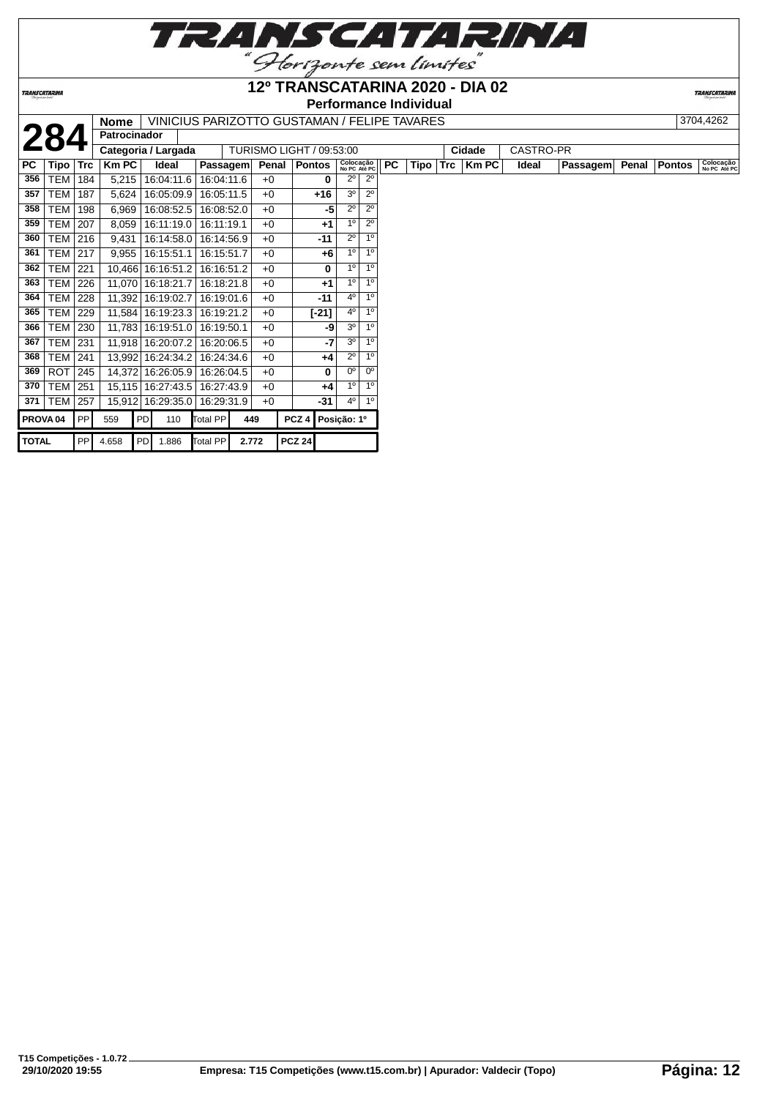|                   | TRANSCATARINA |
|-------------------|---------------|
| $^{\prime\prime}$ |               |

Horizonte sem limites **12º TRANSCATARINA 2020 - DIA 02**

# **Performance Individual**

**TRANSCATARIN** 

|              |                     |            | <b>Nome</b>         |    | VINICIUS PARIZOTTO GUSTAMAN / FELIPE TAVARES |            |       |                          |                  |         |                           |                |     |      |            |              |                  |          |                | 3704,4262                 |
|--------------|---------------------|------------|---------------------|----|----------------------------------------------|------------|-------|--------------------------|------------------|---------|---------------------------|----------------|-----|------|------------|--------------|------------------|----------|----------------|---------------------------|
|              | 284                 |            | <b>Patrocinador</b> |    |                                              |            |       |                          |                  |         |                           |                |     |      |            |              |                  |          |                |                           |
|              |                     |            |                     |    | Categoria / Largada                          |            |       | TURISMO LIGHT / 09:53:00 |                  |         |                           |                |     |      |            | Cidade       | <b>CASTRO-PR</b> |          |                |                           |
| PC           | Tipo                | <b>Trc</b> | Km PC               |    | Ideal                                        | Passagem   |       | Penal                    | Pontos           |         | Colocação<br>No PC Até PC |                | PC. | Tipo | <b>Trc</b> | <b>Km PC</b> | Ideal            | Passagem | Penal   Pontos | Colocação<br>No PC Até PC |
| 356          | <b>TEM</b>          | 184        | 5,215               |    | 16:04:11.6                                   | 16:04:11.6 |       | $+0$                     |                  | 0       | $2^{\circ}$               | $2^{\circ}$    |     |      |            |              |                  |          |                |                           |
| 357          | TEM                 | 187        | 5,624               |    | 16:05:09.9                                   | 16:05:11.5 |       | $+0$                     |                  | $+16$   | 3 <sup>0</sup>            | $2^{\circ}$    |     |      |            |              |                  |          |                |                           |
| 358          | TEM                 | 198        | 6,969               |    | 16:08:52.5                                   | 16:08:52.0 |       | $+0$                     |                  | -5      | $2^{\circ}$               | $2^{\circ}$    |     |      |            |              |                  |          |                |                           |
| 359          | TEM                 | 207        | 8,059               |    | 16:11:19.0                                   | 16:11:19.1 |       | $+0$                     |                  | $+1$    | 1 <sup>0</sup>            | $2^{\circ}$    |     |      |            |              |                  |          |                |                           |
| 360          | TEM   216           |            | 9,431               |    | 16:14:58.0                                   | 16:14:56.9 |       | $+0$                     |                  | -11     | $2^{\circ}$               | 1 <sup>0</sup> |     |      |            |              |                  |          |                |                           |
| 361          | TEM                 | 217        | 9,955               |    | 16:15:51.1                                   | 16:15:51.7 |       | $+0$                     |                  | $+6$    | 1 <sup>0</sup>            | 1 <sup>0</sup> |     |      |            |              |                  |          |                |                           |
| 362          | <b>TEM</b>          | 221        |                     |    | 10,466 16:16:51.2                            | 16:16:51.2 |       | $+0$                     |                  | 0       | 1 <sup>0</sup>            | 1 <sup>0</sup> |     |      |            |              |                  |          |                |                           |
| 363          | TEM I               | 226        |                     |    | 11,070 16:18:21.7                            | 16:18:21.8 |       | $+0$                     |                  | $+1$    | 1 <sup>0</sup>            | 1 <sup>0</sup> |     |      |            |              |                  |          |                |                           |
| 364          | TEM                 | 228        |                     |    | 11,392 16:19:02.7                            | 16:19:01.6 |       | $+0$                     |                  | $-11$   | 4°                        | 1 <sup>0</sup> |     |      |            |              |                  |          |                |                           |
| 365          | TEM                 | 229        |                     |    | 11,584   16:19:23.3                          | 16:19:21.2 |       | $+0$                     |                  | $[-21]$ | 40                        | 1 <sup>0</sup> |     |      |            |              |                  |          |                |                           |
| 366          | TEM                 | 230        |                     |    | 11,783 16:19:51.0                            | 16:19:50.1 |       | $+0$                     |                  | -9      | 30                        | 1 <sup>0</sup> |     |      |            |              |                  |          |                |                           |
| 367          | TEM                 | 231        |                     |    | 11,918 16:20:07.2                            | 16:20:06.5 |       | $+0$                     |                  | -7      | 30                        | 1 <sup>0</sup> |     |      |            |              |                  |          |                |                           |
| 368          | TEM                 | 241        |                     |    | 13,992 16:24:34.2                            | 16:24:34.6 |       | $+0$                     |                  | $+4$    | $2^{\circ}$               | 1 <sup>0</sup> |     |      |            |              |                  |          |                |                           |
| 369          | ROT                 | 245        |                     |    | 14,372 16:26:05.9                            | 16:26:04.5 |       | $+0$                     |                  | 0       | $0^{\circ}$               | 0 <sup>o</sup> |     |      |            |              |                  |          |                |                           |
| 370          | TEM                 | 251        |                     |    | 15,115 16:27:43.5                            | 16:27:43.9 |       | $+0$                     |                  | $+4$    | $1^{\circ}$               | 1 <sup>0</sup> |     |      |            |              |                  |          |                |                           |
| 371          | <b>TEM</b>          | 257        |                     |    | 15,912 16:29:35.0                            | 16:29:31.9 |       | $+0$                     |                  | -31     | 40                        | 1 <sup>0</sup> |     |      |            |              |                  |          |                |                           |
|              | PROVA <sub>04</sub> | PP         | 559                 | PD | 110                                          | Total PP   | 449   |                          | PCZ <sub>4</sub> |         | Posição: 1º               |                |     |      |            |              |                  |          |                |                           |
| <b>TOTAL</b> |                     | PP         | 4.658               | PD | 1.886                                        | Total PP   | 2.772 |                          | <b>PCZ 24</b>    |         |                           |                |     |      |            |              |                  |          |                |                           |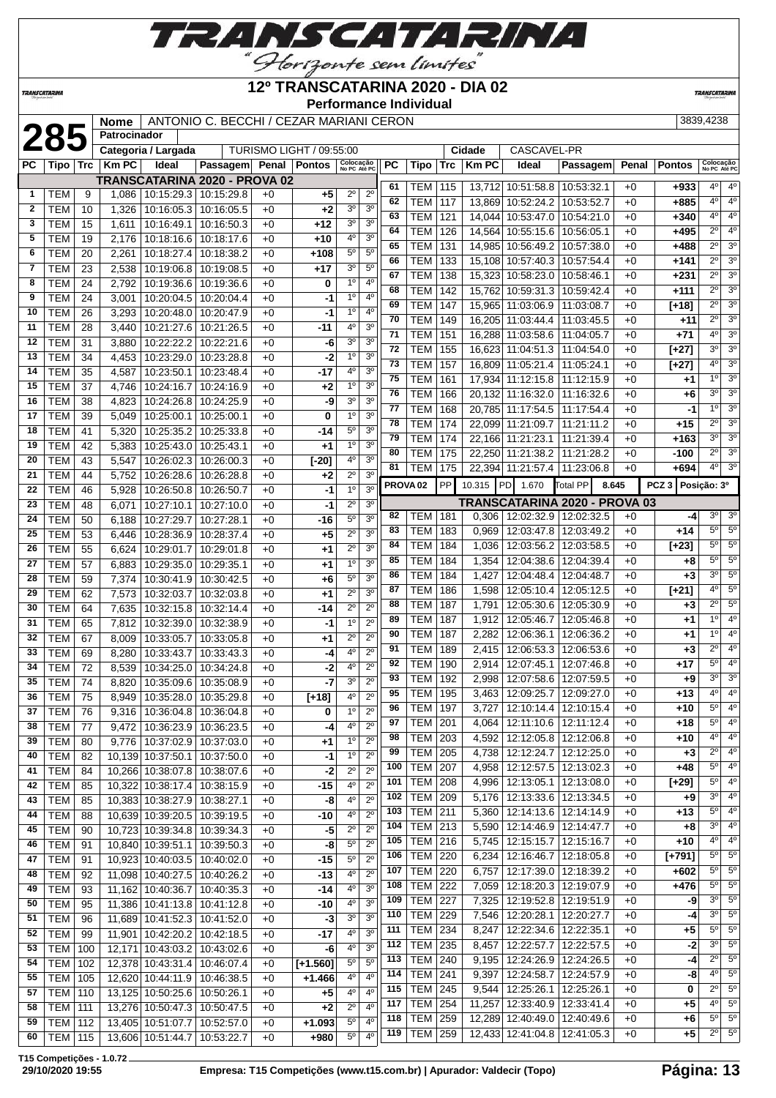

### **12º TRANSCATARINA 2020 - DIA 02**

**Performance Individual**

**TRANSCATARIN** 

**TRANSCATARINA** 

|              |                |     | <b>Nome</b>  |                                 | ANTONIO C. BECCHI / CEZAR MARIANI CERON |      |                          |                                  |     |                     |                       |             |                                 |                               |       |                   | 3839,4238                 |                                  |  |  |  |
|--------------|----------------|-----|--------------|---------------------------------|-----------------------------------------|------|--------------------------|----------------------------------|-----|---------------------|-----------------------|-------------|---------------------------------|-------------------------------|-------|-------------------|---------------------------|----------------------------------|--|--|--|
|              | 285            |     | Patrocinador |                                 |                                         |      |                          |                                  |     |                     |                       |             |                                 |                               |       |                   |                           |                                  |  |  |  |
|              |                |     |              | Categoria / Largada             |                                         |      | TURISMO LIGHT / 09:55:00 |                                  |     |                     | CASCAVEL-PR<br>Cidade |             |                                 |                               |       |                   |                           |                                  |  |  |  |
| РC           | Tipo ∣         | Trc | <b>KmPC</b>  | Ideal                           | Passagem Penal Pontos                   |      |                          | Colocação<br>No PC Até PC        | PC  | Tipo                | <b>Trc</b>            | <b>KmPC</b> | Ideal                           | Passagem                      | Penal | <b>Pontos</b>     | Colocação<br>No PC Até PC |                                  |  |  |  |
|              |                |     |              |                                 | TRANSCATARINA 2020 - PROVA 02           |      |                          |                                  | 61  | TEM   115           |                       |             | 13.712 10:51:58.8               | 10:53:32.1                    | +0    | $+933$            | 4 <sup>0</sup>            | $4^{\circ}$                      |  |  |  |
| 1            | TEM            | 9   | 1,086        |                                 | 10:15:29.3   10:15:29.8                 | $+0$ | $+5$                     | $2^{\circ}$<br>$2^{\circ}$       | 62  | <b>TEM</b>          | 117                   |             | 13,869 10:52:24.2               | 10:53:52.7                    | $+0$  | +885              | 4 <sup>0</sup>            | $4^{\circ}$                      |  |  |  |
| $\mathbf{2}$ | <b>TEM</b>     | 10  | 1,326        | 10:16:05.3                      | 10:16:05.5                              | $+0$ | $+2$                     | 3 <sup>0</sup><br>3 <sup>o</sup> | 63  | <b>TEM</b>          |                       |             | 14,044 10:53:47.0               |                               |       |                   | 4°                        | 4 <sup>0</sup>                   |  |  |  |
| 3            | <b>TEM</b>     | 15  | 1,611        | 10:16:49.1                      | 10:16:50.3                              | $+0$ | $+12$                    | 3 <sup>o</sup><br>30             | 64  |                     | 121                   |             |                                 | 10:54:21.0                    | +0    | +340              | $2^{\circ}$               | 4 <sup>0</sup>                   |  |  |  |
| 5            | <b>TEM</b>     | 19  | 2,176        | 10:18:16.6                      | 10:18:17.6                              | $+0$ | $+10$                    | 3 <sup>o</sup><br>4º             |     | <b>TEM</b>          | 126                   |             | 14,564 10:55:15.6               | 10:56:05.1                    | +0    | +495              |                           | 3 <sup>o</sup>                   |  |  |  |
| 6            | <b>TEM</b>     | 20  | 2,261        | 10:18:27.4                      | 10:18:38.2                              | +0   | +108                     | $5^{\circ}$<br>5 <sup>0</sup>    | 65  | <b>TEM</b>          | 131                   |             | 14,985 10:56:49.2               | 10:57:38.0                    | +0    | +488              | $2^{\circ}$               |                                  |  |  |  |
| 7            | <b>TEM</b>     | 23  | 2,538        | 10:19:06.8                      | 10:19:08.5                              | $+0$ | $+17$                    | 30<br>$5^{\circ}$                | 66  | <b>TEM</b>          | 133                   |             | 15,108 10:57:40.3               | 10:57:54.4                    | +0    | $+141$            | $2^{\circ}$               | 3 <sup>0</sup>                   |  |  |  |
| 8            | TEM            | 24  | 2,792        | 10:19:36.6                      | 10:19:36.6                              | $+0$ | 0                        | 4 <sup>0</sup><br>$1^{\circ}$    | 67  | <b>TEM</b>          | 138                   |             | 15,323 10:58:23.0               | 10:58:46.1                    | $+0$  | +231              | $2^{\circ}$               | 3 <sup>0</sup>                   |  |  |  |
| 9            | <b>TEM</b>     | 24  | 3,001        | 10:20:04.5                      | 10:20:04.4                              | $+0$ | -1                       | 4 <sup>0</sup><br>1 <sup>0</sup> | 68  | <b>TEM</b>          | 142                   |             | 15,762 10:59:31.3               | 10:59:42.4                    | +0    | +111              | $\overline{2^0}$          | 3 <sup>o</sup>                   |  |  |  |
| 10           | <b>TEM</b>     | 26  | 3,293        | 10:20:48.0                      | 10:20:47.9                              | $+0$ | -1                       | 4 <sup>0</sup><br>1 <sup>o</sup> | 69  | <b>TEM</b>          | 147                   |             | 15,965 11:03:06.9               | 11:03:08.7                    | +0    | [+18]             | $\overline{2^{\circ}}$    | 3 <sup>0</sup>                   |  |  |  |
| 11           | <b>TEM</b>     | 28  | 3,440        | 10:21:27.6                      | 10:21:26.5                              | $+0$ | $-11$                    | 40<br>3 <sup>o</sup>             | 70  | <b>TEM</b>          | 149                   |             | 16,205 11:03:44.4               | 11:03:45.5                    | +0    | +11               | $\overline{2^0}$          | $\overline{3^0}$                 |  |  |  |
| 12           | <b>TEM</b>     | 31  | 3,880        | 10:22:22.2                      | 10:22:21.6                              | $+0$ | -6                       | 30<br>3 <sup>o</sup>             | 71  | <b>TEM</b>          | 151                   |             | 16,288 11:03:58.6               | 11:04:05.7                    | $+0$  | $+71$             | 4 <sup>0</sup>            | 3 <sup>o</sup>                   |  |  |  |
| 13           | <b>TEM</b>     | 34  | 4,453        | 10:23:29.0                      | 10:23:28.8                              | $+0$ | -2                       | 1 <sup>0</sup><br>3 <sup>o</sup> | 72  | <b>TEM</b>          | 155                   |             | 16,623 11:04:51.3               | 11:04:54.0                    | +0    | $[+27]$           | 3 <sup>o</sup>            | 3 <sup>0</sup>                   |  |  |  |
| 14           | <b>TEM</b>     | 35  | 4,587        | 10:23:50.1                      | 10:23:48.4                              | $+0$ | $-17$                    | 4°<br>3 <sup>o</sup>             | 73  | <b>TEM</b>          | 157                   |             | 16,809 11:05:21.4               | 11:05:24.1                    | +0    | [+27]             | 4°                        | 3 <sup>0</sup>                   |  |  |  |
| 15           | <b>TEM</b>     | 37  | 4,746        | 10:24:16.7                      | 10:24:16.9                              | $+0$ | $+2$                     | 3 <sup>o</sup><br>1 <sup>0</sup> | 75  | <b>TEM</b>          | 161                   |             | 17,934 11:12:15.8               | 11:12:15.9                    | $+0$  | $+1$              | 1 <sup>0</sup>            | 3 <sup>o</sup>                   |  |  |  |
| 16           | <b>TEM</b>     | 38  | 4,823        | 10:24:26.8                      | 10:24:25.9                              | $+0$ | -9                       | 3 <sup>0</sup><br>3 <sup>0</sup> | 76  | <b>TEM</b>          | 166                   |             | 20,132 11:16:32.0               | 11:16:32.6                    | +0    | +6                | 3 <sup>o</sup>            | 3 <sup>0</sup>                   |  |  |  |
| 17           | <b>TEM</b>     | 39  | 5,049        | 10:25:00.1                      | 10:25:00.1                              | $+0$ | 0                        | 3 <sup>0</sup><br>1 <sup>0</sup> | 77  | <b>TEM</b>          | 168                   |             | 20,785 11:17:54.5               | 11:17:54.4                    | $+0$  | -1                | 1 <sup>0</sup>            | 3 <sup>o</sup>                   |  |  |  |
| 18           | <b>TEM</b>     | 41  | 5,320        | 10:25:35.2                      | 10:25:33.8                              | $+0$ | -14                      | 5 <sup>0</sup><br>3 <sup>0</sup> | 78  | <b>TEM</b>          | 174                   |             | 22,099 11:21:09.7               | 11:21:11.2                    | +0    | +15               | $2^{\circ}$               | 3 <sup>0</sup>                   |  |  |  |
| 19           | <b>TEM</b>     | 42  | 5,383        | 10:25:43.0                      | 10:25:43.1                              | $+0$ | $+1$                     | 3 <sup>o</sup><br>1 <sup>0</sup> | 79  | <b>TEM</b>          | 174                   |             | 22,166 11:21:23.1               | 11:21:39.4                    | +0    | +163              | 3 <sup>o</sup>            | 3 <sup>0</sup>                   |  |  |  |
| 20           | <b>TEM</b>     | 43  | 5,547        | 10:26:02.3                      | 10:26:00.3                              | $+0$ | $[-20]$                  | 40<br>3 <sup>o</sup>             | 80  | <b>TEM</b>          | 175                   |             | 22,250 11:21:38.2               | 11:21:28.2                    | +0    | -100              | $2^{\circ}$               | $\overline{3^0}$                 |  |  |  |
| 21           | <b>TEM</b>     | 44  |              |                                 |                                         |      |                          | $2^{\circ}$<br>3 <sup>0</sup>    | 81  | TEM                 | 175                   |             | 22,394 11:21:57.4               | 11:23:06.8                    | $+0$  | +694              | 4 <sup>0</sup>            | 3 <sup>o</sup>                   |  |  |  |
| 22           | <b>TEM</b>     |     | 5,752        | 10:26:28.6                      | 10:26:28.8                              | $+0$ | $+2$                     | 1 <sup>0</sup><br>3 <sup>0</sup> |     | PROVA <sub>02</sub> | PP                    | 10.315 PD   | 1.670                           | Total PP<br>8.645             |       | PCZ 3 Posição: 3º |                           |                                  |  |  |  |
|              |                | 46  | 5,928        | 10:26:50.8                      | 10:26:50.7                              | $+0$ | $-1$                     |                                  |     |                     |                       |             |                                 | TRANSCATARINA 2020 - PROVA 03 |       |                   |                           |                                  |  |  |  |
| 23           | <b>TEM</b>     | 48  | 6,071        | 10:27:10.1                      | 10:27:10.0                              | $+0$ | -1                       | $2^{\circ}$<br>3 <sup>o</sup>    | 82  | TEM                 | 181                   |             | $0,306$   12:02:32.9            | 12:02:32.5                    | +0    | -4                | 3 <sup>o</sup>            | 3 <sup>o</sup>                   |  |  |  |
| 24           | <b>TEM</b>     | 50  | 6,188        | 10:27:29.7                      | 10:27:28.1                              | $+0$ | -16                      | $5^{\circ}$<br>3 <sup>o</sup>    | 83  | <b>TEM</b>          | 183                   |             | $0,969$   12:03:47.8            | 12:03:49.2                    | $+0$  | +14               | $5^{\circ}$               | 5 <sup>o</sup>                   |  |  |  |
| 25           | <b>TEM</b>     | 53  | 6,446        | 10:28:36.9                      | 10:28:37.4                              | $+0$ | $+5$                     | $2^{\circ}$<br>3 <sup>0</sup>    | 84  | <b>TEM</b>          | 184                   |             | 1,036   12:03:56.2   12:03:58.5 |                               | +0    | $[+23]$           | $5^{\circ}$               | $5^\circ$                        |  |  |  |
| 26           | <b>TEM</b>     | 55  | 6,624        | 10:29:01.7                      | 10:29:01.8                              | $+0$ | $^{+1}$                  | 3 <sup>o</sup><br>$2^{\circ}$    | 85  | <b>TEM</b>          | 184                   | 1,354       | 12:04:38.6                      | 12:04:39.4                    | $+0$  | +8                | 5 <sup>0</sup>            | $5^{\circ}$                      |  |  |  |
| 27           | <b>TEM</b>     | 57  | 6,883        | 10:29:35.0                      | 10:29:35.1                              | $+0$ | +1                       | 1 <sup>0</sup><br>3 <sup>0</sup> | 86  | <b>TEM</b>          | 184                   | 1,427       | 12:04:48.4                      | 12:04:48.7                    | +0    | $+3$              | 3 <sup>o</sup>            | $5^\circ$                        |  |  |  |
| 28           | <b>TEM</b>     | 59  | 7,374        | 10:30:41.9                      | 10:30:42.5                              | $+0$ | $+6$                     | $5^{\circ}$<br>3 <sup>0</sup>    | 87  | <b>TEM</b>          | 186                   | 1,598       | 12:05:10.4                      | 12:05:12.5                    | +0    | $[+21]$           | $4^{\circ}$               | $5^{\circ}$                      |  |  |  |
| 29           | <b>TEM</b>     | 62  | 7,573        | 10:32:03.7                      | 10:32:03.8                              | $+0$ | $+1$                     | $2^{\circ}$<br>3 <sup>o</sup>    | 88  | <b>TEM</b>          | 187                   |             |                                 |                               |       |                   | $2^{\circ}$               | $5^\circ$                        |  |  |  |
| 30           | <b>TEM</b>     | 64  | 7,635        | 10:32:15.8                      | 10:32:14.4                              | $+0$ | -14                      | $2^{\circ}$<br>$2^{\circ}$       | 89  |                     |                       | 1,791       | 12:05:30.6                      | 12:05:30.9                    | +0    | $+3$              | 1 <sup>0</sup>            | 4 <sup>0</sup>                   |  |  |  |
| 31           | <b>TEM</b>     | 65  | 7,812        | 10:32:39.0                      | 10:32:38.9                              | $+0$ | $-1$                     | 1 <sup>0</sup><br>$2^{\circ}$    | 90  | TEM                 | 187                   | 1,912       | 12:05:46.7                      | 12:05:46.8                    | +0    | +1                | 1 <sup>0</sup>            | 4 <sup>0</sup>                   |  |  |  |
| 32           | <b>TEM</b>     | 67  | 8,009        | 10:33:05.7                      | 10:33:05.8                              | $+0$ | $+1$                     | $2^{\circ}$<br>$2^{\circ}$       | 91  | <b>TEM</b>          | 187                   | 2,282       | 12:06:36.1                      | 12:06:36.2                    | +0    | +1                | $2^{\circ}$               | 4 <sup>o</sup>                   |  |  |  |
| 33           | <b>TEM</b>     | 69  | 8,280        | 10:33:43.7                      | 10:33:43.3                              | +0   | -4                       | 40<br>$2^{\circ}$                |     | <b>TEM</b>          | 189                   | 2,415       | 12:06:53.3                      | 12:06:53.6                    | +0    | $+3$              | $5^{\circ}$               | 4 <sup>o</sup>                   |  |  |  |
| 34           | <b>TEM</b>     | 72  | 8,539        | 10:34:25.0                      | 10:34:24.8                              | $+0$ | -2                       | 4°<br>$2^{\circ}$                | 92  | <b>TEM</b>          | 190                   | 2,914       | 12:07:45.1                      | 12:07:46.8                    | +0    | +17               |                           |                                  |  |  |  |
| 35           | <b>TEM</b>     | 74  | 8,820        | 10:35:09.6                      | 10:35:08.9                              | $+0$ | $-7$                     | 3 <sup>0</sup><br>$2^{\circ}$    | 93  | <b>TEM</b>          | 192                   | 2,998       | 12:07:58.6                      | 12:07:59.5                    | $+0$  | +9                | 3 <sup>0</sup>            | 3 <sup>o</sup><br>4 <sup>0</sup> |  |  |  |
| 36           | <b>TEM</b>     | 75  | 8,949        | 10:35:28.0 10:35:29.8           |                                         | $+0$ | $[-18]$                  | 4 <sup>0</sup><br>$2^{\circ}$    | 95  | <b>TEM</b>          | 195                   |             | 3,463   12:09:25.7              | 12:09:27.0                    | $+0$  | +13               | 4 <sup>0</sup>            |                                  |  |  |  |
| 37           | TEM            | 76  |              | 9,316   10:36:04.8   10:36:04.8 |                                         | $+0$ | 0                        | 1 <sup>0</sup><br>$2^{\circ}$    | 96  | TEM   197           |                       |             | 3,727   12:10:14.4   12:10:15.4 |                               | +0    | +10               | 5°                        | $4^{\circ}$                      |  |  |  |
| 38           | <b>TEM</b>     | 77  |              | 9,472   10:36:23.9   10:36:23.5 |                                         | $+0$ | -4                       | 4 <sup>0</sup><br>$2^{\circ}$    | 97  | TEM                 | 201                   | 4,064       | 12:11:10.6   12:11:12.4         |                               | $+0$  | +18               | $5^{\circ}$               | $4^{\circ}$                      |  |  |  |
| 39           | <b>TEM</b>     | 80  |              | 9,776   10:37:02.9   10:37:03.0 |                                         | $+0$ | $+1$                     | 1 <sup>o</sup><br>$2^{\circ}$    | 98  | TEM                 | 203                   |             | 4,592   12:12:05.8   12:12:06.8 |                               | $+0$  | +10               | $4^{\circ}$               | $4^{\circ}$                      |  |  |  |
| 40           | <b>TEM</b>     | 82  |              | 10,139 10:37:50.1               | 10:37:50.0                              | $+0$ | $-1$                     | 1 <sup>0</sup><br>$2^{\circ}$    | 99  | <b>TEM</b>          | 205                   |             | 4,738   12:12:24.7   12:12:25.0 |                               | +0    | $+3$              | $2^{\circ}$               | $4^{\circ}$                      |  |  |  |
| 41           | <b>TEM</b>     | 84  |              | 10,266 10:38:07.8               | 10:38:07.6                              | $+0$ | $-2$                     | $2^{\circ}$<br>$2^{\circ}$       | 100 | <b>TEM</b>          | 207                   |             | 4,958   12:12:57.5   12:13:02.3 |                               | +0    | +48               | $5^{\circ}$               | 4 <sup>o</sup>                   |  |  |  |
| 42           | <b>TEM</b>     | 85  |              | 10,322 10:38:17.4 10:38:15.9    |                                         | $+0$ | $-15$                    | 4°<br>$2^{\circ}$                | 101 | <b>TEM 208</b>      |                       |             | 4,996   12:13:05.1   12:13:08.0 |                               | +0    | $[+29]$           | $5^{\circ}$               | $4^{\circ}$                      |  |  |  |
| 43           | <b>TEM</b>     | 85  |              | 10,383 10:38:27.9 10:38:27.1    |                                         | $+0$ | -8                       | 4 <sup>0</sup><br>$2^{\circ}$    | 102 | <b>TEM 209</b>      |                       |             | 5,176 12:13:33.6 12:13:34.5     |                               | $+0$  | +9                | 3 <sup>o</sup>            | $4^{\circ}$                      |  |  |  |
| 44           | <b>TEM</b>     | 88  |              | 10,639 10:39:20.5               | 10:39:19.5                              | $+0$ | $-10$                    | 40<br>$2^{\circ}$                | 103 | <b>TEM 211</b>      |                       |             | 5,360   12:14:13.6   12:14:14.9 |                               | $+0$  | +13               | $5^{\circ}$               | $4^{\circ}$                      |  |  |  |
| 45           | <b>TEM</b>     | 90  |              | 10,723 10:39:34.8               | 10:39:34.3                              | $+0$ | -5                       | $2^{\circ}$<br>$2^{\circ}$       | 104 | <b>TEM 213</b>      |                       |             | 5,590   12:14:46.9   12:14:47.7 |                               | $+0$  | +8                | 3 <sup>0</sup>            | 4 <sup>o</sup>                   |  |  |  |
| 46           | <b>TEM</b>     | 91  |              | 10,840 10:39:51.1               | 10:39:50.3                              | $+0$ | -8                       | 5 <sup>0</sup><br>$2^{\circ}$    | 105 | <b>TEM 216</b>      |                       |             | 5,745   12:15:15.7   12:15:16.7 |                               | $+0$  | $+10$             | 4º                        | $4^{\circ}$                      |  |  |  |
| 47           | <b>TEM</b>     | 91  |              | 10,923 10:40:03.5 10:40:02.0    |                                         | $+0$ | -15                      | 5 <sup>0</sup><br>$2^{\circ}$    | 106 | TEM                 | 220                   |             | 6,234   12:16:46.7              | 12:18:05.8                    | $+0$  | $[+791]$          | $5^{\circ}$               | $5^\circ$                        |  |  |  |
| 48           | <b>TEM</b>     | 92  |              | 11,098 10:40:27.5 10:40:26.2    |                                         | $+0$ | $-13$                    | 4 <sup>0</sup><br>$2^{\circ}$    | 107 | <b>TEM</b>          | 220                   | 6,757       | 12:17:39.0   12:18:39.2         |                               | $+0$  | +602              | $5^{\circ}$               | $5^{\circ}$                      |  |  |  |
| 49           | <b>TEM</b>     | 93  |              | 11,162 10:40:36.7               | 10:40:35.3                              | $+0$ | $-14$                    | 40<br>3 <sup>0</sup>             | 108 | <b>TEM</b>          | 222                   |             | 7,059   12:18:20.3   12:19:07.9 |                               | +0    | $+476$            | $5^{\circ}$               | $5^\circ$                        |  |  |  |
| 50           | <b>TEM</b>     | 95  |              | 11,386 10:41:13.8 10:41:12.8    |                                         | $+0$ | $-10$                    | 4°<br>3 <sup>o</sup>             | 109 | <b>TEM</b>          | 227                   |             | 7,325   12:19:52.8              | 12:19:51.9                    | +0    | -9                | 3 <sup>o</sup>            | $5^\circ$                        |  |  |  |
| 51           | <b>TEM</b>     | 96  |              | 11,689 10:41:52.3               | 10:41:52.0                              | $+0$ | $-3$                     | 3 <sup>0</sup><br>3 <sup>o</sup> | 110 | <b>TEM 229</b>      |                       |             | 7,546   12:20:28.1              | 12:20:27.7                    | +0    | -4                | 3 <sup>0</sup>            | $5^\circ$                        |  |  |  |
| 52           | <b>TEM</b>     | 99  |              | 11,901 10:42:20.2               | 10:42:18.5                              | $+0$ | $-17$                    | 4 <sup>0</sup><br>3 <sup>o</sup> | 111 | <b>TEM</b> 234      |                       |             | 8,247   12:22:34.6   12:22:35.1 |                               | $+0$  | $+5$              | $5^{\circ}$               | $5^\circ$                        |  |  |  |
| 53           | TEM            | 100 |              | 12,171 10:43:03.2 10:43:02.6    |                                         | $+0$ | -6                       | 4 <sup>0</sup><br>3 <sup>o</sup> | 112 | <b>TEM 235</b>      |                       |             | 8,457   12:22:57.7   12:22:57.5 |                               | $+0$  | $-2$              | 30                        | $5^\circ$                        |  |  |  |
| 54           | <b>TEM</b>     | 102 |              | 12,378 10:43:31.4               | 10:46:07.4                              | +0   | $[+1.560]$               | $5^{\circ}$<br>$5^{\circ}$       | 113 | <b>TEM 240</b>      |                       |             | 9,195   12:24:26.9   12:24:26.5 |                               | $+0$  | -4                | $2^{\circ}$               | $5^\circ$                        |  |  |  |
| 55           | TEM            | 105 |              | 12,620 10:44:11.9 10:46:38.5    |                                         | $+0$ | $+1.466$                 | 4 <sup>0</sup><br>4 <sup>o</sup> | 114 | <b>TEM 241</b>      |                       |             | 9,397   12:24:58.7              | 12:24:57.9                    | $+0$  | -8                | $4^{\circ}$               | $5^{\circ}$                      |  |  |  |
| 57           | TEM            | 110 |              | 13,125 10:50:25.6 10:50:26.1    |                                         | $+0$ | $+5$                     | 4°<br>$4^{\circ}$                | 115 | <b>TEM 245</b>      |                       |             | $9,544$   12:25:26.1            | 12:25:26.1                    | +0    | 0                 | $2^{\circ}$               | 5 <sup>o</sup>                   |  |  |  |
| 58           | <b>TEM 111</b> |     |              | 13,276 10:50:47.3 10:50:47.5    |                                         | $+0$ | $+2$                     | $2^{\circ}$<br>$4^{\rm o}$       | 117 | <b>TEM</b>          | 254                   |             | 11,257 12:33:40.9               | 12:33:41.4                    | $+0$  | +5                | $4^{\circ}$               | $5^\circ$                        |  |  |  |
| 59           | <b>TEM 112</b> |     |              |                                 | 13,405 10:51:07.7 10:52:57.0            | $+0$ | $+1.093$                 | $5^{\circ}$<br>4°                | 118 | <b>TEM 259</b>      |                       |             | 12,289 12:40:49.0 12:40:49.6    |                               | +0    | +6                | $5^{\circ}$               | $5^\circ$                        |  |  |  |
| 60           | <b>TEM 115</b> |     |              |                                 | 13,606 10:51:44.7 10:53:22.7            | $+0$ | +980                     | 4 <sup>0</sup><br>$5^{\circ}$    | 119 | TEM                 | 259                   |             | 12,433 12:41:04.8 12:41:05.3    |                               | +0    | +5                | $2^{\circ}$               | $5^{\circ}$                      |  |  |  |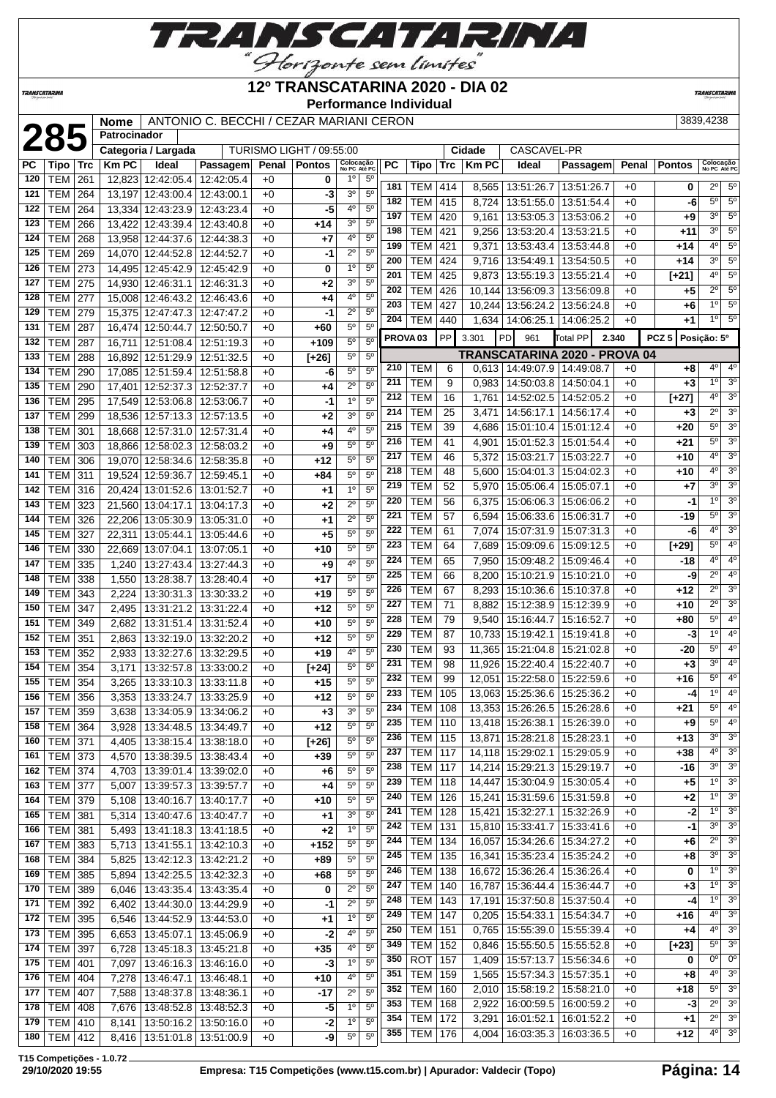

| 12º TRANSCATARINA 2020 - DIA 02<br><b>TRANSCATARINA</b> |                          |            |                                                                          |                                 |  |                                 |              |                                 |                            |                               |     |                     |           |                    | <b>TRANSCATARINA</b>                 |            |       |                  |                  |                             |
|---------------------------------------------------------|--------------------------|------------|--------------------------------------------------------------------------|---------------------------------|--|---------------------------------|--------------|---------------------------------|----------------------------|-------------------------------|-----|---------------------|-----------|--------------------|--------------------------------------|------------|-------|------------------|------------------|-----------------------------|
|                                                         |                          |            | <b>Performance Individual</b><br>ANTONIO C. BECCHI / CEZAR MARIANI CERON |                                 |  |                                 |              |                                 |                            |                               |     |                     |           |                    |                                      |            |       |                  |                  |                             |
|                                                         |                          |            | <b>Nome</b>                                                              |                                 |  |                                 |              |                                 |                            |                               |     |                     |           |                    |                                      |            |       |                  | 3839,4238        |                             |
|                                                         | 285                      |            | Patrocinador                                                             |                                 |  |                                 |              |                                 |                            |                               |     |                     |           |                    |                                      |            |       |                  |                  |                             |
|                                                         |                          |            | Categoria / Largada                                                      |                                 |  |                                 |              | <b>TURISMO LIGHT / 09:55:00</b> |                            |                               |     |                     |           | Cidade             | CASCAVEL-PR                          |            |       |                  |                  |                             |
| PC                                                      | Tipo                     | <b>Trc</b> | <b>KmPC</b>                                                              | Ideal                           |  | Passagem                        | Penal        | <b>Pontos</b>                   | Colocação<br>No PC Até PC  |                               | PС  | Tipo                | Trc       | <b>Km PC</b>       | Ideal                                | Passagem   | Penal | <b>Pontos</b>    |                  | Colocação<br>No PC Até PC   |
| 120                                                     | <b>TEM</b>               | 261        | 12,823                                                                   | 12:42:05.4                      |  | 12:42:05.4                      | $+0$         | 0                               | $1^{\circ}$                | $5^{\circ}$                   | 181 | <b>TEM</b>          | 414       | 8,565              | 13:51:26.7   13:51:26.7              |            | $+0$  | 0                | $2^{\circ}$      | $5^\circ$                   |
| 121                                                     | <b>TEM</b>               | 264        | 13,197                                                                   | 12:43:00.4                      |  | 12:43:00.1                      | $+0$         | -3                              | 3 <sup>o</sup>             | 5 <sup>0</sup>                | 182 | <b>TEM</b>          | 415       | 8,724              | 13:51:55.0                           | 13:51:54.4 | $+0$  | -6               | $5^{\circ}$      | $5^{\circ}$                 |
| 122                                                     | <b>TEM</b>               | 264        | 13,334                                                                   | 12:43:23.9                      |  | 12:43:23.4                      | $+0$         | -5                              | 4°                         | $5^{\circ}$                   | 197 | <b>TEM</b>          | 420       | 9,161              | 13:53:05.3   13:53:06.2              |            | $+0$  | +9               | $3^{\circ}$      | $5^{\circ}$                 |
| 123                                                     | <b>TEM</b>               | 266        | 13,422                                                                   | 12:43:39.4                      |  | 12:43:40.8                      | $+0$         | $+14$                           | 3 <sup>o</sup>             | $5^{\circ}$                   | 198 | TEM                 | 421       | 9,256              | 13:53:20.4   13:53:21.5              |            | $+0$  | $+11$            | $3^{\circ}$      | $5^{\circ}$                 |
| 124                                                     | <b>TEM</b>               | 268        |                                                                          | 13,958 12:44:37.6               |  | 12:44:38.3                      | $+0$         | +7                              | $4^{\circ}$<br>$2^{\circ}$ | $5^{\circ}$<br>5 <sup>0</sup> | 199 | <b>TEM</b>          | 421       | 9,371              | 13:53:43.4   13:53:44.8              |            | +0    | +14              | $4^{\circ}$      | $5^{\circ}$                 |
| 125                                                     | TEM                      | 269        |                                                                          | 14,070 12:44:52.8               |  | 12:44:52.7                      | $+0$         | -1                              | 1 <sup>0</sup>             | 5 <sup>0</sup>                | 200 | <b>TEM</b>          | 424       | 9,716              | 13:54:49.1   13:54:50.5              |            | $+0$  | $+14$            | $3^{\circ}$      | $5^\circ$                   |
| 126<br>127                                              | TEM<br><b>TEM</b>        | 273<br>275 |                                                                          | 14,495 12:45:42.9               |  | 12:45:42.9                      | $+0$         | 0                               | 3 <sup>o</sup>             | $5^{\circ}$                   | 201 | <b>TEM</b>          | 425       |                    | 9,873   13:55:19.3   13:55:21.4      |            | $+0$  | $[+21]$          | 4 <sup>0</sup>   | $5^{\circ}$                 |
| 128                                                     |                          |            |                                                                          | 14,930 12:46:31.1               |  | 12:46:31.3                      | $+0$         | $+2$                            | 4°                         | $5^{\circ}$                   | 202 | <b>TEM</b>          | 426       |                    | 10,144 13:56:09.3 13:56:09.8         |            | $+0$  | +5               | $2^{\circ}$      | $5^{\circ}$                 |
| 129                                                     | TEM<br><b>TEM</b>        | 277<br>279 |                                                                          | 15,008 12:46:43.2               |  | 12:46:43.6                      | +0           | +4<br>-1                        | $2^{\circ}$                | $5^{\circ}$                   | 203 | <b>TEM</b>          | 427       |                    | 10,244 13:56:24.2 13:56:24.8         |            | $+0$  | +6               | 1 <sup>°</sup>   | $5^{\circ}$                 |
|                                                         | <b>TEM</b>               |            | 15,375                                                                   | 12:47:47.3                      |  | 12:47:47.2                      | +0           |                                 | $5^{\rm o}$                | $\overline{5^0}$              | 204 | <b>TEM</b>          | 440       |                    | 1,634   14:06:25.1   14:06:25.2      |            | $+0$  | +1               | 1 <sup>0</sup>   | $5^\circ$                   |
| 131<br>132                                              |                          | 287        | 16,474                                                                   | 12:50:44.7                      |  | 12:50:50.7                      | +0           | +60                             | $5^{\circ}$                | 5 <sup>0</sup>                |     | PROVA <sub>03</sub> | <b>PP</b> | 3.301              | <b>PD</b><br>961                     | Total PP   | 2.340 | PCZ <sub>5</sub> | Posicão: 5º      |                             |
| 133                                                     | <b>TEM</b>               | 287        | 16,711                                                                   | 12:51:08.4<br>12:51:29.9        |  | 12:51:19.3                      | $+0$         | +109                            | $5^{\circ}$                | $5^{\circ}$                   |     |                     |           |                    | <b>TRANSCATARINA 2020 - PROVA 04</b> |            |       |                  |                  |                             |
| 134                                                     | <b>TEM</b><br><b>TEM</b> | 288<br>290 | 16,892<br>17,085                                                         | 12:51:59.4                      |  | 12:51:32.5<br>12:51:58.8        | $+0$<br>$+0$ | $[+26]$                         | $5^{\circ}$                | $5^{\circ}$                   | 210 | TEM                 | 6         |                    | 0.613 14:49:07.9 14:49:08.7          |            | $+0$  | +8               | $4^{\circ}$      | 4°                          |
| 135                                                     | <b>TEM</b>               | 290        |                                                                          |                                 |  | 12:52:37.7                      |              | -6                              | $2^{\circ}$                | 5 <sup>0</sup>                | 211 | <b>TEM</b>          | 9         | 0,983              | 14:50:03.8   14:50:04.1              |            | $+0$  | $+3$             | 1 <sup>°</sup>   | 3 <sup>0</sup>              |
| 136                                                     | TEM                      | 295        | 17,401                                                                   | 12:52:37.3<br>17,549 12:53:06.8 |  | 12:53:06.7                      | +0<br>$+0$   | +4<br>$-1$                      | 1 <sup>0</sup>             | 5 <sup>0</sup>                | 212 | <b>TEM</b>          | 16        | 1,761              | 14:52:02.5   14:52:05.2              |            | $+0$  | $[+27]$          | 4 <sup>0</sup>   | 3 <sup>0</sup>              |
| 137                                                     | <b>TEM</b>               | 299        |                                                                          | 18,536 12:57:13.3               |  | 12:57:13.5                      | $+0$         | +2                              | 3 <sup>o</sup>             | $5^{\circ}$                   | 214 | <b>TEM</b>          | 25        | 3,471              | 14:56:17.1   14:56:17.4              |            | $+0$  | $+3$             | $2^{\circ}$      | 3 <sup>o</sup>              |
| 138                                                     | <b>TEM</b>               | 301        |                                                                          | 18,668 12:57:31.0               |  | 12:57:31.4                      | $+0$         | +4                              | 4°                         | 5 <sup>0</sup>                | 215 | <b>TEM</b>          | 39        | 4,686              | 15:01:10.4   15:01:12.4              |            | $+0$  | +20              | $\overline{5^0}$ | 3 <sup>o</sup>              |
| 139                                                     | <b>TEM</b>               | 303        |                                                                          | 18,866 12:58:02.3               |  | 12:58:03.2                      | $+0$         | +9                              | $5^{\circ}$                | $5^{\circ}$                   | 216 | <b>TEM</b>          | 41        | 4,901              | 15:01:52.3 15:01:54.4                |            | $+0$  | +21              | $5^{\circ}$      | 3 <sup>o</sup>              |
| 140                                                     | <b>TEM</b>               | 306        |                                                                          | 19,070 12:58:34.6               |  | 12:58:35.8                      | +0           | $+12$                           | $5^{\circ}$                | $5^{\circ}$                   | 217 | <b>TEM</b>          | 46        | 5,372              | 15:03:21.7   15:03:22.7              |            | $+0$  | +10              | 4 <sup>0</sup>   | 3 <sup>0</sup>              |
| 141                                                     | <b>TEM</b>               | 311        | 19,524                                                                   | 12:59:36.7                      |  | 12:59:45.1                      | $+0$         | +84                             | 5 <sup>0</sup>             | 5 <sup>0</sup>                | 218 | <b>TEM</b>          | 48        | 5,600              | 15:04:01.3   15:04:02.3              |            | $+0$  | +10              | 4°               | 3 <sup>o</sup>              |
| 142                                                     | <b>TEM</b>               | 316        | 20,424                                                                   | 13:01:52.6                      |  | 13:01:52.7                      | $+0$         | $+1$                            | 1 <sup>0</sup>             | 5 <sup>0</sup>                | 219 | <b>TEM</b>          | 52        | $5,9\overline{70}$ | 15:05:06.4   15:05:07.1              |            | $+0$  | +7               | $3^{\circ}$      | 3 <sup>0</sup>              |
| 143                                                     | <b>TEM</b>               | 323        | 21,560                                                                   | 13:04:17.1                      |  | 13:04:17.3                      | $+0$         | +2                              | $2^{\circ}$                | $5^{\circ}$                   | 220 | <b>TEM</b>          | 56        | 6,375              | 15:06:06.3   15:06:06.2              |            | $+0$  | -1               | 1 <sup>0</sup>   | 3 <sup>0</sup>              |
| 144                                                     | <b>TEM</b>               | 326        | 22,206                                                                   | 13:05:30.9                      |  | 13:05:31.0                      | $+0$         | +1                              | $2^{\circ}$                | 5 <sup>o</sup>                | 221 | <b>TEM</b>          | 57        | 6,594              | 15:06:33.6   15:06:31.7              |            | $+0$  | -19              | $5^{\circ}$      | 3 <sup>o</sup>              |
| 145                                                     | <b>TEM</b>               | 327        | 22,311                                                                   | 13:05:44.1                      |  | 13:05:44.6                      | $+0$         | $+5$                            | $5^{\circ}$                | 5 <sup>0</sup>                | 222 | <b>TEM</b>          | 61        | 7,074              | 15:07:31.9   15:07:31.3              |            | $+0$  | -6               | 4 <sup>0</sup>   | 3 <sup>o</sup>              |
| 146                                                     | <b>TEM</b>               | 330        | 22,669                                                                   | 13:07:04.1                      |  | 13:07:05.1                      | $+0$         | $+10$                           | $5^{\circ}$                | 5 <sup>0</sup>                | 223 | <b>TEM</b>          | 64        | 7,689              | 15:09:09.6   15:09:12.5              |            | $+0$  | [+29]            | 5°               | 4°                          |
| 147                                                     | <b>TEM</b>               | 335        | 1,240                                                                    | 13:27:43.4                      |  | 13:27:44.3                      | $+0$         | $+9$                            | $4^{\circ}$                | 5 <sup>0</sup>                | 224 | <b>TEM</b>          | 65        | 7,950              | 15:09:48.2   15:09:46.4              |            | $+0$  | -18              | $4^{\circ}$      | 4 <sup>0</sup>              |
| 148                                                     | <b>TEM</b>               | 338        | 1,550                                                                    | 13:28:38.7                      |  | 13:28:40.4                      | $+0$         | $+17$                           | $5^{\circ}$                | 5 <sup>0</sup>                | 225 | <b>TEM</b>          | 66        | 8,200              | 15:10:21.9   15:10:21.0              |            | $+0$  | -9               | $2^{\circ}$      | 4 <sup>0</sup>              |
| 149                                                     | <b>TEM</b>               | 343        | 2,224                                                                    | 13:30:31.3                      |  | 13:30:33.2                      | +0           | $+19$                           | $5^{\circ}$                | $5^{\circ}$                   | 226 | <b>TEM</b>          | 67        | 8,293              | 15:10:36.6   15:10:37.8              |            | $+0$  | +12              | $2^{\circ}$      | 3 <sup>o</sup>              |
| 150                                                     | <b>TEM</b>               | 347        | 2,495                                                                    | 13:31:21.2                      |  | 13:31:22.4                      | $+0$         | $+12$                           | $5^{\circ}$                | 5 <sup>o</sup>                | 227 | TEM                 | 71        | 8,882              | 15:12:38.9   15:12:39.9              |            | $+0$  | +10              | $2^{\circ}$      | 3 <sup>0</sup>              |
| 151                                                     | <b>TEM</b>               | 349        | 2,682                                                                    | 13:31:51.4                      |  | 13:31:52.4                      | $+0$         | $+10$                           | $5^{\circ}$                | $5^{\circ}$                   | 228 | <b>TEM</b>          | 79        | 9,540              | 15:16:44.7   15:16:52.7              |            | $+0$  | +80              | $5^{\circ}$      | $4^{\circ}$                 |
| 152                                                     | <b>TEM</b>               | 351        | 2,863                                                                    | 13:32:19.0                      |  | 13:32:20.2                      | $+0$         | +12                             | $5^{\circ}$                | 5 <sup>0</sup>                | 229 | <b>TEM</b>          | 87        |                    | 10.733 15:19:42.1 15:19:41.8         |            | $+0$  | -3               | 10               | 4 <sup>0</sup>              |
|                                                         | 153   TEM $ $            | 352        | 2,933                                                                    | 13:32:27.6                      |  | 13:32:29.5                      | $+0$         | $+19$                           | 4 <sup>0</sup>             | 5 <sup>0</sup>                | 230 | <b>TEM</b>          | 93        |                    | 11,365 15:21:04.8 15:21:02.8         |            | $+0$  | -20              | $5^{\circ}$      | 4 <sup>o</sup>              |
|                                                         | 154 TEM 354              |            |                                                                          |                                 |  | 3,171 13:32:57.8 13:33:00.2     | $+0$         | $[+24]$                         | $5^{\circ}$                | $5^{\circ}$                   | 231 | <b>TEM</b>          | 98        |                    | 11,926 15:22:40.4 15:22:40.7         |            | $+0$  | $+3$             |                  | $3^0$ 4 <sup>0</sup>        |
|                                                         | 155 TEM 354              |            | 3,265                                                                    |                                 |  | 13:33:10.3   13:33:11.8         | $+0$         | $+15$                           | $5^{\circ}$                | $5^{\circ}$                   | 232 | TEM                 | 99        |                    | 12,051   15:22:58.0   15:22:59.6     |            | $+0$  | +16              | $5^{\circ}$      | 4 <sup>0</sup>              |
|                                                         | 156   TEM   356          |            |                                                                          |                                 |  | 3,353   13:33:24.7   13:33:25.9 | $+0$         | $+12$                           | $5^{\circ}$                | $5^{\circ}$                   | 233 | <b>TEM</b>          | 105       |                    | 13,063 15:25:36.6 15:25:36.2         |            | $+0$  | -4               | $1^{\circ}$      | 4 <sup>o</sup>              |
| 157                                                     | TEM 359                  |            | 3,638                                                                    |                                 |  | 13:34:05.9   13:34:06.2         | $+0$         | $+3$                            | 3 <sup>o</sup>             | $5^{\circ}$                   | 234 | <b>TEM</b>          | 108       |                    | 13,353 15:26:26.5 15:26:28.6         |            | $+0$  | +21              | $5^{\circ}$      | $4^{\circ}$                 |
| 158                                                     | TEM                      | 364        | 3,928                                                                    |                                 |  | 13:34:48.5   13:34:49.7         | $+0$         | $+12$                           | $5^{\circ}$                | $5^{\circ}$                   | 235 | <b>TEM 110</b>      |           |                    | 13,418 15:26:38.1   15:26:39.0       |            | $+0$  | +9               | $5^{\circ}$      | 4 <sup>0</sup>              |
| 160                                                     | <b>TEM</b>               | 371        | 4,405                                                                    |                                 |  | 13:38:15.4   13:38:18.0         | $+0$         | $[+26]$                         | $5^{\circ}$                | $5^{\circ}$                   | 236 | <b>TEM 115</b>      |           |                    | 13,871   15:28:21.8   15:28:23.1     |            | $+0$  | $+13$            | $3^{\circ}$      | 3 <sup>o</sup>              |
|                                                         | 161   TEM $ $            | 373        | 4,570                                                                    |                                 |  | 13:38:39.5   13:38:43.4         | $+0$         | $+39$                           | $5^{\circ}$                | $5^{\circ}$                   | 237 | <b>TEM 117</b>      |           |                    | 14,118 15:29:02.1 15:29:05.9         |            | $+0$  | +38              | $4^{\circ}$      | 3 <sup>o</sup>              |
|                                                         | 162   TEM                | 374        | 4,703                                                                    | 13:39:01.4                      |  | 13:39:02.0                      | $+0$         | +6                              | $5^{\circ}$                | $5^{\circ}$                   | 238 | <b>TEM 117</b>      |           |                    | 14,214 15:29:21.3 15:29:19.7         |            | $+0$  | -16              | $3^{\circ}$      | 3 <sup>o</sup>              |
|                                                         | 163   TEM 377            |            | 5,007                                                                    |                                 |  | 13:39:57.3 13:39:57.7           | +0           | +4                              | $5^{\circ}$                | $5^{\circ}$                   | 239 | <b>TEM 118</b>      |           |                    | 14,447 15:30:04.9 15:30:05.4         |            | $+0$  | +5               | $1^{\circ}$      | 3 <sup>o</sup>              |
|                                                         | 164 TEM 379              |            | 5,108                                                                    |                                 |  | 13:40:16.7   13:40:17.7         | $+0$         | +10                             | $5^{\circ}$                | $5^{\circ}$                   | 240 | <b>TEM</b>          | 126       |                    | 15,241 15:31:59.6 15:31:59.8         |            | $+0$  | +2               | $1^{\circ}$      | 3 <sup>o</sup>              |
|                                                         | 165   TEM   381          |            |                                                                          |                                 |  | 5,314   13:40:47.6   13:40:47.7 | $+0$         | +1                              | 3 <sup>0</sup>             | $5^{\circ}$                   | 241 | <b>TEM</b>          | 128       |                    | 15,421 15:32:27.1 15:32:26.9         |            | $+0$  | -2               | $1^{\circ}$      | 3 <sup>o</sup>              |
|                                                         | 166   TEM   381          |            |                                                                          |                                 |  | 5,493   13:41:18.3   13:41:18.5 | $+0$         | $+2$                            | $1^{\circ}$                | $5^{\circ}$                   | 242 | <b>TEM</b>          | 131       |                    | 15,810 15:33:41.7 15:33:41.6         |            | $+0$  | -1               | $3^{\circ}$      | 3 <sup>o</sup>              |
|                                                         | 167   TEM   383          |            |                                                                          |                                 |  | 5,713   13:41:55.1   13:42:10.3 | $+0$         | $+152$                          | $5^{\circ}$                | $5^{\circ}$                   | 244 | <b>TEM</b>          | 134       |                    | 16,057 15:34:26.6 15:34:27.2         |            | $+0$  | +6               | $2^{\circ}$      | 3 <sup>o</sup>              |
|                                                         | 168   TEM   384          |            |                                                                          |                                 |  | 5,825   13:42:12.3   13:42:21.2 | $+0$         | +89                             | $5^{\circ}$                | $5^{\circ}$                   | 245 | <b>TEM 135</b>      |           |                    | 16,341   15:35:23.4   15:35:24.2     |            | $+0$  | +8               | $3^{\circ}$      | 3 <sup>o</sup>              |
|                                                         | 169   TEM   385          |            |                                                                          |                                 |  | 5,894   13:42:25.5   13:42:32.3 | $+0$         | $+68$                           | $5^{\circ}$                | $5^{\circ}$                   | 246 | <b>TEM 138</b>      |           |                    | 16,672 15:36:26.4   15:36:26.4       |            | $+0$  | 0                |                  | $10 \overline{\smash{)}30}$ |

**T15 Competições - 1.0.72**

 $\overline{p}$ 

 TEM 389 6,046 13:43:35.4 13:43:35.4 +0 **0** 2º 5º TEM 392 6,402 13:44:30.0 13:44:29.9 +0 **-1** 2º 5º TEM 395 6,546 13:44:52.9 13:44:53.0 +0 **+1** 1º 5º TEM 395 6,653 13:45:07.1 13:45:06.9 +0 **-2** 4º 5º TEM 397 6,728 13:45:18.3 13:45:21.8 +0 **+35** 4º 5º TEM 401 7,097 13:46:16.3 13:46:16.0 +0 **-3** 1º 5º TEM 404 7,278 13:46:47.1 13:46:48.1 +0 **+10** 4º 5º TEM 407 7,588 13:48:37.8 13:48:36.1 +0 **-17** 2º 5º TEM 408 7,676 13:48:52.8 13:48:52.3 +0 **-5** 1º 5º TEM 410 8,141 13:50:16.2 13:50:16.0 +0 **-2** <sup>1</sup> TEM 412 8,416 13:51:01.8 13:51:00.9 +0 **-9** 5º 5º

 TEM 140 16,787 15:36:44.4 15:36:44.7 +0 **+3** 1º 3º TEM 143 17,191 15:37:50.8 15:37:50.4 +0 **-4** 1º 3º TEM 147 0,205 15:54:33.1 15:54:34.7 +0 **+16** 4º 3º TEM 151 0,765 15:55:39.0 15:55:39.4 +0 **+4** 4º 3º TEM 152 0,846 15:55:50.5 15:55:52.8 +0 **[+23]** 5º 3º ROT 157 1,409 15:57:13.7 15:56:34.6 +0 **0** 0<sup>o</sup> 0<sup>o</sup> TEM 159 1,565 15:57:34.3 15:57:35.1 +0 **+8** 4º 3º TEM 160 2,010 15:58:19.2 15:58:21.0 +0 **+18** 5º 3º TEM 168 2,922 16:00:59.5 16:00:59.2 +0 **-3** 2º 3º TEM 172 3,291 16:01:52.1 16:01:52.2 +0 **+1** 2º 3º TEM 176 4,004 16:03:35.3 16:03:36.5 +0 **+12** 4º 3º